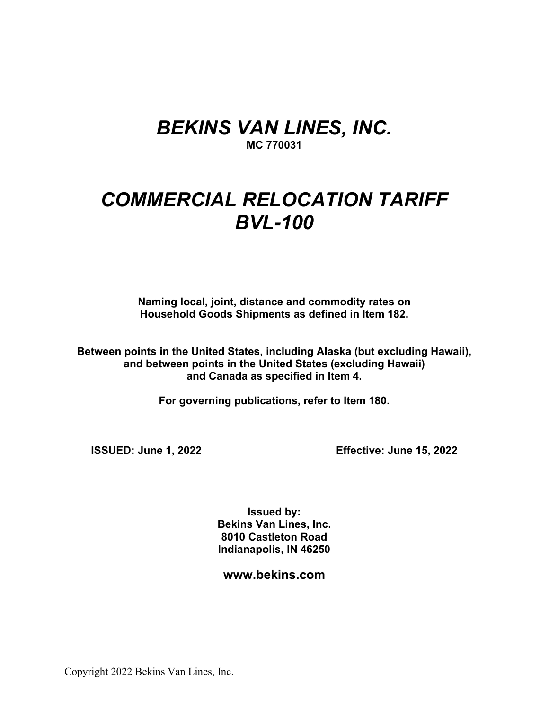## *BEKINS VAN LINES, INC.* **MC 770031**

# *COMMERCIAL RELOCATION TARIFF BVL-100*

**Naming local, joint, distance and commodity rates on Household Goods Shipments as defined in Item 182.**

**Between points in the United States, including Alaska (but excluding Hawaii), and between points in the United States (excluding Hawaii) and Canada as specified in Item 4.**

**For governing publications, refer to Item 180.**

**ISSUED: June 1, 2022 Effective: June 15, 2022**

**Issued by: Bekins Van Lines, Inc. 8010 Castleton Road Indianapolis, IN 46250**

**www.bekins.com**

Copyright 2022 Bekins Van Lines, Inc.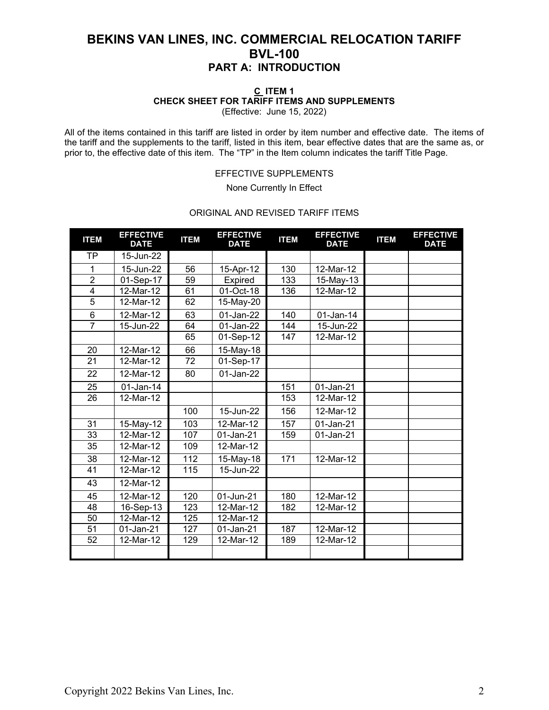### **C ITEM 1 CHECK SHEET FOR TARIFF ITEMS AND SUPPLEMENTS**

(Effective: June 15, 2022)

All of the items contained in this tariff are listed in order by item number and effective date. The items of the tariff and the supplements to the tariff, listed in this item, bear effective dates that are the same as, or prior to, the effective date of this item. The "TP" in the Item column indicates the tariff Title Page.

### EFFECTIVE SUPPLEMENTS

None Currently In Effect

### ORIGINAL AND REVISED TARIFF ITEMS

| <b>ITEM</b>    | <b>EFFECTIVE</b><br><b>DATE</b> | <b>ITEM</b> | <b>EFFECTIVE</b><br><b>DATE</b> | <b>ITEM</b> | <b>EFFECTIVE</b><br><b>DATE</b> | <b>ITEM</b> | <b>EFFECTIVE</b><br><b>DATE</b> |
|----------------|---------------------------------|-------------|---------------------------------|-------------|---------------------------------|-------------|---------------------------------|
| <b>TP</b>      | 15-Jun-22                       |             |                                 |             |                                 |             |                                 |
| 1              | 15-Jun-22                       | 56          | 15-Apr-12                       | 130         | 12-Mar-12                       |             |                                 |
| $\overline{2}$ | 01-Sep-17                       | 59          | Expired                         | 133         | 15-May-13                       |             |                                 |
| $\overline{4}$ | 12-Mar-12                       | 61          | 01-Oct-18                       | 136         | 12-Mar-12                       |             |                                 |
| $\overline{5}$ | 12-Mar-12                       | 62          | 15-May-20                       |             |                                 |             |                                 |
| 6              | 12-Mar-12                       | 63          | 01-Jan-22                       | 140         | $01$ -Jan-14                    |             |                                 |
| $\overline{7}$ | 15-Jun-22                       | 64          | 01-Jan-22                       | 144         | 15-Jun-22                       |             |                                 |
|                |                                 | 65          | 01-Sep-12                       | 147         | 12-Mar-12                       |             |                                 |
| 20             | 12-Mar-12                       | 66          | 15-May-18                       |             |                                 |             |                                 |
| 21             | 12-Mar-12                       | 72          | 01-Sep-17                       |             |                                 |             |                                 |
| 22             | 12-Mar-12                       | 80          | 01-Jan-22                       |             |                                 |             |                                 |
| 25             | 01-Jan-14                       |             |                                 | 151         | 01-Jan-21                       |             |                                 |
| 26             | 12-Mar-12                       |             |                                 | 153         | 12-Mar-12                       |             |                                 |
|                |                                 | 100         | 15-Jun-22                       | 156         | 12-Mar-12                       |             |                                 |
| 31             | 15-May-12                       | 103         | 12-Mar-12                       | 157         | 01-Jan-21                       |             |                                 |
| 33             | 12-Mar-12                       | 107         | 01-Jan-21                       | 159         | 01-Jan-21                       |             |                                 |
| 35             | 12-Mar-12                       | 109         | 12-Mar-12                       |             |                                 |             |                                 |
| 38             | 12-Mar-12                       | 112         | 15-May-18                       | 171         | 12-Mar-12                       |             |                                 |
| 41             | 12-Mar-12                       | 115         | 15-Jun-22                       |             |                                 |             |                                 |
| 43             | 12-Mar-12                       |             |                                 |             |                                 |             |                                 |
| 45             | 12-Mar-12                       | 120         | 01-Jun-21                       | 180         | 12-Mar-12                       |             |                                 |
| 48             | 16-Sep-13                       | 123         | 12-Mar-12                       | 182         | 12-Mar-12                       |             |                                 |
| 50             | 12-Mar-12                       | 125         | 12-Mar-12                       |             |                                 |             |                                 |
| 51             | 01-Jan-21                       | 127         | 01-Jan-21                       | 187         | 12-Mar-12                       |             |                                 |
| 52             | 12-Mar-12                       | 129         | 12-Mar-12                       | 189         | 12-Mar-12                       |             |                                 |
|                |                                 |             |                                 |             |                                 |             |                                 |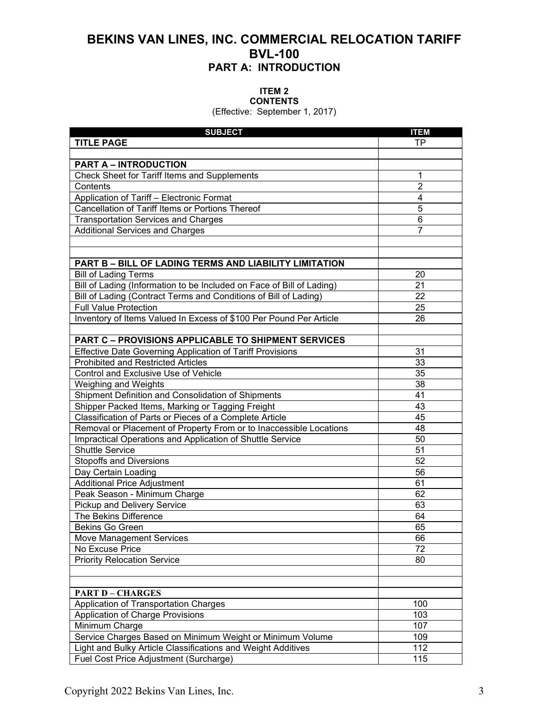#### **ITEM 2 CONTENTS**

(Effective: September 1, 2017)

| <b>SUBJECT</b>                                                        | <b>ITEM</b>    |
|-----------------------------------------------------------------------|----------------|
| <b>TITLE PAGE</b>                                                     | TP.            |
|                                                                       |                |
| <b>PART A - INTRODUCTION</b>                                          |                |
| Check Sheet for Tariff Items and Supplements                          | 1              |
| Contents                                                              | $\overline{2}$ |
| Application of Tariff - Electronic Format                             | 4              |
| Cancellation of Tariff Items or Portions Thereof                      | 5              |
| <b>Transportation Services and Charges</b>                            | 6              |
| <b>Additional Services and Charges</b>                                | 7              |
|                                                                       |                |
|                                                                       |                |
| <b>PART B - BILL OF LADING TERMS AND LIABILITY LIMITATION</b>         |                |
| <b>Bill of Lading Terms</b>                                           | 20             |
| Bill of Lading (Information to be Included on Face of Bill of Lading) | 21             |
| Bill of Lading (Contract Terms and Conditions of Bill of Lading)      | 22             |
| <b>Full Value Protection</b>                                          | 25             |
| Inventory of Items Valued In Excess of \$100 Per Pound Per Article    | 26             |
|                                                                       |                |
| <b>PART C - PROVISIONS APPLICABLE TO SHIPMENT SERVICES</b>            |                |
| <b>Effective Date Governing Application of Tariff Provisions</b>      | 31             |
| <b>Prohibited and Restricted Articles</b>                             | 33             |
| Control and Exclusive Use of Vehicle                                  | 35             |
| Weighing and Weights                                                  | 38             |
| Shipment Definition and Consolidation of Shipments                    | 41             |
| Shipper Packed Items, Marking or Tagging Freight                      | 43             |
| Classification of Parts or Pieces of a Complete Article               | 45             |
| Removal or Placement of Property From or to Inaccessible Locations    | 48             |
| Impractical Operations and Application of Shuttle Service             | 50             |
| <b>Shuttle Service</b>                                                | 51             |
| <b>Stopoffs and Diversions</b>                                        | 52             |
| Day Certain Loading                                                   | 56             |
| <b>Additional Price Adjustment</b>                                    | 61             |
| Peak Season - Minimum Charge                                          | 62             |
| Pickup and Delivery Service                                           | 63             |
| The Bekins Difference                                                 | 64             |
| Bekins Go Green                                                       | 65             |
| Move Management Services                                              | 66             |
| No Excuse Price                                                       | 72             |
| <b>Priority Relocation Service</b>                                    | 80             |
|                                                                       |                |
|                                                                       |                |
| <b>PART D - CHARGES</b>                                               |                |
| Application of Transportation Charges                                 | 100            |
| Application of Charge Provisions                                      | 103            |
| Minimum Charge                                                        | 107            |
| Service Charges Based on Minimum Weight or Minimum Volume             | 109            |
| Light and Bulky Article Classifications and Weight Additives          | 112            |
| Fuel Cost Price Adjustment (Surcharge)                                | 115            |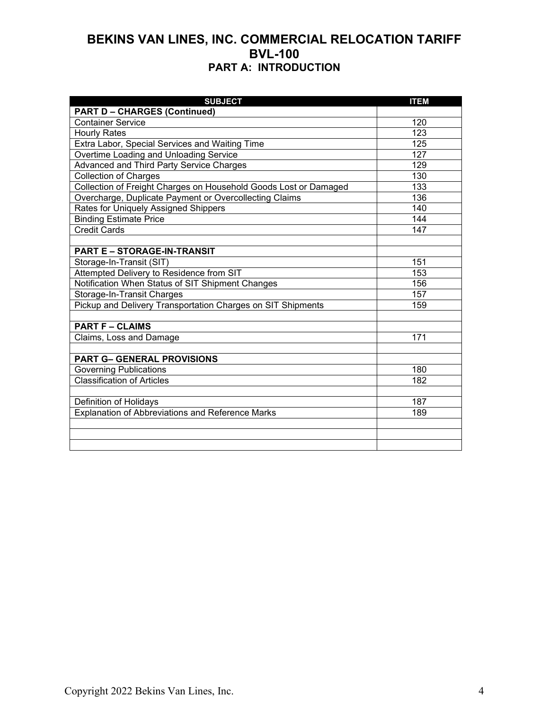| <b>SUBJECT</b>                                                   | <b>ITEM</b> |
|------------------------------------------------------------------|-------------|
| <b>PART D - CHARGES (Continued)</b>                              |             |
| <b>Container Service</b>                                         | 120         |
| <b>Hourly Rates</b>                                              | 123         |
| Extra Labor, Special Services and Waiting Time                   | 125         |
| Overtime Loading and Unloading Service                           | 127         |
| Advanced and Third Party Service Charges                         | 129         |
| <b>Collection of Charges</b>                                     | 130         |
| Collection of Freight Charges on Household Goods Lost or Damaged | 133         |
| Overcharge, Duplicate Payment or Overcollecting Claims           | 136         |
| Rates for Uniquely Assigned Shippers                             | 140         |
| <b>Binding Estimate Price</b>                                    | 144         |
| <b>Credit Cards</b>                                              | 147         |
|                                                                  |             |
| <b>PART E - STORAGE-IN-TRANSIT</b>                               |             |
| Storage-In-Transit (SIT)                                         | 151         |
| Attempted Delivery to Residence from SIT                         | 153         |
| Notification When Status of SIT Shipment Changes                 | 156         |
| <b>Storage-In-Transit Charges</b>                                | 157         |
| Pickup and Delivery Transportation Charges on SIT Shipments      | 159         |
|                                                                  |             |
| <b>PART F - CLAIMS</b>                                           |             |
| Claims, Loss and Damage                                          | 171         |
|                                                                  |             |
| <b>PART G- GENERAL PROVISIONS</b>                                |             |
| <b>Governing Publications</b>                                    | 180         |
| <b>Classification of Articles</b>                                | 182         |
|                                                                  |             |
| Definition of Holidays                                           | 187         |
| <b>Explanation of Abbreviations and Reference Marks</b>          | 189         |
|                                                                  |             |
|                                                                  |             |
|                                                                  |             |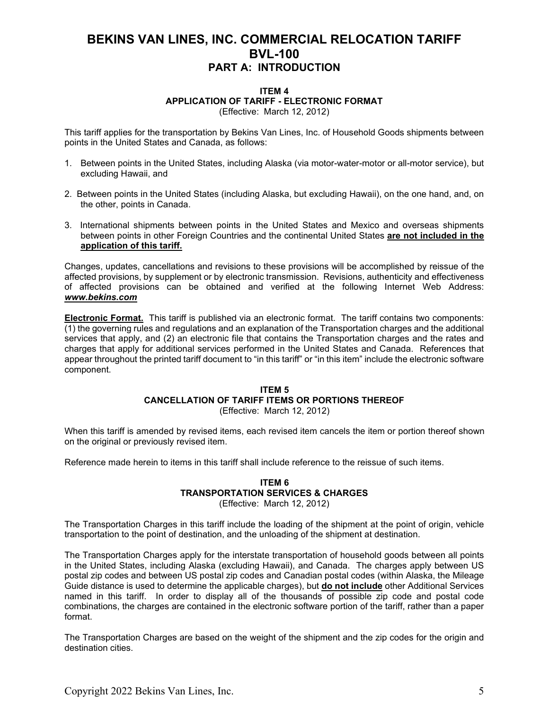#### **ITEM 4 APPLICATION OF TARIFF - ELECTRONIC FORMAT** (Effective: March 12, 2012)

This tariff applies for the transportation by Bekins Van Lines, Inc. of Household Goods shipments between points in the United States and Canada, as follows:

- 1. Between points in the United States, including Alaska (via motor-water-motor or all-motor service), but excluding Hawaii, and
- 2. Between points in the United States (including Alaska, but excluding Hawaii), on the one hand, and, on the other, points in Canada.
- 3. International shipments between points in the United States and Mexico and overseas shipments between points in other Foreign Countries and the continental United States **are not included in the application of this tariff.**

Changes, updates, cancellations and revisions to these provisions will be accomplished by reissue of the affected provisions, by supplement or by electronic transmission. Revisions, authenticity and effectiveness of affected provisions can be obtained and verified at the following Internet Web Address: *www.bekins.com*

**Electronic Format.** This tariff is published via an electronic format. The tariff contains two components: (1) the governing rules and regulations and an explanation of the Transportation charges and the additional services that apply, and (2) an electronic file that contains the Transportation charges and the rates and charges that apply for additional services performed in the United States and Canada. References that appear throughout the printed tariff document to "in this tariff" or "in this item" include the electronic software component.

#### **ITEM 5 CANCELLATION OF TARIFF ITEMS OR PORTIONS THEREOF** (Effective: March 12, 2012)

When this tariff is amended by revised items, each revised item cancels the item or portion thereof shown on the original or previously revised item.

Reference made herein to items in this tariff shall include reference to the reissue of such items.

### **ITEM 6 TRANSPORTATION SERVICES & CHARGES**

(Effective: March 12, 2012)

The Transportation Charges in this tariff include the loading of the shipment at the point of origin, vehicle transportation to the point of destination, and the unloading of the shipment at destination.

The Transportation Charges apply for the interstate transportation of household goods between all points in the United States, including Alaska (excluding Hawaii), and Canada. The charges apply between US postal zip codes and between US postal zip codes and Canadian postal codes (within Alaska, the Mileage Guide distance is used to determine the applicable charges), but **do not include** other Additional Services named in this tariff. In order to display all of the thousands of possible zip code and postal code combinations, the charges are contained in the electronic software portion of the tariff, rather than a paper format.

The Transportation Charges are based on the weight of the shipment and the zip codes for the origin and destination cities.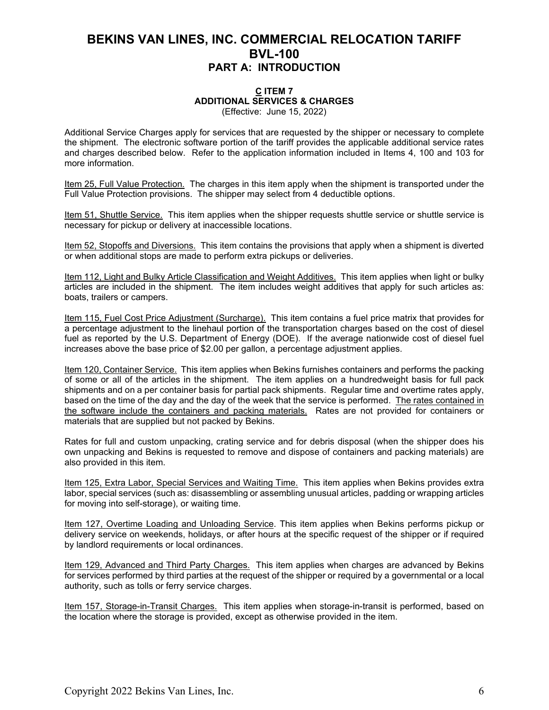#### **C ITEM 7 ADDITIONAL SERVICES & CHARGES** (Effective: June 15, 2022)

Additional Service Charges apply for services that are requested by the shipper or necessary to complete the shipment. The electronic software portion of the tariff provides the applicable additional service rates and charges described below. Refer to the application information included in Items 4, 100 and 103 for more information.

Item 25, Full Value Protection. The charges in this item apply when the shipment is transported under the Full Value Protection provisions. The shipper may select from 4 deductible options.

Item 51, Shuttle Service. This item applies when the shipper requests shuttle service or shuttle service is necessary for pickup or delivery at inaccessible locations.

Item 52, Stopoffs and Diversions. This item contains the provisions that apply when a shipment is diverted or when additional stops are made to perform extra pickups or deliveries.

Item 112, Light and Bulky Article Classification and Weight Additives. This item applies when light or bulky articles are included in the shipment. The item includes weight additives that apply for such articles as: boats, trailers or campers.

Item 115, Fuel Cost Price Adjustment (Surcharge). This item contains a fuel price matrix that provides for a percentage adjustment to the linehaul portion of the transportation charges based on the cost of diesel fuel as reported by the U.S. Department of Energy (DOE). If the average nationwide cost of diesel fuel increases above the base price of \$2.00 per gallon, a percentage adjustment applies.

Item 120, Container Service. This item applies when Bekins furnishes containers and performs the packing of some or all of the articles in the shipment. The item applies on a hundredweight basis for full pack shipments and on a per container basis for partial pack shipments. Regular time and overtime rates apply, based on the time of the day and the day of the week that the service is performed. The rates contained in the software include the containers and packing materials. Rates are not provided for containers or materials that are supplied but not packed by Bekins.

Rates for full and custom unpacking, crating service and for debris disposal (when the shipper does his own unpacking and Bekins is requested to remove and dispose of containers and packing materials) are also provided in this item.

Item 125, Extra Labor, Special Services and Waiting Time. This item applies when Bekins provides extra labor, special services (such as: disassembling or assembling unusual articles, padding or wrapping articles for moving into self-storage), or waiting time.

Item 127, Overtime Loading and Unloading Service. This item applies when Bekins performs pickup or delivery service on weekends, holidays, or after hours at the specific request of the shipper or if required by landlord requirements or local ordinances.

Item 129, Advanced and Third Party Charges. This item applies when charges are advanced by Bekins for services performed by third parties at the request of the shipper or required by a governmental or a local authority, such as tolls or ferry service charges.

Item 157, Storage-in-Transit Charges. This item applies when storage-in-transit is performed, based on the location where the storage is provided, except as otherwise provided in the item.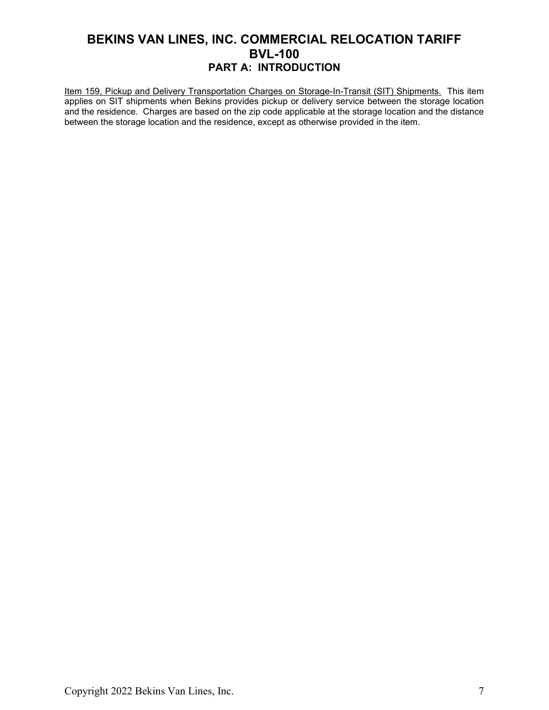Item 159, Pickup and Delivery Transportation Charges on Storage-In-Transit (SIT) Shipments. This item applies on SIT shipments when Bekins provides pickup or delivery service between the storage location and the residence. Charges are based on the zip code applicable at the storage location and the distance between the storage location and the residence, except as otherwise provided in the item.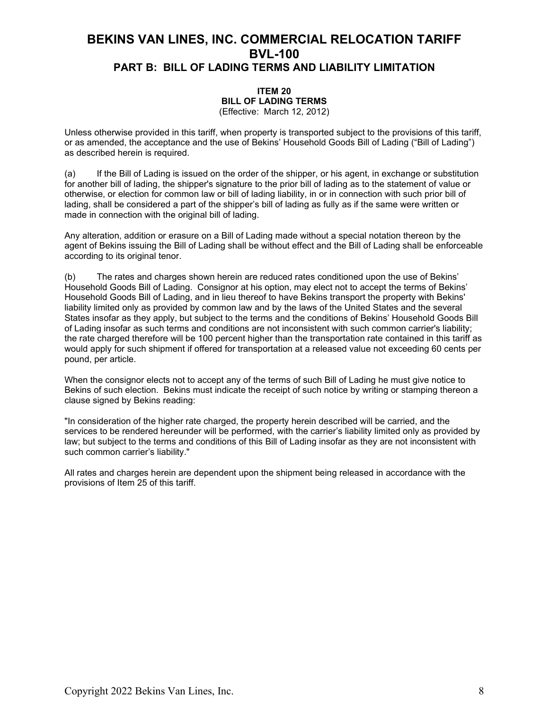#### **ITEM 20 BILL OF LADING TERMS**  (Effective: March 12, 2012)

Unless otherwise provided in this tariff, when property is transported subject to the provisions of this tariff, or as amended, the acceptance and the use of Bekins' Household Goods Bill of Lading ("Bill of Lading") as described herein is required.

(a) If the Bill of Lading is issued on the order of the shipper, or his agent, in exchange or substitution for another bill of lading, the shipper's signature to the prior bill of lading as to the statement of value or otherwise, or election for common law or bill of lading liability, in or in connection with such prior bill of lading, shall be considered a part of the shipper's bill of lading as fully as if the same were written or made in connection with the original bill of lading.

Any alteration, addition or erasure on a Bill of Lading made without a special notation thereon by the agent of Bekins issuing the Bill of Lading shall be without effect and the Bill of Lading shall be enforceable according to its original tenor.

(b) The rates and charges shown herein are reduced rates conditioned upon the use of Bekins' Household Goods Bill of Lading. Consignor at his option, may elect not to accept the terms of Bekins' Household Goods Bill of Lading, and in lieu thereof to have Bekins transport the property with Bekins' liability limited only as provided by common law and by the laws of the United States and the several States insofar as they apply, but subject to the terms and the conditions of Bekins' Household Goods Bill of Lading insofar as such terms and conditions are not inconsistent with such common carrier's liability; the rate charged therefore will be 100 percent higher than the transportation rate contained in this tariff as would apply for such shipment if offered for transportation at a released value not exceeding 60 cents per pound, per article.

When the consignor elects not to accept any of the terms of such Bill of Lading he must give notice to Bekins of such election. Bekins must indicate the receipt of such notice by writing or stamping thereon a clause signed by Bekins reading:

"In consideration of the higher rate charged, the property herein described will be carried, and the services to be rendered hereunder will be performed, with the carrier's liability limited only as provided by law; but subject to the terms and conditions of this Bill of Lading insofar as they are not inconsistent with such common carrier's liability."

All rates and charges herein are dependent upon the shipment being released in accordance with the provisions of Item 25 of this tariff.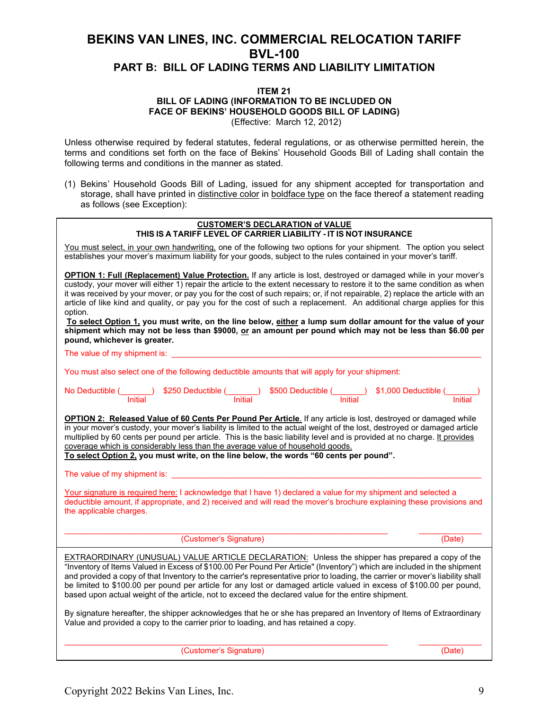#### **ITEM 21 BILL OF LADING (INFORMATION TO BE INCLUDED ON FACE OF BEKINS' HOUSEHOLD GOODS BILL OF LADING)** (Effective: March 12, 2012)

Unless otherwise required by federal statutes, federal regulations, or as otherwise permitted herein, the terms and conditions set forth on the face of Bekins' Household Goods Bill of Lading shall contain the following terms and conditions in the manner as stated.

(1) Bekins' Household Goods Bill of Lading, issued for any shipment accepted for transportation and storage, shall have printed in distinctive color in boldface type on the face thereof a statement reading as follows (see Exception):

| <b>CUSTOMER'S DECLARATION of VALUE</b><br>THIS IS A TARIFF LEVEL OF CARRIER LIABILITY - IT IS NOT INSURANCE                                                                                                                                                                                                                                                                                                                                                                                                                                                                                                                                                                                                                                                                             |
|-----------------------------------------------------------------------------------------------------------------------------------------------------------------------------------------------------------------------------------------------------------------------------------------------------------------------------------------------------------------------------------------------------------------------------------------------------------------------------------------------------------------------------------------------------------------------------------------------------------------------------------------------------------------------------------------------------------------------------------------------------------------------------------------|
| You must select, in your own handwriting, one of the following two options for your shipment. The option you select<br>establishes your mover's maximum liability for your goods, subject to the rules contained in your mover's tariff.                                                                                                                                                                                                                                                                                                                                                                                                                                                                                                                                                |
| <b>OPTION 1: Full (Replacement) Value Protection.</b> If any article is lost, destroyed or damaged while in your mover's<br>custody, your mover will either 1) repair the article to the extent necessary to restore it to the same condition as when<br>it was received by your mover, or pay you for the cost of such repairs; or, if not repairable, 2) replace the article with an<br>article of like kind and quality, or pay you for the cost of such a replacement. An additional charge applies for this<br>option.<br>To select Option 1, you must write, on the line below, either a lump sum dollar amount for the value of your<br>shipment which may not be less than \$9000, or an amount per pound which may not be less than \$6.00 per<br>pound, whichever is greater. |
| The value of my shipment is:                                                                                                                                                                                                                                                                                                                                                                                                                                                                                                                                                                                                                                                                                                                                                            |
| You must also select one of the following deductible amounts that will apply for your shipment:                                                                                                                                                                                                                                                                                                                                                                                                                                                                                                                                                                                                                                                                                         |
| No Deductible (_______) \$250 Deductible (______) \$500 Deductible (_____) \$1,000 Deductible (_______<br>Initial linitial linitial linitial linitial linitial linitial                                                                                                                                                                                                                                                                                                                                                                                                                                                                                                                                                                                                                 |
| OPTION 2: Released Value of 60 Cents Per Pound Per Article. If any article is lost, destroyed or damaged while<br>in your mover's custody, your mover's liability is limited to the actual weight of the lost, destroyed or damaged article<br>multiplied by 60 cents per pound per article. This is the basic liability level and is provided at no charge. It provides<br>coverage which is considerably less than the average value of household goods.<br>To select Option 2, you must write, on the line below, the words "60 cents per pound".                                                                                                                                                                                                                                    |
| <u> 1980 - Jan Barat, martin a</u><br>The value of my shipment is:                                                                                                                                                                                                                                                                                                                                                                                                                                                                                                                                                                                                                                                                                                                      |
| Your signature is required here: I acknowledge that I have 1) declared a value for my shipment and selected a<br>deductible amount, if appropriate, and 2) received and will read the mover's brochure explaining these provisions and<br>the applicable charges.                                                                                                                                                                                                                                                                                                                                                                                                                                                                                                                       |
| (Customer's Signature)<br>(Date)                                                                                                                                                                                                                                                                                                                                                                                                                                                                                                                                                                                                                                                                                                                                                        |
| EXTRAORDINARY (UNUSUAL) VALUE ARTICLE DECLARATION: Unless the shipper has prepared a copy of the<br>"Inventory of Items Valued in Excess of \$100.00 Per Pound Per Article" (Inventory") which are included in the shipment<br>and provided a copy of that Inventory to the carrier's representative prior to loading, the carrier or mover's liability shall<br>be limited to \$100.00 per pound per article for any lost or damaged article valued in excess of \$100.00 per pound,<br>based upon actual weight of the article, not to exceed the declared value for the entire shipment.                                                                                                                                                                                             |
| By signature hereafter, the shipper acknowledges that he or she has prepared an Inventory of Items of Extraordinary<br>Value and provided a copy to the carrier prior to loading, and has retained a copy.                                                                                                                                                                                                                                                                                                                                                                                                                                                                                                                                                                              |

(Customer's Signature) (Date)

Copyright 2022 Bekins Van Lines, Inc. 9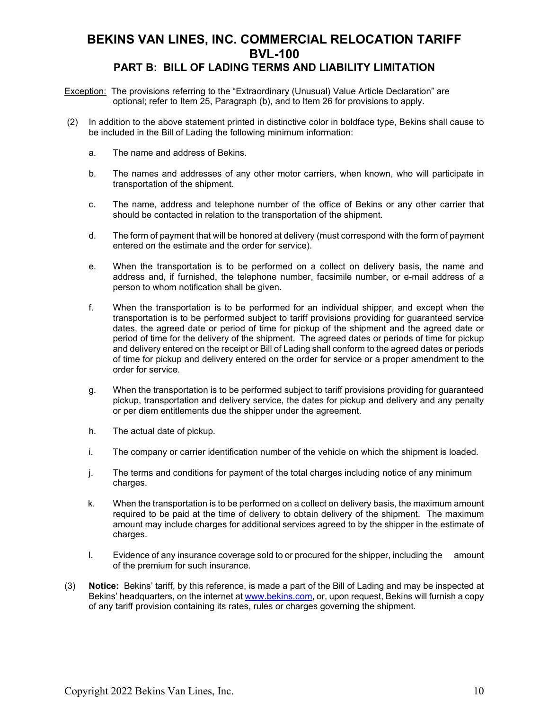## **PART B: BILL OF LADING TERMS AND LIABILITY LIMITATION**

- **Exception:** The provisions referring to the "Extraordinary (Unusual) Value Article Declaration" are optional; refer to Item 25, Paragraph (b), and to Item 26 for provisions to apply.
- (2) In addition to the above statement printed in distinctive color in boldface type, Bekins shall cause to be included in the Bill of Lading the following minimum information:
	- a. The name and address of Bekins.
	- b. The names and addresses of any other motor carriers, when known, who will participate in transportation of the shipment.
	- c. The name, address and telephone number of the office of Bekins or any other carrier that should be contacted in relation to the transportation of the shipment.
	- d. The form of payment that will be honored at delivery (must correspond with the form of payment entered on the estimate and the order for service).
	- e. When the transportation is to be performed on a collect on delivery basis, the name and address and, if furnished, the telephone number, facsimile number, or e-mail address of a person to whom notification shall be given.
	- f. When the transportation is to be performed for an individual shipper, and except when the transportation is to be performed subject to tariff provisions providing for guaranteed service dates, the agreed date or period of time for pickup of the shipment and the agreed date or period of time for the delivery of the shipment. The agreed dates or periods of time for pickup and delivery entered on the receipt or Bill of Lading shall conform to the agreed dates or periods of time for pickup and delivery entered on the order for service or a proper amendment to the order for service.
	- g. When the transportation is to be performed subject to tariff provisions providing for guaranteed pickup, transportation and delivery service, the dates for pickup and delivery and any penalty or per diem entitlements due the shipper under the agreement.
	- h. The actual date of pickup.
	- i. The company or carrier identification number of the vehicle on which the shipment is loaded.
	- j. The terms and conditions for payment of the total charges including notice of any minimum charges.
	- k. When the transportation is to be performed on a collect on delivery basis, the maximum amount required to be paid at the time of delivery to obtain delivery of the shipment. The maximum amount may include charges for additional services agreed to by the shipper in the estimate of charges.
	- l. Evidence of any insurance coverage sold to or procured for the shipper, including the amount of the premium for such insurance.
- (3) **Notice:** Bekins' tariff, by this reference, is made a part of the Bill of Lading and may be inspected at Bekins' headquarters, on the internet at [www.bekins.com,](http://www.wheatonworldwide.com/) or, upon request, Bekins will furnish a copy of any tariff provision containing its rates, rules or charges governing the shipment.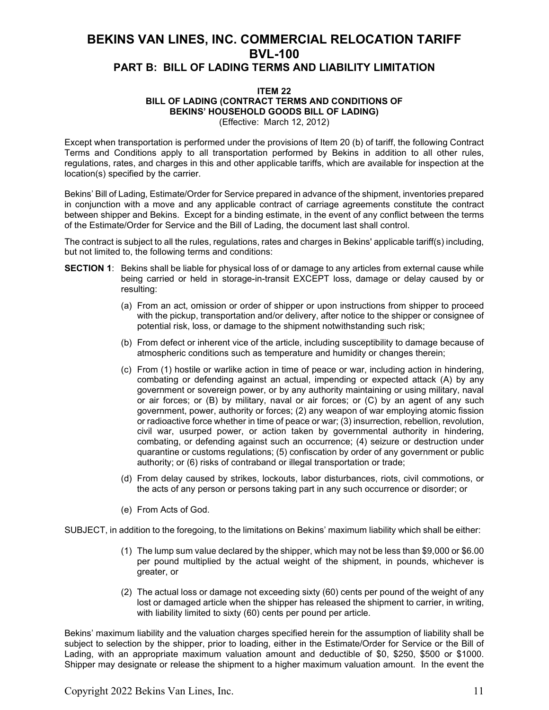#### **ITEM 22 BILL OF LADING (CONTRACT TERMS AND CONDITIONS OF BEKINS' HOUSEHOLD GOODS BILL OF LADING)** (Effective: March 12, 2012)

Except when transportation is performed under the provisions of Item 20 (b) of tariff, the following Contract Terms and Conditions apply to all transportation performed by Bekins in addition to all other rules, regulations, rates, and charges in this and other applicable tariffs, which are available for inspection at the location(s) specified by the carrier.

Bekins' Bill of Lading, Estimate/Order for Service prepared in advance of the shipment, inventories prepared in conjunction with a move and any applicable contract of carriage agreements constitute the contract between shipper and Bekins. Except for a binding estimate, in the event of any conflict between the terms of the Estimate/Order for Service and the Bill of Lading, the document last shall control.

The contract is subject to all the rules, regulations, rates and charges in Bekins' applicable tariff(s) including, but not limited to, the following terms and conditions:

- **SECTION 1**: Bekins shall be liable for physical loss of or damage to any articles from external cause while being carried or held in storage-in-transit EXCEPT loss, damage or delay caused by or resulting:
	- (a) From an act, omission or order of shipper or upon instructions from shipper to proceed with the pickup, transportation and/or delivery, after notice to the shipper or consignee of potential risk, loss, or damage to the shipment notwithstanding such risk;
	- (b) From defect or inherent vice of the article, including susceptibility to damage because of atmospheric conditions such as temperature and humidity or changes therein;
	- (c) From (1) hostile or warlike action in time of peace or war, including action in hindering, combating or defending against an actual, impending or expected attack (A) by any government or sovereign power, or by any authority maintaining or using military, naval or air forces; or (B) by military, naval or air forces; or (C) by an agent of any such government, power, authority or forces; (2) any weapon of war employing atomic fission or radioactive force whether in time of peace or war; (3) insurrection, rebellion, revolution, civil war, usurped power, or action taken by governmental authority in hindering, combating, or defending against such an occurrence; (4) seizure or destruction under quarantine or customs regulations; (5) confiscation by order of any government or public authority; or (6) risks of contraband or illegal transportation or trade;
	- (d) From delay caused by strikes, lockouts, labor disturbances, riots, civil commotions, or the acts of any person or persons taking part in any such occurrence or disorder; or
	- (e) From Acts of God.

SUBJECT, in addition to the foregoing, to the limitations on Bekins' maximum liability which shall be either:

- (1) The lump sum value declared by the shipper, which may not be less than \$9,000 or \$6.00 per pound multiplied by the actual weight of the shipment, in pounds, whichever is greater, or
- (2) The actual loss or damage not exceeding sixty (60) cents per pound of the weight of any lost or damaged article when the shipper has released the shipment to carrier, in writing, with liability limited to sixty (60) cents per pound per article.

Bekins' maximum liability and the valuation charges specified herein for the assumption of liability shall be subject to selection by the shipper, prior to loading, either in the Estimate/Order for Service or the Bill of Lading, with an appropriate maximum valuation amount and deductible of \$0, \$250, \$500 or \$1000. Shipper may designate or release the shipment to a higher maximum valuation amount. In the event the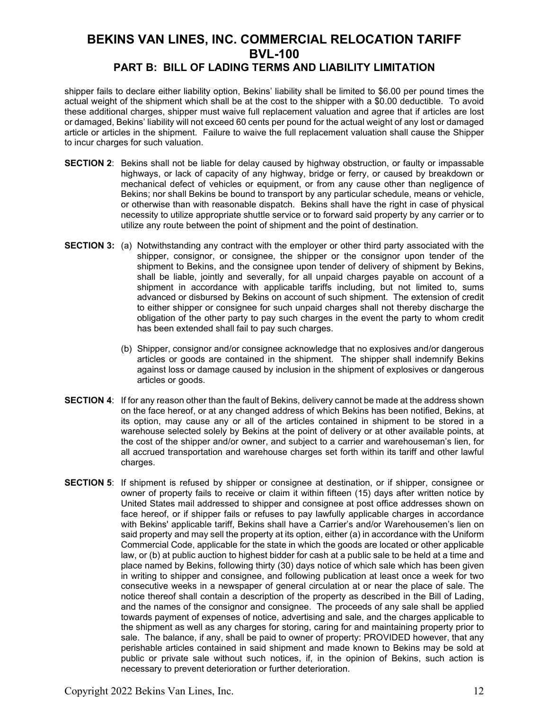shipper fails to declare either liability option, Bekins' liability shall be limited to \$6.00 per pound times the actual weight of the shipment which shall be at the cost to the shipper with a \$0.00 deductible. To avoid these additional charges, shipper must waive full replacement valuation and agree that if articles are lost or damaged, Bekins' liability will not exceed 60 cents per pound for the actual weight of any lost or damaged article or articles in the shipment. Failure to waive the full replacement valuation shall cause the Shipper to incur charges for such valuation.

- **SECTION 2**: Bekins shall not be liable for delay caused by highway obstruction, or faulty or impassable highways, or lack of capacity of any highway, bridge or ferry, or caused by breakdown or mechanical defect of vehicles or equipment, or from any cause other than negligence of Bekins; nor shall Bekins be bound to transport by any particular schedule, means or vehicle, or otherwise than with reasonable dispatch. Bekins shall have the right in case of physical necessity to utilize appropriate shuttle service or to forward said property by any carrier or to utilize any route between the point of shipment and the point of destination.
- **SECTION 3:** (a) Notwithstanding any contract with the employer or other third party associated with the shipper, consignor, or consignee, the shipper or the consignor upon tender of the shipment to Bekins, and the consignee upon tender of delivery of shipment by Bekins, shall be liable, jointly and severally, for all unpaid charges payable on account of a shipment in accordance with applicable tariffs including, but not limited to, sums advanced or disbursed by Bekins on account of such shipment. The extension of credit to either shipper or consignee for such unpaid charges shall not thereby discharge the obligation of the other party to pay such charges in the event the party to whom credit has been extended shall fail to pay such charges.
	- (b) Shipper, consignor and/or consignee acknowledge that no explosives and/or dangerous articles or goods are contained in the shipment. The shipper shall indemnify Bekins against loss or damage caused by inclusion in the shipment of explosives or dangerous articles or goods.
- **SECTION 4**: If for any reason other than the fault of Bekins, delivery cannot be made at the address shown on the face hereof, or at any changed address of which Bekins has been notified, Bekins, at its option, may cause any or all of the articles contained in shipment to be stored in a warehouse selected solely by Bekins at the point of delivery or at other available points, at the cost of the shipper and/or owner, and subject to a carrier and warehouseman's lien, for all accrued transportation and warehouse charges set forth within its tariff and other lawful charges.
- **SECTION 5**: If shipment is refused by shipper or consignee at destination, or if shipper, consignee or owner of property fails to receive or claim it within fifteen (15) days after written notice by United States mail addressed to shipper and consignee at post office addresses shown on face hereof, or if shipper fails or refuses to pay lawfully applicable charges in accordance with Bekins' applicable tariff, Bekins shall have a Carrier's and/or Warehousemen's lien on said property and may sell the property at its option, either (a) in accordance with the Uniform Commercial Code, applicable for the state in which the goods are located or other applicable law, or (b) at public auction to highest bidder for cash at a public sale to be held at a time and place named by Bekins, following thirty (30) days notice of which sale which has been given in writing to shipper and consignee, and following publication at least once a week for two consecutive weeks in a newspaper of general circulation at or near the place of sale. The notice thereof shall contain a description of the property as described in the Bill of Lading, and the names of the consignor and consignee. The proceeds of any sale shall be applied towards payment of expenses of notice, advertising and sale, and the charges applicable to the shipment as well as any charges for storing, caring for and maintaining property prior to sale. The balance, if any, shall be paid to owner of property: PROVIDED however, that any perishable articles contained in said shipment and made known to Bekins may be sold at public or private sale without such notices, if, in the opinion of Bekins, such action is necessary to prevent deterioration or further deterioration.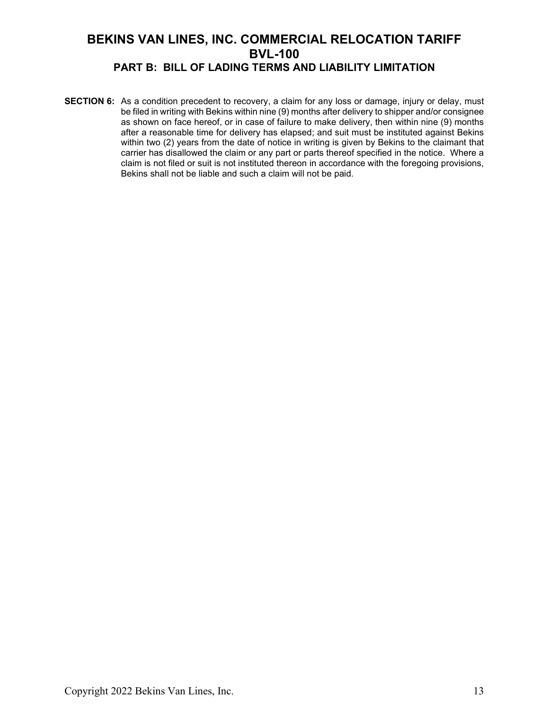**SECTION 6:** As a condition precedent to recovery, a claim for any loss or damage, injury or delay, must be filed in writing with Bekins within nine (9) months after delivery to shipper and/or consignee as shown on face hereof, or in case of failure to make delivery, then within nine (9) months after a reasonable time for delivery has elapsed; and suit must be instituted against Bekins within two (2) years from the date of notice in writing is given by Bekins to the claimant that carrier has disallowed the claim or any part or parts thereof specified in the notice. Where a claim is not filed or suit is not instituted thereon in accordance with the foregoing provisions, Bekins shall not be liable and such a claim will not be paid.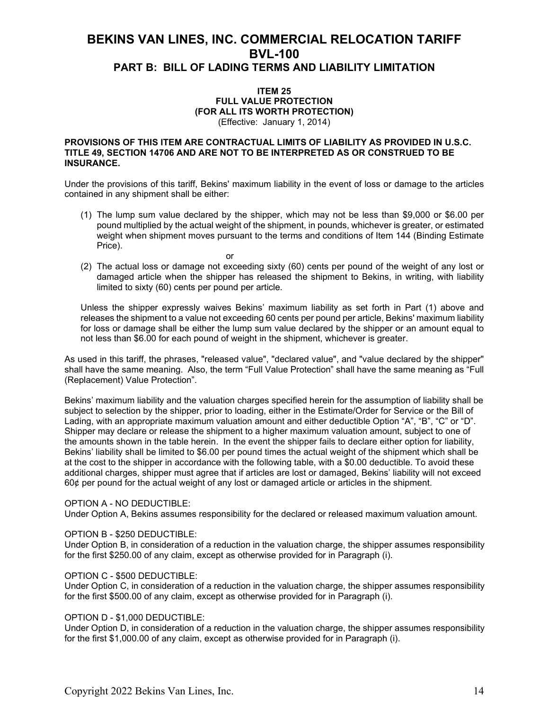#### **ITEM 25 FULL VALUE PROTECTION (FOR ALL ITS WORTH PROTECTION)** (Effective: January 1, 2014)

#### **PROVISIONS OF THIS ITEM ARE CONTRACTUAL LIMITS OF LIABILITY AS PROVIDED IN U.S.C. TITLE 49, SECTION 14706 AND ARE NOT TO BE INTERPRETED AS OR CONSTRUED TO BE INSURANCE.**

Under the provisions of this tariff, Bekins' maximum liability in the event of loss or damage to the articles contained in any shipment shall be either:

- (1) The lump sum value declared by the shipper, which may not be less than \$9,000 or \$6.00 per pound multiplied by the actual weight of the shipment, in pounds, whichever is greater, or estimated weight when shipment moves pursuant to the terms and conditions of Item 144 (Binding Estimate Price).
- (2) The actual loss or damage not exceeding sixty (60) cents per pound of the weight of any lost or damaged article when the shipper has released the shipment to Bekins, in writing, with liability limited to sixty (60) cents per pound per article.

or

Unless the shipper expressly waives Bekins' maximum liability as set forth in Part (1) above and releases the shipment to a value not exceeding 60 cents per pound per article, Bekins' maximum liability for loss or damage shall be either the lump sum value declared by the shipper or an amount equal to not less than \$6.00 for each pound of weight in the shipment, whichever is greater.

As used in this tariff, the phrases, "released value", "declared value", and "value declared by the shipper" shall have the same meaning. Also, the term "Full Value Protection" shall have the same meaning as "Full (Replacement) Value Protection".

Bekins' maximum liability and the valuation charges specified herein for the assumption of liability shall be subject to selection by the shipper, prior to loading, either in the Estimate/Order for Service or the Bill of Lading, with an appropriate maximum valuation amount and either deductible Option "A", "B", "C" or "D". Shipper may declare or release the shipment to a higher maximum valuation amount, subject to one of the amounts shown in the table herein. In the event the shipper fails to declare either option for liability, Bekins' liability shall be limited to \$6.00 per pound times the actual weight of the shipment which shall be at the cost to the shipper in accordance with the following table, with a \$0.00 deductible. To avoid these additional charges, shipper must agree that if articles are lost or damaged, Bekins' liability will not exceed 60¢ per pound for the actual weight of any lost or damaged article or articles in the shipment.

#### OPTION A - NO DEDUCTIBLE:

Under Option A, Bekins assumes responsibility for the declared or released maximum valuation amount.

#### OPTION B - \$250 DEDUCTIBLE:

Under Option B, in consideration of a reduction in the valuation charge, the shipper assumes responsibility for the first \$250.00 of any claim, except as otherwise provided for in Paragraph (i).

#### OPTION C - \$500 DEDUCTIBLE:

Under Option C, in consideration of a reduction in the valuation charge, the shipper assumes responsibility for the first \$500.00 of any claim, except as otherwise provided for in Paragraph (i).

#### OPTION D - \$1,000 DEDUCTIBLE:

Under Option D, in consideration of a reduction in the valuation charge, the shipper assumes responsibility for the first \$1,000.00 of any claim, except as otherwise provided for in Paragraph (i).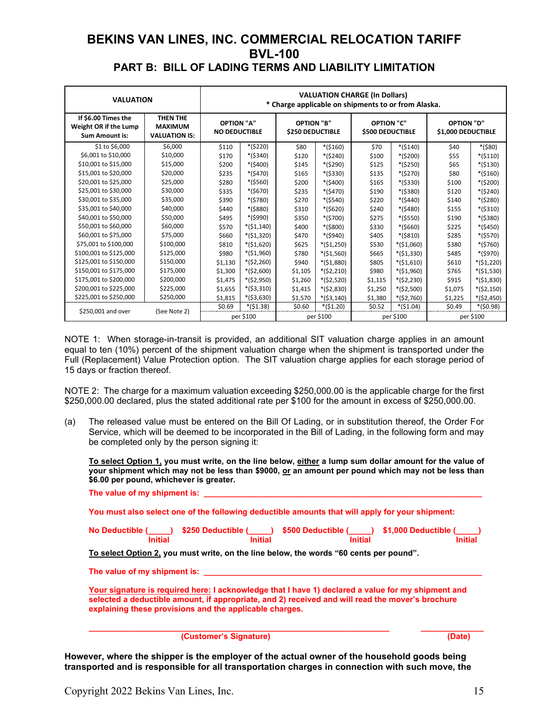| <b>VALUATION</b>                                                      | <b>VALUATION CHARGE (In Dollars)</b><br>* Charge applicable on shipments to or from Alaska. |                                           |             |                                              |             |                                              |             |                                         |             |
|-----------------------------------------------------------------------|---------------------------------------------------------------------------------------------|-------------------------------------------|-------------|----------------------------------------------|-------------|----------------------------------------------|-------------|-----------------------------------------|-------------|
| If \$6.00 Times the<br>Weight OR if the Lump<br><b>Sum Amount is:</b> | THEN THE<br><b>MAXIMUM</b><br><b>VALUATION IS:</b>                                          | <b>OPTION "A"</b><br><b>NO DEDUCTIBLE</b> |             | <b>OPTION "B"</b><br><b>\$250 DEDUCTIBLE</b> |             | <b>OPTION "C"</b><br><b>\$500 DEDUCTIBLE</b> |             | <b>OPTION "D"</b><br>\$1,000 DEDUCTIBLE |             |
| \$1 to \$6,000                                                        | \$6,000                                                                                     | \$110                                     | $*($220)$   | \$80                                         | $*($160)$   | \$70                                         | $*($140)$   | \$40                                    | $*($80)$    |
| \$6,001 to \$10,000                                                   | \$10,000                                                                                    | \$170                                     | $*($340)$   | \$120                                        | *(\$240)    | \$100                                        | *(\$200)    | \$55                                    | $*($110)$   |
| \$10,001 to \$15,000                                                  | \$15,000                                                                                    | \$200                                     | $*($400)$   | \$145                                        | *(\$290)    | \$125                                        | $*($250)$   | \$65                                    | $*($130)$   |
| \$15,001 to \$20,000                                                  | \$20,000                                                                                    | \$235                                     | $*(5470)$   | \$165                                        | *(\$330)    | \$135                                        | *(\$270)    | \$80                                    | $*($160)$   |
| \$20,001 to \$25,000                                                  | \$25,000                                                                                    | \$280                                     | $*($560)$   | \$200                                        | $*($400)$   | \$165                                        | *(\$330)    | \$100                                   | $*($200)$   |
| \$25,001 to \$30,000                                                  | \$30,000                                                                                    | \$335                                     | $*($670)$   | \$235                                        | *(\$470)    | \$190                                        | *(\$380)    | \$120                                   | $*($240)$   |
| \$30,001 to \$35,000                                                  | \$35,000                                                                                    | \$390                                     | $*($780)$   | \$270                                        | $*($540)$   | \$220                                        | $*(5440)$   | \$140                                   | $*($280)$   |
| \$35,001 to \$40,000                                                  | \$40,000                                                                                    | \$440                                     | *(\$880)    | \$310                                        | *(\$620)    | \$240                                        | *(\$480)    | \$155                                   | $*($310)$   |
| \$40,001 to \$50,000                                                  | \$50,000                                                                                    | \$495                                     | *(\$990)    | \$350                                        | *(\$700)    | \$275                                        | *(\$550)    | \$190                                   | *(\$380)    |
| \$50,001 to \$60,000                                                  | \$60,000                                                                                    | \$570                                     | $*($1,140)$ | \$400                                        | *(\$800)    | \$330                                        | $*($660)$   | \$225                                   | $*($450)$   |
| \$60,001 to \$75,000                                                  | \$75,000                                                                                    | \$660                                     | $*($1,320)$ | \$470                                        | *(\$940)    | \$405                                        | $*($810)$   | \$285                                   | $*($570)$   |
| \$75,001 to \$100,000                                                 | \$100,000                                                                                   | \$810                                     | $*($1,620)$ | \$625                                        | $*($1,250)$ | \$530                                        | $*($1,060)$ | \$380                                   | $*($760)$   |
| \$100,001 to \$125,000                                                | \$125,000                                                                                   | \$980                                     | $*($1,960)$ | \$780                                        | $*($1,560)$ | \$665                                        | $*($1,330)$ | \$485                                   | *(\$970)    |
| \$125,001 to \$150,000                                                | \$150,000                                                                                   | \$1,130                                   | $*($2,260)$ | \$940                                        | $*($1,880)$ | \$805                                        | $*($1,610)$ | \$610                                   | $*($1,220)$ |
| \$150,001 to \$175,000                                                | \$175,000                                                                                   | \$1,300                                   | $*($2,600)$ | \$1,105                                      | $*($2,210)$ | \$980                                        | $*($1,960)$ | \$765                                   | $*($1,530)$ |
| \$175,001 to \$200,000                                                | \$200,000                                                                                   | \$1,475                                   | $*($2,950)$ | \$1,260                                      | $*($2,520)$ | \$1,115                                      | $*($2,230)$ | \$915                                   | $*($1,830)$ |
| \$200,001 to \$225,000                                                | \$225,000                                                                                   | \$1,655                                   | $*($3,310)$ | \$1,415                                      | $*($2,830)$ | \$1,250                                      | $*($2,500)$ | \$1,075                                 | $*($2,150)$ |
| \$225,001 to \$250,000                                                | \$250,000                                                                                   | \$1,815                                   | $*($3,630)$ | \$1,570                                      | $*($3,140)$ | \$1,380                                      | $*($2,760)$ | \$1,225                                 | *(\$2,450)  |
| \$250,001 and over                                                    | (See Note 2)                                                                                | \$0.69                                    | $*($1.38)$  | \$0.60                                       | $*($1.20)$  | \$0.52                                       | $*($1.04)$  | \$0.49                                  | $*(50.98)$  |
|                                                                       |                                                                                             |                                           | per \$100   |                                              | per \$100   |                                              | per \$100   |                                         | per \$100   |

NOTE 1: When storage-in-transit is provided, an additional SIT valuation charge applies in an amount equal to ten (10%) percent of the shipment valuation charge when the shipment is transported under the Full (Replacement) Value Protection option. The SIT valuation charge applies for each storage period of 15 days or fraction thereof.

NOTE 2: The charge for a maximum valuation exceeding \$250,000.00 is the applicable charge for the first \$250,000.00 declared, plus the stated additional rate per \$100 for the amount in excess of \$250,000.00.

(a) The released value must be entered on the Bill Of Lading, or in substitution thereof, the Order For Service, which will be deemed to be incorporated in the Bill of Lading, in the following form and may be completed only by the person signing it:

**To select Option 1, you must write, on the line below, either a lump sum dollar amount for the value of your shipment which may not be less than \$9000, or an amount per pound which may not be less than \$6.00 per pound, whichever is greater.**

| The value of my shipment is: |  |  |
|------------------------------|--|--|
|                              |  |  |

**You must also select one of the following deductible amounts that will apply for your shipment:**

| No Deductible ( | ) \$250 Deductible ( | <b>1</b> \$500 Deductible ( | ) \$1,000 Deductible ( |
|-----------------|----------------------|-----------------------------|------------------------|
| Initial         | <b>Initial</b>       | Initial                     | Initial                |

**To select Option 2, you must write, on the line below, the words "60 cents per pound".**

**The value of my shipment is: \_\_\_\_\_\_\_\_\_\_\_\_\_\_\_\_\_\_\_\_\_\_\_\_\_\_\_\_\_\_\_\_\_\_\_\_\_\_\_\_\_\_\_\_\_\_\_\_\_\_\_\_\_\_\_\_\_\_\_\_\_\_**

**Your signature is required here: I acknowledge that I have 1) declared a value for my shipment and selected a deductible amount, if appropriate, and 2) received and will read the mover's brochure explaining these provisions and the applicable charges.**

**\_\_\_\_\_\_\_\_\_\_\_\_\_\_\_\_\_\_\_\_\_\_\_\_\_\_\_\_\_\_\_\_\_\_\_\_\_\_\_\_\_\_\_\_\_\_\_\_\_\_\_\_\_\_\_\_\_\_\_\_\_\_\_\_\_\_\_ \_\_\_\_\_\_\_\_\_\_\_\_\_\_ (Customer's Signature) (Date)**

**However, where the shipper is the employer of the actual owner of the household goods being transported and is responsible for all transportation charges in connection with such move, the**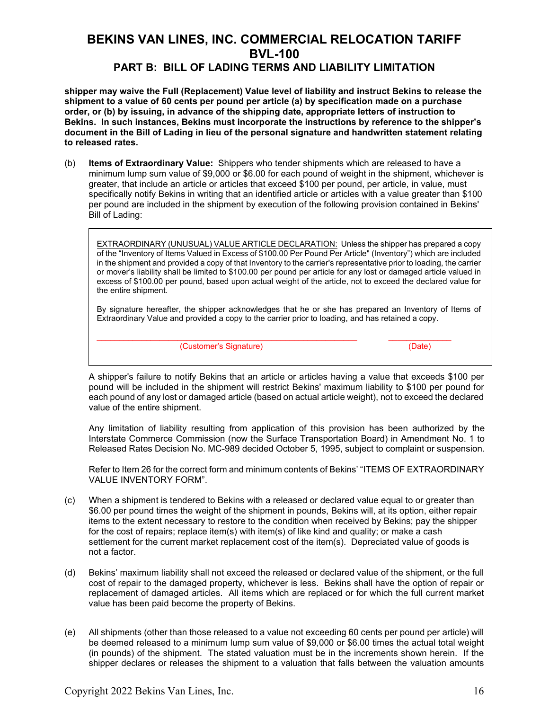### **PART B: BILL OF LADING TERMS AND LIABILITY LIMITATION**

**shipper may waive the Full (Replacement) Value level of liability and instruct Bekins to release the shipment to a value of 60 cents per pound per article (a) by specification made on a purchase order, or (b) by issuing, in advance of the shipping date, appropriate letters of instruction to Bekins. In such instances, Bekins must incorporate the instructions by reference to the shipper's document in the Bill of Lading in lieu of the personal signature and handwritten statement relating to released rates.**

(b) **Items of Extraordinary Value:** Shippers who tender shipments which are released to have a minimum lump sum value of \$9,000 or \$6.00 for each pound of weight in the shipment, whichever is greater, that include an article or articles that exceed \$100 per pound, per article, in value, must specifically notify Bekins in writing that an identified article or articles with a value greater than \$100 per pound are included in the shipment by execution of the following provision contained in Bekins' Bill of Lading:

EXTRAORDINARY (UNUSUAL) VALUE ARTICLE DECLARATION: Unless the shipper has prepared a copy of the "Inventory of Items Valued in Excess of \$100.00 Per Pound Per Article" (Inventory") which are included in the shipment and provided a copy of that Inventory to the carrier's representative prior to loading, the carrier or mover's liability shall be limited to \$100.00 per pound per article for any lost or damaged article valued in excess of \$100.00 per pound, based upon actual weight of the article, not to exceed the declared value for the entire shipment.

By signature hereafter, the shipper acknowledges that he or she has prepared an Inventory of Items of Extraordinary Value and provided a copy to the carrier prior to loading, and has retained a copy.

\_\_\_\_\_\_\_\_\_\_\_\_\_\_\_\_\_\_\_\_\_\_\_\_\_\_\_\_\_\_\_\_\_\_\_\_\_\_\_\_\_\_\_\_\_\_\_\_\_\_\_\_\_\_\_\_\_\_ \_\_\_\_\_\_\_\_\_\_\_\_\_\_ (Customer's Signature) (Date)

A shipper's failure to notify Bekins that an article or articles having a value that exceeds \$100 per pound will be included in the shipment will restrict Bekins' maximum liability to \$100 per pound for each pound of any lost or damaged article (based on actual article weight), not to exceed the declared value of the entire shipment.

Any limitation of liability resulting from application of this provision has been authorized by the Interstate Commerce Commission (now the Surface Transportation Board) in Amendment No. 1 to Released Rates Decision No. MC-989 decided October 5, 1995, subject to complaint or suspension.

Refer to Item 26 for the correct form and minimum contents of Bekins' "ITEMS OF EXTRAORDINARY VALUE INVENTORY FORM".

- (c) When a shipment is tendered to Bekins with a released or declared value equal to or greater than \$6.00 per pound times the weight of the shipment in pounds, Bekins will, at its option, either repair items to the extent necessary to restore to the condition when received by Bekins; pay the shipper for the cost of repairs; replace item(s) with item(s) of like kind and quality; or make a cash settlement for the current market replacement cost of the item(s). Depreciated value of goods is not a factor.
- (d) Bekins' maximum liability shall not exceed the released or declared value of the shipment, or the full cost of repair to the damaged property, whichever is less. Bekins shall have the option of repair or replacement of damaged articles. All items which are replaced or for which the full current market value has been paid become the property of Bekins.
- (e) All shipments (other than those released to a value not exceeding 60 cents per pound per article) will be deemed released to a minimum lump sum value of \$9,000 or \$6.00 times the actual total weight (in pounds) of the shipment. The stated valuation must be in the increments shown herein. If the shipper declares or releases the shipment to a valuation that falls between the valuation amounts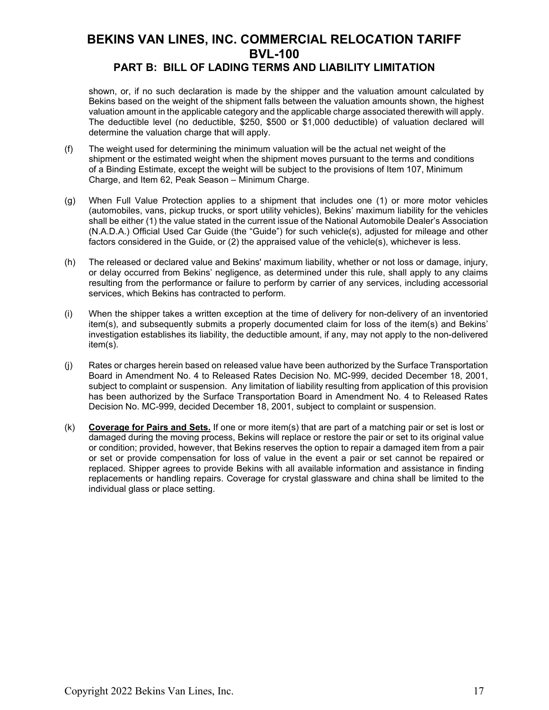#### shown, or, if no such declaration is made by the shipper and the valuation amount calculated by Bekins based on the weight of the shipment falls between the valuation amounts shown, the highest valuation amount in the applicable category and the applicable charge associated therewith will apply. The deductible level (no deductible, \$250, \$500 or \$1,000 deductible) of valuation declared will determine the valuation charge that will apply.

- (f) The weight used for determining the minimum valuation will be the actual net weight of the shipment or the estimated weight when the shipment moves pursuant to the terms and conditions of a Binding Estimate, except the weight will be subject to the provisions of Item 107, Minimum Charge, and Item 62, Peak Season – Minimum Charge.
- (g) When Full Value Protection applies to a shipment that includes one (1) or more motor vehicles (automobiles, vans, pickup trucks, or sport utility vehicles), Bekins' maximum liability for the vehicles shall be either (1) the value stated in the current issue of the National Automobile Dealer's Association (N.A.D.A.) Official Used Car Guide (the "Guide") for such vehicle(s), adjusted for mileage and other factors considered in the Guide, or (2) the appraised value of the vehicle(s), whichever is less.
- (h) The released or declared value and Bekins' maximum liability, whether or not loss or damage, injury, or delay occurred from Bekins' negligence, as determined under this rule, shall apply to any claims resulting from the performance or failure to perform by carrier of any services, including accessorial services, which Bekins has contracted to perform.
- (i) When the shipper takes a written exception at the time of delivery for non-delivery of an inventoried item(s), and subsequently submits a properly documented claim for loss of the item(s) and Bekins' investigation establishes its liability, the deductible amount, if any, may not apply to the non-delivered item(s).
- (j) Rates or charges herein based on released value have been authorized by the Surface Transportation Board in Amendment No. 4 to Released Rates Decision No. MC-999, decided December 18, 2001, subject to complaint or suspension. Any limitation of liability resulting from application of this provision has been authorized by the Surface Transportation Board in Amendment No. 4 to Released Rates Decision No. MC-999, decided December 18, 2001, subject to complaint or suspension.
- (k) **Coverage for Pairs and Sets.** If one or more item(s) that are part of a matching pair or set is lost or damaged during the moving process, Bekins will replace or restore the pair or set to its original value or condition; provided, however, that Bekins reserves the option to repair a damaged item from a pair or set or provide compensation for loss of value in the event a pair or set cannot be repaired or replaced. Shipper agrees to provide Bekins with all available information and assistance in finding replacements or handling repairs. Coverage for crystal glassware and china shall be limited to the individual glass or place setting.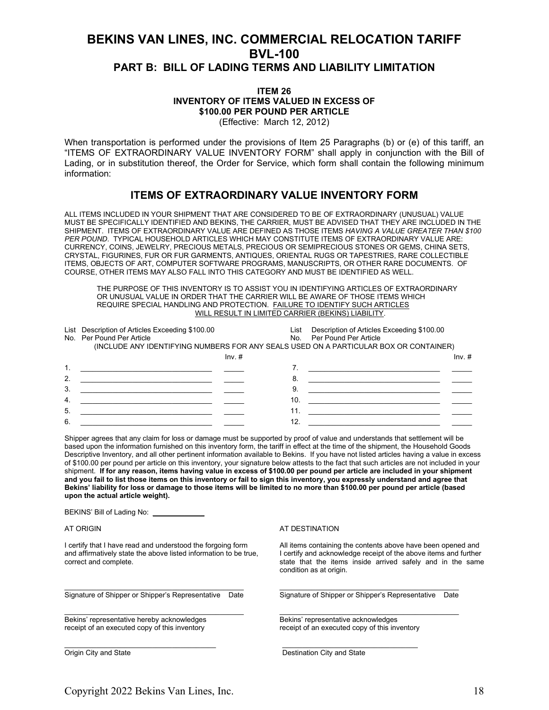#### **ITEM 26 INVENTORY OF ITEMS VALUED IN EXCESS OF \$100.00 PER POUND PER ARTICLE** (Effective: March 12, 2012)

When transportation is performed under the provisions of Item 25 Paragraphs (b) or (e) of this tariff, an "ITEMS OF EXTRAORDINARY VALUE INVENTORY FORM" shall apply in conjunction with the Bill of Lading, or in substitution thereof, the Order for Service, which form shall contain the following minimum information:

### **ITEMS OF EXTRAORDINARY VALUE INVENTORY FORM**

ALL ITEMS INCLUDED IN YOUR SHIPMENT THAT ARE CONSIDERED TO BE OF EXTRAORDINARY (UNUSUAL) VALUE MUST BE SPECIFICALLY IDENTIFIED AND BEKINS, THE CARRIER, MUST BE ADVISED THAT THEY ARE INCLUDED IN THE SHIPMENT. ITEMS OF EXTRAORDINARY VALUE ARE DEFINED AS THOSE ITEMS *HAVING A VALUE GREATER THAN \$100 PER POUND*. TYPICAL HOUSEHOLD ARTICLES WHICH MAY CONSTITUTE ITEMS OF EXTRAORDINARY VALUE ARE: CURRENCY, COINS, JEWELRY, PRECIOUS METALS, PRECIOUS OR SEMIPRECIOUS STONES OR GEMS, CHINA SETS, CRYSTAL, FIGURINES, FUR OR FUR GARMENTS, ANTIQUES, ORIENTAL RUGS OR TAPESTRIES, RARE COLLECTIBLE ITEMS, OBJECTS OF ART, COMPUTER SOFTWARE PROGRAMS, MANUSCRIPTS, OR OTHER RARE DOCUMENTS. OF COURSE, OTHER ITEMS MAY ALSO FALL INTO THIS CATEGORY AND MUST BE IDENTIFIED AS WELL.

THE PURPOSE OF THIS INVENTORY IS TO ASSIST YOU IN IDENTIFYING ARTICLES OF EXTRAORDINARY OR UNUSUAL VALUE IN ORDER THAT THE CARRIER WILL BE AWARE OF THOSE ITEMS WHICH REQUIRE SPECIAL HANDLING AND PROTECTION. FAILURE TO IDENTIFY SUCH ARTICLES WILL RESULT IN LIMITED CARRIER (BEKINS) LIABILITY.

|    | List Description of Articles Exceeding \$100.00                                       | List | Description of Articles Exceeding \$100.00 |
|----|---------------------------------------------------------------------------------------|------|--------------------------------------------|
|    | No. Per Pound Per Article                                                             |      | No. Per Pound Per Article                  |
|    | (INCLUDE ANY IDENTIFYING NUMBERS FOR ANY SEALS USED ON A PARTICULAR BOX OR CONTAINER) |      |                                            |
|    | $Inv.$ #                                                                              |      | $Inv.$ #                                   |
|    |                                                                                       |      |                                            |
| 2. |                                                                                       | 8    |                                            |
| 3. |                                                                                       | 9    |                                            |
| 4. |                                                                                       | 10.  |                                            |
| 5. |                                                                                       | 11.  |                                            |
| 6. |                                                                                       | 12.  |                                            |

Shipper agrees that any claim for loss or damage must be supported by proof of value and understands that settlement will be based upon the information furnished on this inventory form, the tariff in effect at the time of the shipment, the Household Goods Descriptive Inventory, and all other pertinent information available to Bekins. If you have not listed articles having a value in excess of \$100.00 per pound per article on this inventory, your signature below attests to the fact that such articles are not included in your shipment. **If for any reason, items having value in excess of \$100.00 per pound per article are included in your shipment and you fail to list those items on this inventory or fail to sign this inventory, you expressly understand and agree that Bekins' liability for loss or damage to those items will be limited to no more than \$100.00 per pound per article (based upon the actual article weight).**

 $\frac{1}{2}$  ,  $\frac{1}{2}$  ,  $\frac{1}{2}$  ,  $\frac{1}{2}$  ,  $\frac{1}{2}$  ,  $\frac{1}{2}$  ,  $\frac{1}{2}$  ,  $\frac{1}{2}$  ,  $\frac{1}{2}$  ,  $\frac{1}{2}$  ,  $\frac{1}{2}$  ,  $\frac{1}{2}$  ,  $\frac{1}{2}$  ,  $\frac{1}{2}$  ,  $\frac{1}{2}$  ,  $\frac{1}{2}$  ,  $\frac{1}{2}$  ,  $\frac{1}{2}$  ,  $\frac{1$ 

BEKINS' Bill of Lading No: \_\_\_\_\_

Bekins' representative hereby acknowledges<br>
receipt of an executed copy of this inventory<br>
Feceipt of an executed copy of this inventory<br>
Receipt of an executed copy of this inventory receipt of an executed copy of this inventory

\_\_\_\_\_\_\_\_\_\_\_\_\_\_\_\_\_\_\_\_\_\_\_\_\_\_\_\_\_\_\_\_\_\_\_\_\_\_ \_\_\_\_\_\_\_\_\_\_\_\_\_\_\_\_\_\_\_\_\_\_\_\_\_\_\_\_\_\_\_\_\_\_

#### AT ORIGIN AT OUTSELL THE STREET WAS ALSO ANDESTINATION

I certify that I have read and understood the forgoing form All items containing the contents above have been opened and and affirmatively state the above listed information to be true, I certify and acknowledge receipt of and affirmatively state the above listed information to be true, I certify and acknowledge receipt of the above items and further correct and complete.<br>
state that the items inside arrived safely and in the same state that the items inside arrived safely and in the same condition as at origin.

\_\_\_\_\_\_\_\_\_\_\_\_\_\_\_\_\_\_\_\_\_\_\_\_\_\_\_\_\_\_\_\_\_\_\_\_\_\_\_\_\_\_\_\_\_ \_\_\_\_\_\_\_\_\_\_\_\_\_\_\_\_\_\_\_\_\_\_\_\_\_\_\_\_\_\_\_\_\_\_\_\_\_\_\_\_\_\_\_\_\_ Signature of Shipper or Shipper's Representative Date Signature of Shipper or Shipper's Representative Date

Origin City and State Destination City and State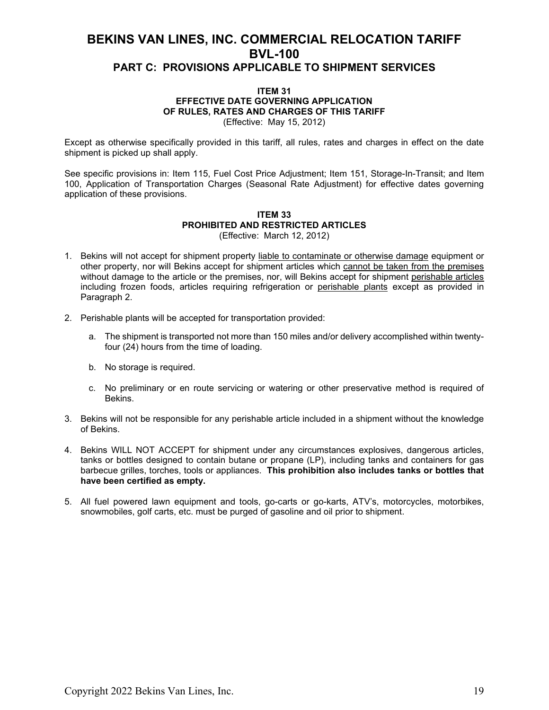#### **ITEM 31 EFFECTIVE DATE GOVERNING APPLICATION OF RULES, RATES AND CHARGES OF THIS TARIFF** (Effective: May 15, 2012)

Except as otherwise specifically provided in this tariff, all rules, rates and charges in effect on the date shipment is picked up shall apply.

See specific provisions in: Item 115, Fuel Cost Price Adjustment; Item 151, Storage-In-Transit; and Item 100, Application of Transportation Charges (Seasonal Rate Adjustment) for effective dates governing application of these provisions.

#### **ITEM 33 PROHIBITED AND RESTRICTED ARTICLES** (Effective: March 12, 2012)

- 1. Bekins will not accept for shipment property liable to contaminate or otherwise damage equipment or other property, nor will Bekins accept for shipment articles which cannot be taken from the premises without damage to the article or the premises, nor, will Bekins accept for shipment perishable articles including frozen foods, articles requiring refrigeration or perishable plants except as provided in Paragraph 2.
- 2. Perishable plants will be accepted for transportation provided:
	- a. The shipment is transported not more than 150 miles and/or delivery accomplished within twentyfour (24) hours from the time of loading.
	- b. No storage is required.
	- c. No preliminary or en route servicing or watering or other preservative method is required of Bekins.
- 3. Bekins will not be responsible for any perishable article included in a shipment without the knowledge of Bekins.
- 4. Bekins WILL NOT ACCEPT for shipment under any circumstances explosives, dangerous articles, tanks or bottles designed to contain butane or propane (LP), including tanks and containers for gas barbecue grilles, torches, tools or appliances. **This prohibition also includes tanks or bottles that have been certified as empty.**
- 5. All fuel powered lawn equipment and tools, go-carts or go-karts, ATV's, motorcycles, motorbikes, snowmobiles, golf carts, etc. must be purged of gasoline and oil prior to shipment.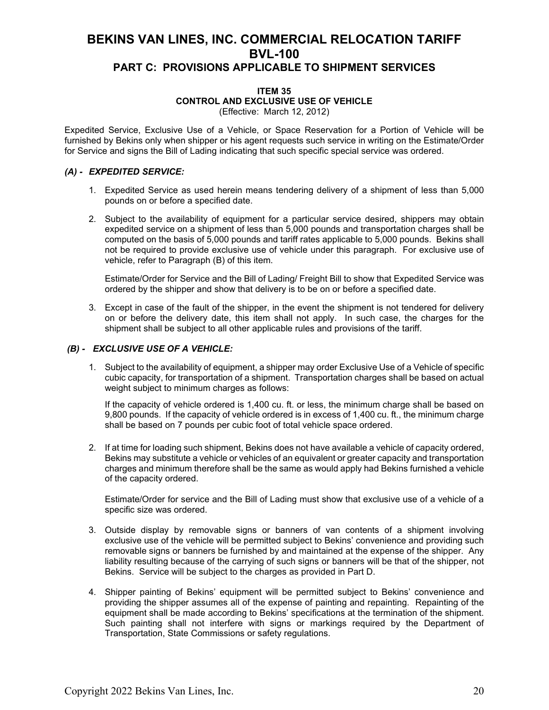#### **ITEM 35 CONTROL AND EXCLUSIVE USE OF VEHICLE** (Effective: March 12, 2012)

Expedited Service, Exclusive Use of a Vehicle, or Space Reservation for a Portion of Vehicle will be furnished by Bekins only when shipper or his agent requests such service in writing on the Estimate/Order for Service and signs the Bill of Lading indicating that such specific special service was ordered.

### *(A) - EXPEDITED SERVICE:*

- 1. Expedited Service as used herein means tendering delivery of a shipment of less than 5,000 pounds on or before a specified date.
- 2. Subject to the availability of equipment for a particular service desired, shippers may obtain expedited service on a shipment of less than 5,000 pounds and transportation charges shall be computed on the basis of 5,000 pounds and tariff rates applicable to 5,000 pounds. Bekins shall not be required to provide exclusive use of vehicle under this paragraph. For exclusive use of vehicle, refer to Paragraph (B) of this item.

Estimate/Order for Service and the Bill of Lading/ Freight Bill to show that Expedited Service was ordered by the shipper and show that delivery is to be on or before a specified date.

3. Except in case of the fault of the shipper, in the event the shipment is not tendered for delivery on or before the delivery date, this item shall not apply. In such case, the charges for the shipment shall be subject to all other applicable rules and provisions of the tariff.

### *(B) - EXCLUSIVE USE OF A VEHICLE:*

1. Subject to the availability of equipment, a shipper may order Exclusive Use of a Vehicle of specific cubic capacity, for transportation of a shipment. Transportation charges shall be based on actual weight subject to minimum charges as follows:

If the capacity of vehicle ordered is 1,400 cu. ft. or less, the minimum charge shall be based on 9,800 pounds. If the capacity of vehicle ordered is in excess of 1,400 cu. ft., the minimum charge shall be based on 7 pounds per cubic foot of total vehicle space ordered.

2. If at time for loading such shipment, Bekins does not have available a vehicle of capacity ordered, Bekins may substitute a vehicle or vehicles of an equivalent or greater capacity and transportation charges and minimum therefore shall be the same as would apply had Bekins furnished a vehicle of the capacity ordered.

Estimate/Order for service and the Bill of Lading must show that exclusive use of a vehicle of a specific size was ordered.

- 3. Outside display by removable signs or banners of van contents of a shipment involving exclusive use of the vehicle will be permitted subject to Bekins' convenience and providing such removable signs or banners be furnished by and maintained at the expense of the shipper. Any liability resulting because of the carrying of such signs or banners will be that of the shipper, not Bekins. Service will be subject to the charges as provided in Part D.
- 4. Shipper painting of Bekins' equipment will be permitted subject to Bekins' convenience and providing the shipper assumes all of the expense of painting and repainting. Repainting of the equipment shall be made according to Bekins' specifications at the termination of the shipment. Such painting shall not interfere with signs or markings required by the Department of Transportation, State Commissions or safety regulations.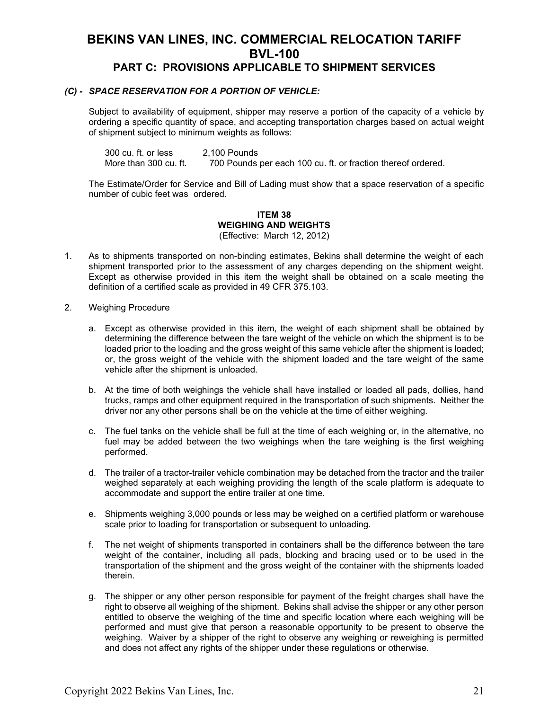### *(C) - SPACE RESERVATION FOR A PORTION OF VEHICLE:*

Subject to availability of equipment, shipper may reserve a portion of the capacity of a vehicle by ordering a specific quantity of space, and accepting transportation charges based on actual weight of shipment subject to minimum weights as follows:

300 cu. ft. or less 2,100 Pounds More than 300 cu. ft. 700 Pounds per each 100 cu. ft. or fraction thereof ordered.

The Estimate/Order for Service and Bill of Lading must show that a space reservation of a specific number of cubic feet was ordered.

#### **ITEM 38 WEIGHING AND WEIGHTS** (Effective: March 12, 2012)

- 1. As to shipments transported on non-binding estimates, Bekins shall determine the weight of each shipment transported prior to the assessment of any charges depending on the shipment weight. Except as otherwise provided in this item the weight shall be obtained on a scale meeting the definition of a certified scale as provided in 49 CFR 375.103.
- 2. Weighing Procedure
	- a. Except as otherwise provided in this item, the weight of each shipment shall be obtained by determining the difference between the tare weight of the vehicle on which the shipment is to be loaded prior to the loading and the gross weight of this same vehicle after the shipment is loaded; or, the gross weight of the vehicle with the shipment loaded and the tare weight of the same vehicle after the shipment is unloaded.
	- b. At the time of both weighings the vehicle shall have installed or loaded all pads, dollies, hand trucks, ramps and other equipment required in the transportation of such shipments. Neither the driver nor any other persons shall be on the vehicle at the time of either weighing.
	- c. The fuel tanks on the vehicle shall be full at the time of each weighing or, in the alternative, no fuel may be added between the two weighings when the tare weighing is the first weighing performed.
	- d. The trailer of a tractor-trailer vehicle combination may be detached from the tractor and the trailer weighed separately at each weighing providing the length of the scale platform is adequate to accommodate and support the entire trailer at one time.
	- e. Shipments weighing 3,000 pounds or less may be weighed on a certified platform or warehouse scale prior to loading for transportation or subsequent to unloading.
	- f. The net weight of shipments transported in containers shall be the difference between the tare weight of the container, including all pads, blocking and bracing used or to be used in the transportation of the shipment and the gross weight of the container with the shipments loaded therein.
	- g. The shipper or any other person responsible for payment of the freight charges shall have the right to observe all weighing of the shipment. Bekins shall advise the shipper or any other person entitled to observe the weighing of the time and specific location where each weighing will be performed and must give that person a reasonable opportunity to be present to observe the weighing. Waiver by a shipper of the right to observe any weighing or reweighing is permitted and does not affect any rights of the shipper under these regulations or otherwise.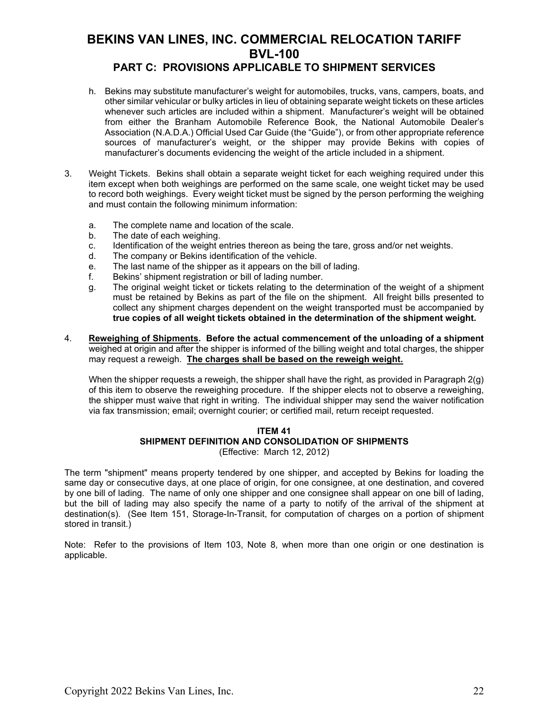### **PART C: PROVISIONS APPLICABLE TO SHIPMENT SERVICES**

- h. Bekins may substitute manufacturer's weight for automobiles, trucks, vans, campers, boats, and other similar vehicular or bulky articles in lieu of obtaining separate weight tickets on these articles whenever such articles are included within a shipment. Manufacturer's weight will be obtained from either the Branham Automobile Reference Book, the National Automobile Dealer's Association (N.A.D.A.) Official Used Car Guide (the "Guide"), or from other appropriate reference sources of manufacturer's weight, or the shipper may provide Bekins with copies of manufacturer's documents evidencing the weight of the article included in a shipment.
- 3. Weight Tickets. Bekins shall obtain a separate weight ticket for each weighing required under this item except when both weighings are performed on the same scale, one weight ticket may be used to record both weighings. Every weight ticket must be signed by the person performing the weighing and must contain the following minimum information:
	- a. The complete name and location of the scale.
	- b. The date of each weighing.
	- c. Identification of the weight entries thereon as being the tare, gross and/or net weights.
	- d. The company or Bekins identification of the vehicle.
	- e. The last name of the shipper as it appears on the bill of lading.
	- f. Bekins' shipment registration or bill of lading number.
	- g. The original weight ticket or tickets relating to the determination of the weight of a shipment must be retained by Bekins as part of the file on the shipment. All freight bills presented to collect any shipment charges dependent on the weight transported must be accompanied by **true copies of all weight tickets obtained in the determination of the shipment weight.**
- 4. **Reweighing of Shipments. Before the actual commencement of the unloading of a shipment** weighed at origin and after the shipper is informed of the billing weight and total charges, the shipper may request a reweigh. **The charges shall be based on the reweigh weight.**

When the shipper requests a reweigh, the shipper shall have the right, as provided in Paragraph 2(g) of this item to observe the reweighing procedure. If the shipper elects not to observe a reweighing, the shipper must waive that right in writing. The individual shipper may send the waiver notification via fax transmission; email; overnight courier; or certified mail, return receipt requested.

#### **ITEM 41 SHIPMENT DEFINITION AND CONSOLIDATION OF SHIPMENTS** (Effective: March 12, 2012)

The term "shipment" means property tendered by one shipper, and accepted by Bekins for loading the same day or consecutive days, at one place of origin, for one consignee, at one destination, and covered by one bill of lading. The name of only one shipper and one consignee shall appear on one bill of lading, but the bill of lading may also specify the name of a party to notify of the arrival of the shipment at destination(s). (See Item 151, Storage-In-Transit, for computation of charges on a portion of shipment stored in transit.)

Note: Refer to the provisions of Item 103, Note 8, when more than one origin or one destination is applicable.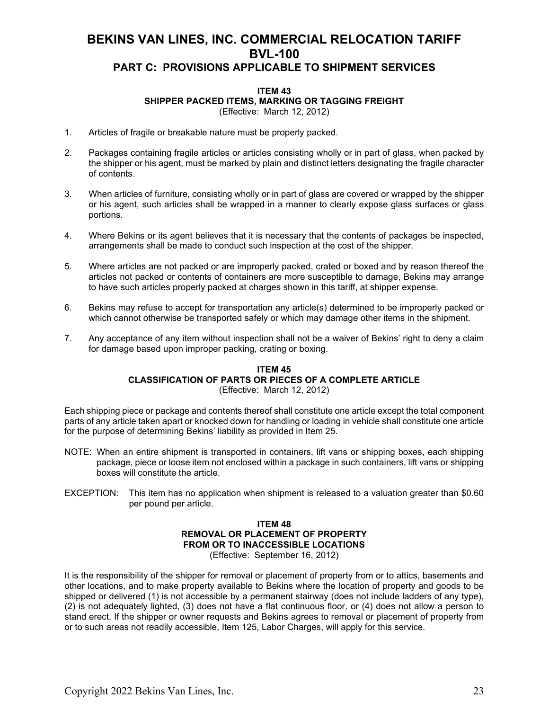### **ITEM 43 SHIPPER PACKED ITEMS, MARKING OR TAGGING FREIGHT**

(Effective: March 12, 2012)

- 1. Articles of fragile or breakable nature must be properly packed.
- 2. Packages containing fragile articles or articles consisting wholly or in part of glass, when packed by the shipper or his agent, must be marked by plain and distinct letters designating the fragile character of contents.
- 3. When articles of furniture, consisting wholly or in part of glass are covered or wrapped by the shipper or his agent, such articles shall be wrapped in a manner to clearly expose glass surfaces or glass portions.
- 4. Where Bekins or its agent believes that it is necessary that the contents of packages be inspected, arrangements shall be made to conduct such inspection at the cost of the shipper.
- 5. Where articles are not packed or are improperly packed, crated or boxed and by reason thereof the articles not packed or contents of containers are more susceptible to damage, Bekins may arrange to have such articles properly packed at charges shown in this tariff, at shipper expense.
- 6. Bekins may refuse to accept for transportation any article(s) determined to be improperly packed or which cannot otherwise be transported safely or which may damage other items in the shipment.
- 7. Any acceptance of any item without inspection shall not be a waiver of Bekins' right to deny a claim for damage based upon improper packing, crating or boxing.

#### **ITEM 45 CLASSIFICATION OF PARTS OR PIECES OF A COMPLETE ARTICLE** (Effective: March 12, 2012)

Each shipping piece or package and contents thereof shall constitute one article except the total component parts of any article taken apart or knocked down for handling or loading in vehicle shall constitute one article for the purpose of determining Bekins' liability as provided in Item 25.

- NOTE: When an entire shipment is transported in containers, lift vans or shipping boxes, each shipping package, piece or loose item not enclosed within a package in such containers, lift vans or shipping boxes will constitute the article.
- EXCEPTION: This item has no application when shipment is released to a valuation greater than \$0.60 per pound per article.

#### **ITEM 48 REMOVAL OR PLACEMENT OF PROPERTY FROM OR TO INACCESSIBLE LOCATIONS** (Effective: September 16, 2012)

It is the responsibility of the shipper for removal or placement of property from or to attics, basements and other locations, and to make property available to Bekins where the location of property and goods to be shipped or delivered (1) is not accessible by a permanent stairway (does not include ladders of any type), (2) is not adequately lighted, (3) does not have a flat continuous floor, or (4) does not allow a person to stand erect. If the shipper or owner requests and Bekins agrees to removal or placement of property from or to such areas not readily accessible, Item 125, Labor Charges, will apply for this service.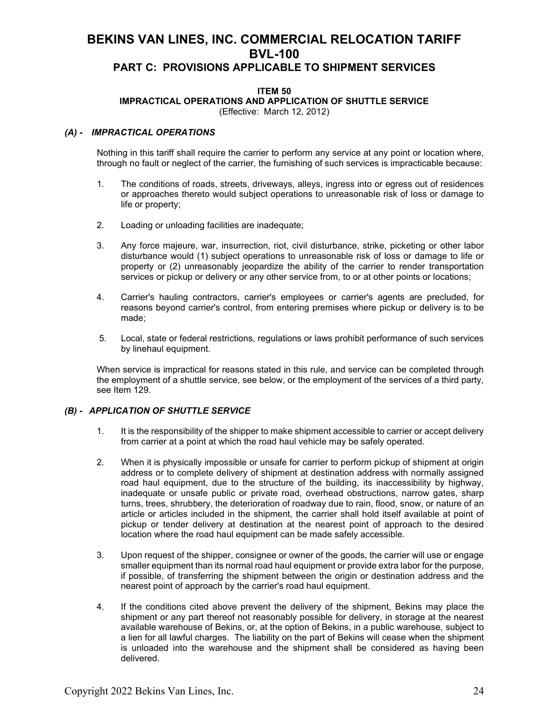### **PART C: PROVISIONS APPLICABLE TO SHIPMENT SERVICES**

### **ITEM 50**

**IMPRACTICAL OPERATIONS AND APPLICATION OF SHUTTLE SERVICE**

(Effective: March 12, 2012)

### *(A) - IMPRACTICAL OPERATIONS*

Nothing in this tariff shall require the carrier to perform any service at any point or location where, through no fault or neglect of the carrier, the furnishing of such services is impracticable because:

- 1. The conditions of roads, streets, driveways, alleys, ingress into or egress out of residences or approaches thereto would subject operations to unreasonable risk of loss or damage to life or property;
- 2. Loading or unloading facilities are inadequate;
- 3. Any force majeure, war, insurrection, riot, civil disturbance, strike, picketing or other labor disturbance would (1) subject operations to unreasonable risk of loss or damage to life or property or (2) unreasonably jeopardize the ability of the carrier to render transportation services or pickup or delivery or any other service from, to or at other points or locations;
- 4. Carrier's hauling contractors, carrier's employees or carrier's agents are precluded, for reasons beyond carrier's control, from entering premises where pickup or delivery is to be made;
- 5. Local, state or federal restrictions, regulations or laws prohibit performance of such services by linehaul equipment.

When service is impractical for reasons stated in this rule, and service can be completed through the employment of a shuttle service, see below, or the employment of the services of a third party, see Item 129.

### *(B) - APPLICATION OF SHUTTLE SERVICE*

- 1. It is the responsibility of the shipper to make shipment accessible to carrier or accept delivery from carrier at a point at which the road haul vehicle may be safely operated.
- 2. When it is physically impossible or unsafe for carrier to perform pickup of shipment at origin address or to complete delivery of shipment at destination address with normally assigned road haul equipment, due to the structure of the building, its inaccessibility by highway, inadequate or unsafe public or private road, overhead obstructions, narrow gates, sharp turns, trees, shrubbery, the deterioration of roadway due to rain, flood, snow, or nature of an article or articles included in the shipment, the carrier shall hold itself available at point of pickup or tender delivery at destination at the nearest point of approach to the desired location where the road haul equipment can be made safely accessible.
- 3. Upon request of the shipper, consignee or owner of the goods, the carrier will use or engage smaller equipment than its normal road haul equipment or provide extra labor for the purpose, if possible, of transferring the shipment between the origin or destination address and the nearest point of approach by the carrier's road haul equipment.
- 4. If the conditions cited above prevent the delivery of the shipment, Bekins may place the shipment or any part thereof not reasonably possible for delivery, in storage at the nearest available warehouse of Bekins, or, at the option of Bekins, in a public warehouse, subject to a lien for all lawful charges. The liability on the part of Bekins will cease when the shipment is unloaded into the warehouse and the shipment shall be considered as having been delivered.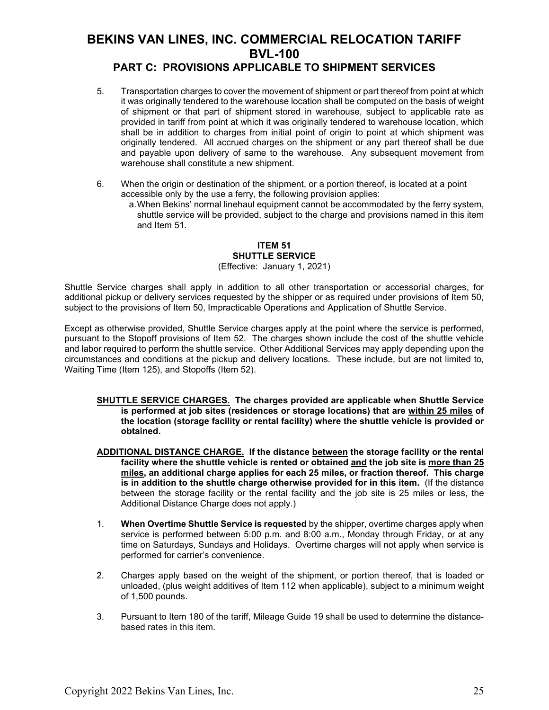### **PART C: PROVISIONS APPLICABLE TO SHIPMENT SERVICES**

- 5. Transportation charges to cover the movement of shipment or part thereof from point at which it was originally tendered to the warehouse location shall be computed on the basis of weight of shipment or that part of shipment stored in warehouse, subject to applicable rate as provided in tariff from point at which it was originally tendered to warehouse location, which shall be in addition to charges from initial point of origin to point at which shipment was originally tendered. All accrued charges on the shipment or any part thereof shall be due and payable upon delivery of same to the warehouse. Any subsequent movement from warehouse shall constitute a new shipment.
- 6. When the origin or destination of the shipment, or a portion thereof, is located at a point accessible only by the use a ferry, the following provision applies:
	- a.When Bekins' normal linehaul equipment cannot be accommodated by the ferry system, shuttle service will be provided, subject to the charge and provisions named in this item and Item 51.

#### **ITEM 51 SHUTTLE SERVICE** (Effective: January 1, 2021)

Shuttle Service charges shall apply in addition to all other transportation or accessorial charges, for additional pickup or delivery services requested by the shipper or as required under provisions of Item 50, subject to the provisions of Item 50, Impracticable Operations and Application of Shuttle Service.

Except as otherwise provided, Shuttle Service charges apply at the point where the service is performed, pursuant to the Stopoff provisions of Item 52. The charges shown include the cost of the shuttle vehicle and labor required to perform the shuttle service. Other Additional Services may apply depending upon the circumstances and conditions at the pickup and delivery locations. These include, but are not limited to, Waiting Time (Item 125), and Stopoffs (Item 52).

- **SHUTTLE SERVICE CHARGES. The charges provided are applicable when Shuttle Service is performed at job sites (residences or storage locations) that are within 25 miles of the location (storage facility or rental facility) where the shuttle vehicle is provided or obtained.**
- **ADDITIONAL DISTANCE CHARGE. If the distance between the storage facility or the rental facility where the shuttle vehicle is rented or obtained and the job site is more than 25 miles, an additional charge applies for each 25 miles, or fraction thereof. This charge is in addition to the shuttle charge otherwise provided for in this item.** (If the distance between the storage facility or the rental facility and the job site is 25 miles or less, the Additional Distance Charge does not apply.)
- 1. **When Overtime Shuttle Service is requested** by the shipper, overtime charges apply when service is performed between 5:00 p.m. and 8:00 a.m., Monday through Friday, or at any time on Saturdays, Sundays and Holidays. Overtime charges will not apply when service is performed for carrier's convenience.
- 2. Charges apply based on the weight of the shipment, or portion thereof, that is loaded or unloaded, (plus weight additives of Item 112 when applicable), subject to a minimum weight of 1,500 pounds.
- 3. Pursuant to Item 180 of the tariff, Mileage Guide 19 shall be used to determine the distancebased rates in this item.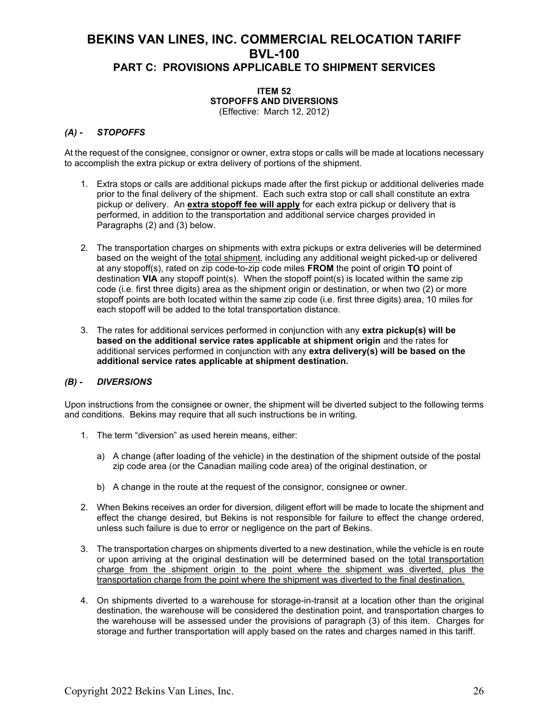#### **ITEM 52 STOPOFFS AND DIVERSIONS** (Effective: March 12, 2012)

### *(A) - STOPOFFS*

At the request of the consignee, consignor or owner, extra stops or calls will be made at locations necessary to accomplish the extra pickup or extra delivery of portions of the shipment.

- 1. Extra stops or calls are additional pickups made after the first pickup or additional deliveries made prior to the final delivery of the shipment. Each such extra stop or call shall constitute an extra pickup or delivery. An **extra stopoff fee will apply** for each extra pickup or delivery that is performed, in addition to the transportation and additional service charges provided in Paragraphs (2) and (3) below.
- 2. The transportation charges on shipments with extra pickups or extra deliveries will be determined based on the weight of the total shipment, including any additional weight picked-up or delivered at any stopoff(s), rated on zip code-to-zip code miles **FROM** the point of origin **TO** point of destination **VIA** any stopoff point(s). When the stopoff point(s) is located within the same zip code (i.e. first three digits) area as the shipment origin or destination, or when two (2) or more stopoff points are both located within the same zip code (i.e. first three digits) area, 10 miles for each stopoff will be added to the total transportation distance.
- 3. The rates for additional services performed in conjunction with any **extra pickup(s) will be based on the additional service rates applicable at shipment origin** and the rates for additional services performed in conjunction with any **extra delivery(s) will be based on the additional service rates applicable at shipment destination.**

### *(B) - DIVERSIONS*

Upon instructions from the consignee or owner, the shipment will be diverted subject to the following terms and conditions. Bekins may require that all such instructions be in writing.

- 1. The term "diversion" as used herein means, either:
	- a) A change (after loading of the vehicle) in the destination of the shipment outside of the postal zip code area (or the Canadian mailing code area) of the original destination, or
	- b) A change in the route at the request of the consignor, consignee or owner.
- 2. When Bekins receives an order for diversion, diligent effort will be made to locate the shipment and effect the change desired, but Bekins is not responsible for failure to effect the change ordered, unless such failure is due to error or negligence on the part of Bekins.
- 3. The transportation charges on shipments diverted to a new destination, while the vehicle is en route or upon arriving at the original destination will be determined based on the total transportation charge from the shipment origin to the point where the shipment was diverted, plus the transportation charge from the point where the shipment was diverted to the final destination.
- 4. On shipments diverted to a warehouse for storage-in-transit at a location other than the original destination, the warehouse will be considered the destination point, and transportation charges to the warehouse will be assessed under the provisions of paragraph (3) of this item. Charges for storage and further transportation will apply based on the rates and charges named in this tariff.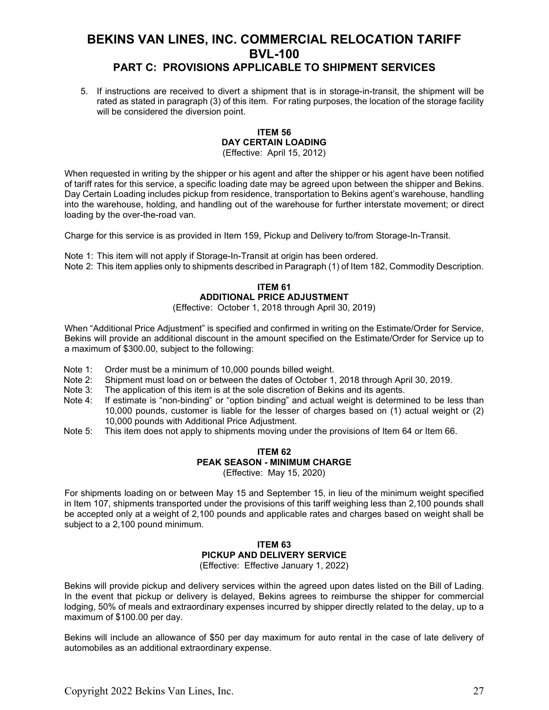### **PART C: PROVISIONS APPLICABLE TO SHIPMENT SERVICES**

5. If instructions are received to divert a shipment that is in storage-in-transit, the shipment will be rated as stated in paragraph (3) of this item. For rating purposes, the location of the storage facility will be considered the diversion point.

#### **ITEM 56 DAY CERTAIN LOADING** (Effective: April 15, 2012)

When requested in writing by the shipper or his agent and after the shipper or his agent have been notified of tariff rates for this service, a specific loading date may be agreed upon between the shipper and Bekins. Day Certain Loading includes pickup from residence, transportation to Bekins agent's warehouse, handling into the warehouse, holding, and handling out of the warehouse for further interstate movement; or direct loading by the over-the-road van.

Charge for this service is as provided in Item 159, Pickup and Delivery to/from Storage-In-Transit.

Note 1: This item will not apply if Storage-In-Transit at origin has been ordered. Note 2: This item applies only to shipments described in Paragraph (1) of Item 182, Commodity Description.

### **ITEM 61 ADDITIONAL PRICE ADJUSTMENT**

(Effective: October 1, 2018 through April 30, 2019)

When "Additional Price Adjustment" is specified and confirmed in writing on the Estimate/Order for Service, Bekins will provide an additional discount in the amount specified on the Estimate/Order for Service up to a maximum of \$300.00, subject to the following:

- Note 1: Order must be a minimum of 10,000 pounds billed weight.<br>Note 2: Shipment must load on or between the dates of October 1,
- Note 2: Shipment must load on or between the dates of October 1, 2018 through April 30, 2019.<br>Note 3: The application of this item is at the sole discretion of Bekins and its agents.
- Note 3: The application of this item is at the sole discretion of Bekins and its agents.<br>Note 4: If estimate is "non-binding" or "option binding" and actual weight is determi
- If estimate is "non-binding" or "option binding" and actual weight is determined to be less than 10,000 pounds, customer is liable for the lesser of charges based on (1) actual weight or (2) 10,000 pounds with Additional Price Adjustment.
- Note 5: This item does not apply to shipments moving under the provisions of Item 64 or Item 66.

### **ITEM 62 PEAK SEASON - MINIMUM CHARGE**

(Effective: May 15, 2020)

For shipments loading on or between May 15 and September 15, in lieu of the minimum weight specified in Item 107, shipments transported under the provisions of this tariff weighing less than 2,100 pounds shall be accepted only at a weight of 2,100 pounds and applicable rates and charges based on weight shall be subject to a 2,100 pound minimum.

### **ITEM 63 PICKUP AND DELIVERY SERVICE**

(Effective: Effective January 1, 2022)

Bekins will provide pickup and delivery services within the agreed upon dates listed on the Bill of Lading. In the event that pickup or delivery is delayed, Bekins agrees to reimburse the shipper for commercial lodging, 50% of meals and extraordinary expenses incurred by shipper directly related to the delay, up to a maximum of \$100.00 per day.

Bekins will include an allowance of \$50 per day maximum for auto rental in the case of late delivery of automobiles as an additional extraordinary expense.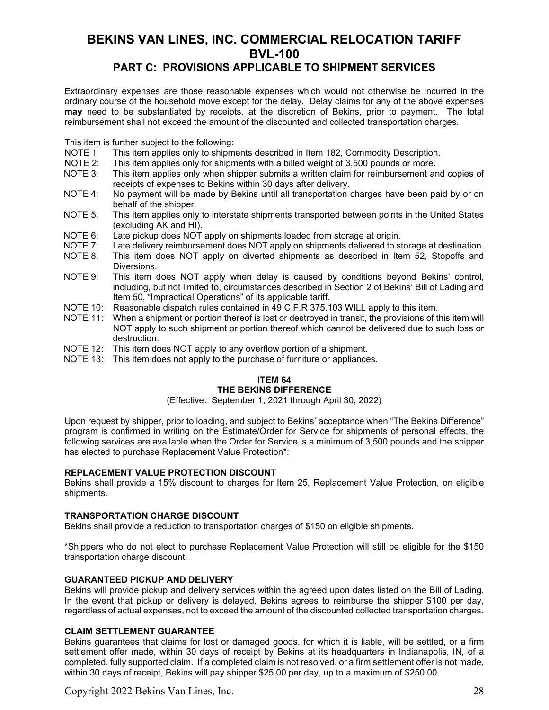### **PART C: PROVISIONS APPLICABLE TO SHIPMENT SERVICES**

Extraordinary expenses are those reasonable expenses which would not otherwise be incurred in the ordinary course of the household move except for the delay. Delay claims for any of the above expenses **may** need to be substantiated by receipts, at the discretion of Bekins, prior to payment. The total reimbursement shall not exceed the amount of the discounted and collected transportation charges.

This item is further subject to the following:

- NOTE 1 This item applies only to shipments described in Item 182, Commodity Description.<br>NOTE 2: This item applies only for shipments with a billed weight of 3,500 pounds or more.
- This item applies only for shipments with a billed weight of 3,500 pounds or more.
- NOTE 3: This item applies only when shipper submits a written claim for reimbursement and copies of receipts of expenses to Bekins within 30 days after delivery.
- NOTE 4: No payment will be made by Bekins until all transportation charges have been paid by or on behalf of the shipper.
- NOTE 5: This item applies only to interstate shipments transported between points in the United States (excluding AK and HI).
- NOTE 6: Late pickup does NOT apply on shipments loaded from storage at origin.<br>NOTE 7: Late delivery reimbursement does NOT apply on shipments delivered to st
- Late delivery reimbursement does NOT apply on shipments delivered to storage at destination.
- NOTE 8: This item does NOT apply on diverted shipments as described in Item 52, Stopoffs and Diversions.
- NOTE 9: This item does NOT apply when delay is caused by conditions beyond Bekins' control, including, but not limited to, circumstances described in Section 2 of Bekins' Bill of Lading and Item 50, "Impractical Operations" of its applicable tariff.
- NOTE 10: Reasonable dispatch rules contained in 49 C.F.R 375.103 WILL apply to this item.
- NOTE 11: When a shipment or portion thereof is lost or destroyed in transit, the provisions of this item will NOT apply to such shipment or portion thereof which cannot be delivered due to such loss or destruction.
- NOTE 12: This item does NOT apply to any overflow portion of a shipment.
- NOTE 13: This item does not apply to the purchase of furniture or appliances.

#### **ITEM 64 THE BEKINS DIFFERENCE**

(Effective: September 1, 2021 through April 30, 2022)

Upon request by shipper, prior to loading, and subject to Bekins' acceptance when "The Bekins Difference" program is confirmed in writing on the Estimate/Order for Service for shipments of personal effects, the following services are available when the Order for Service is a minimum of 3,500 pounds and the shipper has elected to purchase Replacement Value Protection\*:

### **REPLACEMENT VALUE PROTECTION DISCOUNT**

Bekins shall provide a 15% discount to charges for Item 25, Replacement Value Protection, on eligible shipments.

### **TRANSPORTATION CHARGE DISCOUNT**

Bekins shall provide a reduction to transportation charges of \$150 on eligible shipments.

\*Shippers who do not elect to purchase Replacement Value Protection will still be eligible for the \$150 transportation charge discount.

### **GUARANTEED PICKUP AND DELIVERY**

Bekins will provide pickup and delivery services within the agreed upon dates listed on the Bill of Lading. In the event that pickup or delivery is delayed, Bekins agrees to reimburse the shipper \$100 per day, regardless of actual expenses, not to exceed the amount of the discounted collected transportation charges.

### **CLAIM SETTLEMENT GUARANTEE**

Bekins guarantees that claims for lost or damaged goods, for which it is liable, will be settled, or a firm settlement offer made, within 30 days of receipt by Bekins at its headquarters in Indianapolis, IN, of a completed, fully supported claim. If a completed claim is not resolved, or a firm settlement offer is not made, within 30 days of receipt, Bekins will pay shipper \$25.00 per day, up to a maximum of \$250.00.

Copyright 2022 Bekins Van Lines, Inc. 28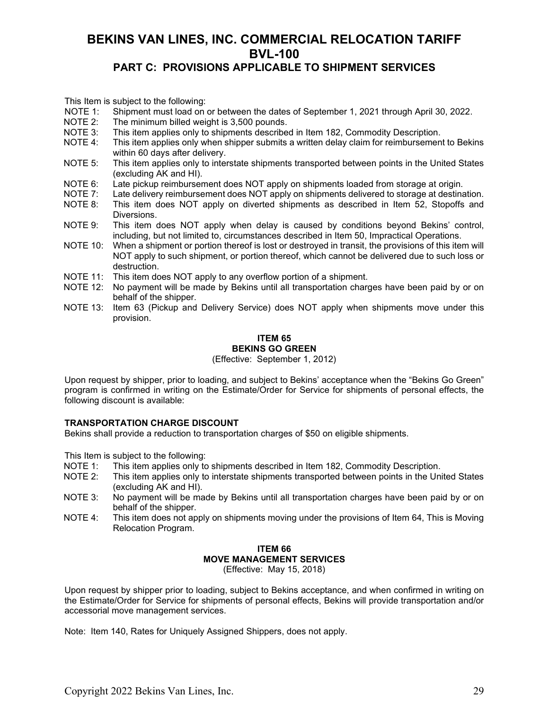### **PART C: PROVISIONS APPLICABLE TO SHIPMENT SERVICES**

This Item is subject to the following:

- NOTE 1: Shipment must load on or between the dates of September 1, 2021 through April 30, 2022.<br>NOTE 2: The minimum billed weight is 3.500 pounds.
- NOTE 2: The minimum billed weight is 3,500 pounds.<br>NOTE 3: This item applies only to shipments describe
- This item applies only to shipments described in Item 182, Commodity Description.
- NOTE 4: This item applies only when shipper submits a written delay claim for reimbursement to Bekins within 60 days after delivery.
- NOTE 5: This item applies only to interstate shipments transported between points in the United States (excluding AK and HI).
- NOTE 6: Late pickup reimbursement does NOT apply on shipments loaded from storage at origin.<br>NOTE 7: Late delivery reimbursement does NOT apply on shipments delivered to storage at destina
- Late delivery reimbursement does NOT apply on shipments delivered to storage at destination.
- NOTE 8: This item does NOT apply on diverted shipments as described in Item 52, Stopoffs and Diversions.
- NOTE 9: This item does NOT apply when delay is caused by conditions beyond Bekins' control, including, but not limited to, circumstances described in Item 50, Impractical Operations.
- NOTE 10: When a shipment or portion thereof is lost or destroyed in transit, the provisions of this item will NOT apply to such shipment, or portion thereof, which cannot be delivered due to such loss or destruction.
- NOTE 11: This item does NOT apply to any overflow portion of a shipment.
- NOTE 12: No payment will be made by Bekins until all transportation charges have been paid by or on behalf of the shipper.
- NOTE 13: Item 63 (Pickup and Delivery Service) does NOT apply when shipments move under this provision.

### **ITEM 65 BEKINS GO GREEN**

(Effective: September 1, 2012)

Upon request by shipper, prior to loading, and subject to Bekins' acceptance when the "Bekins Go Green" program is confirmed in writing on the Estimate/Order for Service for shipments of personal effects, the following discount is available:

### **TRANSPORTATION CHARGE DISCOUNT**

Bekins shall provide a reduction to transportation charges of \$50 on eligible shipments.

This Item is subject to the following:

- NOTE 1: This item applies only to shipments described in Item 182, Commodity Description.
- NOTE 2: This item applies only to interstate shipments transported between points in the United States (excluding AK and HI).
- NOTE 3: No payment will be made by Bekins until all transportation charges have been paid by or on behalf of the shipper.
- NOTE 4: This item does not apply on shipments moving under the provisions of Item 64, This is Moving Relocation Program.

### **ITEM 66 MOVE MANAGEMENT SERVICES**

(Effective: May 15, 2018)

Upon request by shipper prior to loading, subject to Bekins acceptance, and when confirmed in writing on the Estimate/Order for Service for shipments of personal effects, Bekins will provide transportation and/or accessorial move management services.

Note: Item 140, Rates for Uniquely Assigned Shippers, does not apply.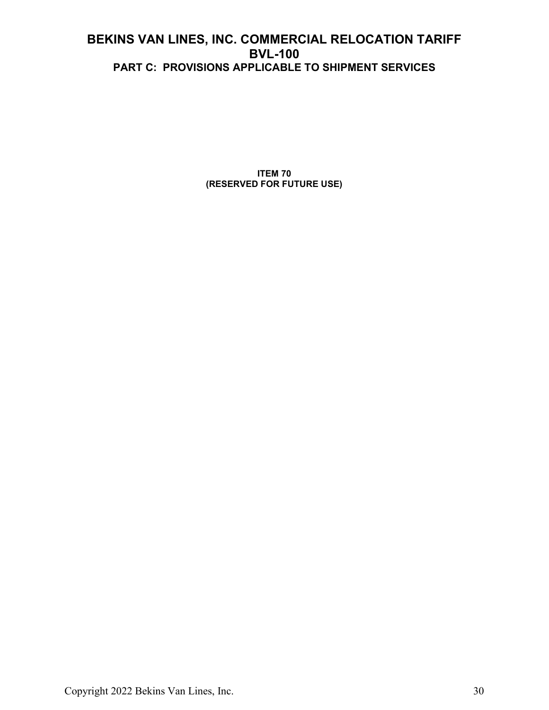**ITEM 70 (RESERVED FOR FUTURE USE)**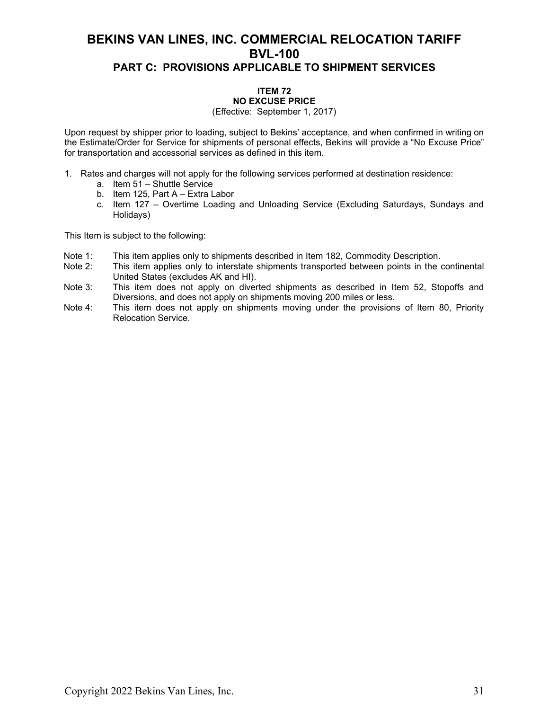### **ITEM 72 NO EXCUSE PRICE**

#### (Effective: September 1, 2017)

Upon request by shipper prior to loading, subject to Bekins' acceptance, and when confirmed in writing on the Estimate/Order for Service for shipments of personal effects, Bekins will provide a "No Excuse Price" for transportation and accessorial services as defined in this item.

- 1. Rates and charges will not apply for the following services performed at destination residence:
	- a. Item 51 Shuttle Service
	- b. Item 125, Part A Extra Labor
	- c. Item 127 Overtime Loading and Unloading Service (Excluding Saturdays, Sundays and Holidays)

This Item is subject to the following:

- Note 1: This item applies only to shipments described in Item 182, Commodity Description.<br>Note 2: This item applies only to interstate shipments transported between points in the o
- This item applies only to interstate shipments transported between points in the continental United States (excludes AK and HI).
- Note 3: This item does not apply on diverted shipments as described in Item 52, Stopoffs and Diversions, and does not apply on shipments moving 200 miles or less.
- Note 4: This item does not apply on shipments moving under the provisions of Item 80, Priority Relocation Service.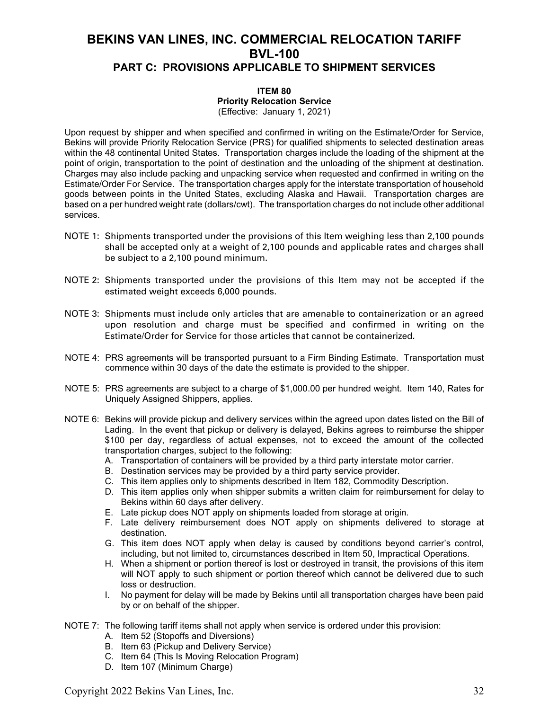### **ITEM 80 Priority Relocation Service**

(Effective: January 1, 2021)

Upon request by shipper and when specified and confirmed in writing on the Estimate/Order for Service, Bekins will provide Priority Relocation Service (PRS) for qualified shipments to selected destination areas within the 48 continental United States. Transportation charges include the loading of the shipment at the point of origin, transportation to the point of destination and the unloading of the shipment at destination. Charges may also include packing and unpacking service when requested and confirmed in writing on the Estimate/Order For Service. The transportation charges apply for the interstate transportation of household goods between points in the United States, excluding Alaska and Hawaii. Transportation charges are based on a per hundred weight rate (dollars/cwt). The transportation charges do not include other additional services.

- NOTE 1: Shipments transported under the provisions of this Item weighing less than 2,100 pounds shall be accepted only at a weight of 2,100 pounds and applicable rates and charges shall be subject to a 2,100 pound minimum.
- NOTE 2: Shipments transported under the provisions of this Item may not be accepted if the estimated weight exceeds 6,000 pounds.
- NOTE 3: Shipments must include only articles that are amenable to containerization or an agreed upon resolution and charge must be specified and confirmed in writing on the Estimate/Order for Service for those articles that cannot be containerized.
- NOTE 4: PRS agreements will be transported pursuant to a Firm Binding Estimate. Transportation must commence within 30 days of the date the estimate is provided to the shipper.
- NOTE 5: PRS agreements are subject to a charge of \$1,000.00 per hundred weight. Item 140, Rates for Uniquely Assigned Shippers, applies.
- NOTE 6: Bekins will provide pickup and delivery services within the agreed upon dates listed on the Bill of Lading. In the event that pickup or delivery is delayed, Bekins agrees to reimburse the shipper \$100 per day, regardless of actual expenses, not to exceed the amount of the collected transportation charges, subject to the following:
	- A. Transportation of containers will be provided by a third party interstate motor carrier.
	- B. Destination services may be provided by a third party service provider.
	- C. This item applies only to shipments described in Item 182, Commodity Description.
	- D. This item applies only when shipper submits a written claim for reimbursement for delay to Bekins within 60 days after delivery.
	- E. Late pickup does NOT apply on shipments loaded from storage at origin.
	- F. Late delivery reimbursement does NOT apply on shipments delivered to storage at destination.
	- G. This item does NOT apply when delay is caused by conditions beyond carrier's control, including, but not limited to, circumstances described in Item 50, Impractical Operations.
	- H. When a shipment or portion thereof is lost or destroyed in transit, the provisions of this item will NOT apply to such shipment or portion thereof which cannot be delivered due to such loss or destruction.
	- I. No payment for delay will be made by Bekins until all transportation charges have been paid by or on behalf of the shipper.
- NOTE 7: The following tariff items shall not apply when service is ordered under this provision:
	- A. Item 52 (Stopoffs and Diversions)
	- B. Item 63 (Pickup and Delivery Service)
	- C. Item 64 (This Is Moving Relocation Program)
	- D. Item 107 (Minimum Charge)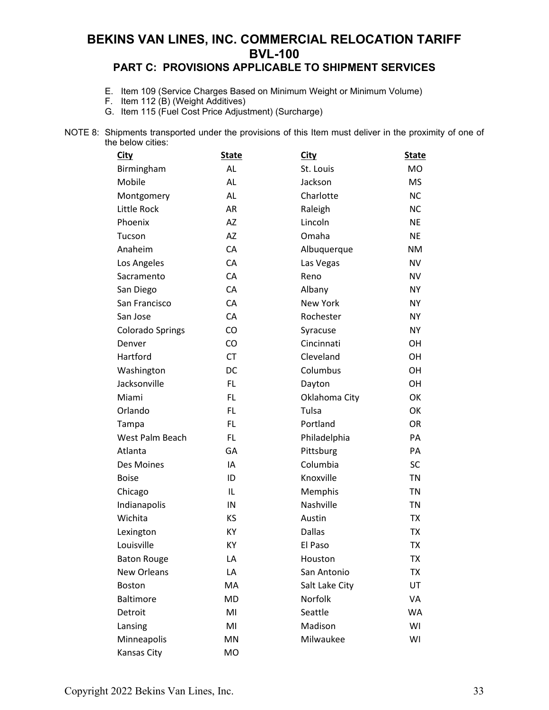### **PART C: PROVISIONS APPLICABLE TO SHIPMENT SERVICES**

- E. Item 109 (Service Charges Based on Minimum Weight or Minimum Volume)
- F. Item 112 (B) (Weight Additives)
- G. Item 115 (Fuel Cost Price Adjustment) (Surcharge)
- NOTE 8: Shipments transported under the provisions of this Item must deliver in the proximity of one of the below cities:

| <b>City</b>             | <b>State</b> | <b>City</b>     | <b>State</b> |
|-------------------------|--------------|-----------------|--------------|
| Birmingham              | <b>AL</b>    | St. Louis       | <b>MO</b>    |
| Mobile                  | <b>AL</b>    | Jackson         | <b>MS</b>    |
| Montgomery              | <b>AL</b>    | Charlotte       | <b>NC</b>    |
| Little Rock             | AR           | Raleigh         | <b>NC</b>    |
| Phoenix                 | AZ           | Lincoln         | <b>NE</b>    |
| Tucson                  | <b>AZ</b>    | Omaha           | <b>NE</b>    |
| Anaheim                 | CA           | Albuquerque     | <b>NM</b>    |
| Los Angeles             | CA           | Las Vegas       | <b>NV</b>    |
| Sacramento              | CA           | Reno            | <b>NV</b>    |
| San Diego               | CA           | Albany          | <b>NY</b>    |
| San Francisco           | CA           | <b>New York</b> | <b>NY</b>    |
| San Jose                | CA           | Rochester       | <b>NY</b>    |
| <b>Colorado Springs</b> | CO           | Syracuse        | <b>NY</b>    |
| Denver                  | CO           | Cincinnati      | OH           |
| Hartford                | <b>CT</b>    | Cleveland       | OH           |
| Washington              | DC           | Columbus        | OH           |
| Jacksonville            | FL.          | Dayton          | <b>OH</b>    |
| Miami                   | <b>FL</b>    | Oklahoma City   | OK           |
| Orlando                 | <b>FL</b>    | Tulsa           | OK           |
| Tampa                   | FL.          | Portland        | <b>OR</b>    |
| West Palm Beach         | FL.          | Philadelphia    | PA           |
| Atlanta                 | GA           | Pittsburg       | PA           |
| Des Moines              | IA           | Columbia        | <b>SC</b>    |
| <b>Boise</b>            | ID           | Knoxville       | <b>TN</b>    |
| Chicago                 | IL           | Memphis         | <b>TN</b>    |
| Indianapolis            | IN           | Nashville       | <b>TN</b>    |
| Wichita                 | KS           | Austin          | <b>TX</b>    |
| Lexington               | KY           | <b>Dallas</b>   | TX           |
| Louisville              | KY           | El Paso         | <b>TX</b>    |
| <b>Baton Rouge</b>      | LA           | Houston         | <b>TX</b>    |
| <b>New Orleans</b>      | LA           | San Antonio     | <b>TX</b>    |
| <b>Boston</b>           | MA           | Salt Lake City  | UT           |
| <b>Baltimore</b>        | MD           | Norfolk         | VA           |
| Detroit                 | MI           | Seattle         | WA           |
| Lansing                 | MI           | Madison         | WI           |
| Minneapolis             | MN           | Milwaukee       | WI           |
| Kansas City             | MO           |                 |              |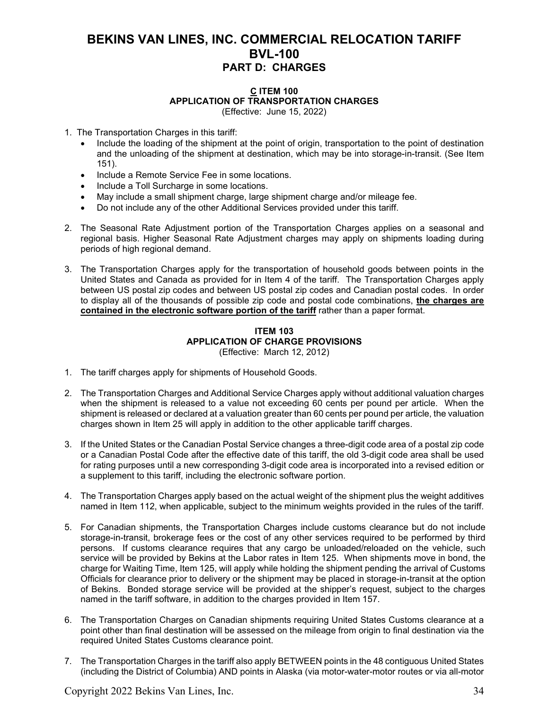#### **C ITEM 100 APPLICATION OF TRANSPORTATION CHARGES** (Effective: June 15, 2022)

- 1. The Transportation Charges in this tariff:
	- Include the loading of the shipment at the point of origin, transportation to the point of destination and the unloading of the shipment at destination, which may be into storage-in-transit. (See Item 151).
	- Include a Remote Service Fee in some locations.
	- Include a Toll Surcharge in some locations.
	- May include a small shipment charge, large shipment charge and/or mileage fee.
	- Do not include any of the other Additional Services provided under this tariff.
- 2. The Seasonal Rate Adjustment portion of the Transportation Charges applies on a seasonal and regional basis. Higher Seasonal Rate Adjustment charges may apply on shipments loading during periods of high regional demand.
- 3. The Transportation Charges apply for the transportation of household goods between points in the United States and Canada as provided for in Item 4 of the tariff. The Transportation Charges apply between US postal zip codes and between US postal zip codes and Canadian postal codes. In order to display all of the thousands of possible zip code and postal code combinations, **the charges are contained in the electronic software portion of the tariff** rather than a paper format.

#### **ITEM 103 APPLICATION OF CHARGE PROVISIONS** (Effective: March 12, 2012)

- 1. The tariff charges apply for shipments of Household Goods.
- 2. The Transportation Charges and Additional Service Charges apply without additional valuation charges when the shipment is released to a value not exceeding 60 cents per pound per article. When the shipment is released or declared at a valuation greater than 60 cents per pound per article, the valuation charges shown in Item 25 will apply in addition to the other applicable tariff charges.
- 3. If the United States or the Canadian Postal Service changes a three-digit code area of a postal zip code or a Canadian Postal Code after the effective date of this tariff, the old 3-digit code area shall be used for rating purposes until a new corresponding 3-digit code area is incorporated into a revised edition or a supplement to this tariff, including the electronic software portion.
- 4. The Transportation Charges apply based on the actual weight of the shipment plus the weight additives named in Item 112, when applicable, subject to the minimum weights provided in the rules of the tariff.
- 5. For Canadian shipments, the Transportation Charges include customs clearance but do not include storage-in-transit, brokerage fees or the cost of any other services required to be performed by third persons. If customs clearance requires that any cargo be unloaded/reloaded on the vehicle, such service will be provided by Bekins at the Labor rates in Item 125. When shipments move in bond, the charge for Waiting Time, Item 125, will apply while holding the shipment pending the arrival of Customs Officials for clearance prior to delivery or the shipment may be placed in storage-in-transit at the option of Bekins. Bonded storage service will be provided at the shipper's request, subject to the charges named in the tariff software, in addition to the charges provided in Item 157.
- 6. The Transportation Charges on Canadian shipments requiring United States Customs clearance at a point other than final destination will be assessed on the mileage from origin to final destination via the required United States Customs clearance point.
- 7. The Transportation Charges in the tariff also apply BETWEEN points in the 48 contiguous United States (including the District of Columbia) AND points in Alaska (via motor-water-motor routes or via all-motor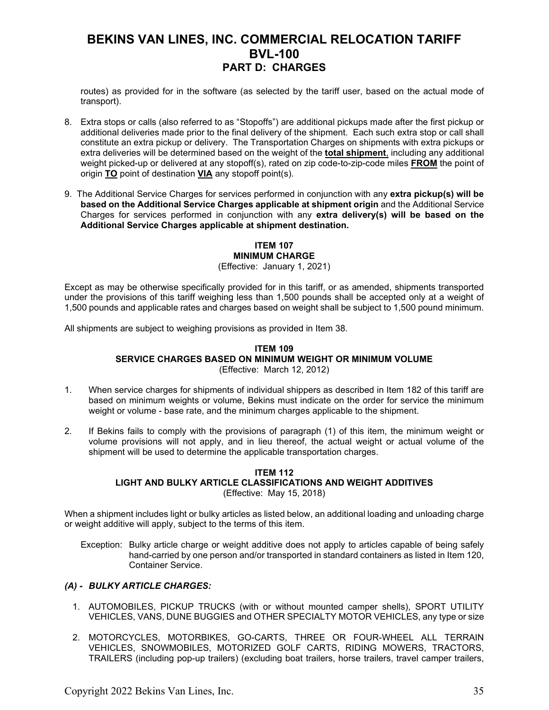routes) as provided for in the software (as selected by the tariff user, based on the actual mode of transport).

- 8. Extra stops or calls (also referred to as "Stopoffs") are additional pickups made after the first pickup or additional deliveries made prior to the final delivery of the shipment. Each such extra stop or call shall constitute an extra pickup or delivery. The Transportation Charges on shipments with extra pickups or extra deliveries will be determined based on the weight of the **total shipment**, including any additional weight picked-up or delivered at any stopoff(s), rated on zip code-to-zip-code miles **FROM** the point of origin **TO** point of destination **VIA** any stopoff point(s).
- 9. The Additional Service Charges for services performed in conjunction with any **extra pickup(s) will be based on the Additional Service Charges applicable at shipment origin** and the Additional Service Charges for services performed in conjunction with any **extra delivery(s) will be based on the Additional Service Charges applicable at shipment destination.**

### **ITEM 107 MINIMUM CHARGE**

(Effective: January 1, 2021)

Except as may be otherwise specifically provided for in this tariff, or as amended, shipments transported under the provisions of this tariff weighing less than 1,500 pounds shall be accepted only at a weight of 1,500 pounds and applicable rates and charges based on weight shall be subject to 1,500 pound minimum.

All shipments are subject to weighing provisions as provided in Item 38.

#### **ITEM 109 SERVICE CHARGES BASED ON MINIMUM WEIGHT OR MINIMUM VOLUME** (Effective: March 12, 2012)

- 1. When service charges for shipments of individual shippers as described in Item 182 of this tariff are based on minimum weights or volume, Bekins must indicate on the order for service the minimum weight or volume - base rate, and the minimum charges applicable to the shipment.
- 2. If Bekins fails to comply with the provisions of paragraph (1) of this item, the minimum weight or volume provisions will not apply, and in lieu thereof, the actual weight or actual volume of the shipment will be used to determine the applicable transportation charges.

#### **ITEM 112 LIGHT AND BULKY ARTICLE CLASSIFICATIONS AND WEIGHT ADDITIVES** (Effective: May 15, 2018)

When a shipment includes light or bulky articles as listed below, an additional loading and unloading charge or weight additive will apply, subject to the terms of this item.

Exception: Bulky article charge or weight additive does not apply to articles capable of being safely hand-carried by one person and/or transported in standard containers as listed in Item 120, Container Service.

### *(A) - BULKY ARTICLE CHARGES:*

- 1. AUTOMOBILES, PICKUP TRUCKS (with or without mounted camper shells), SPORT UTILITY VEHICLES, VANS, DUNE BUGGIES and OTHER SPECIALTY MOTOR VEHICLES, any type or size
- 2. MOTORCYCLES, MOTORBIKES, GO-CARTS, THREE OR FOUR-WHEEL ALL TERRAIN VEHICLES, SNOWMOBILES, MOTORIZED GOLF CARTS, RIDING MOWERS, TRACTORS, TRAILERS (including pop-up trailers) (excluding boat trailers, horse trailers, travel camper trailers,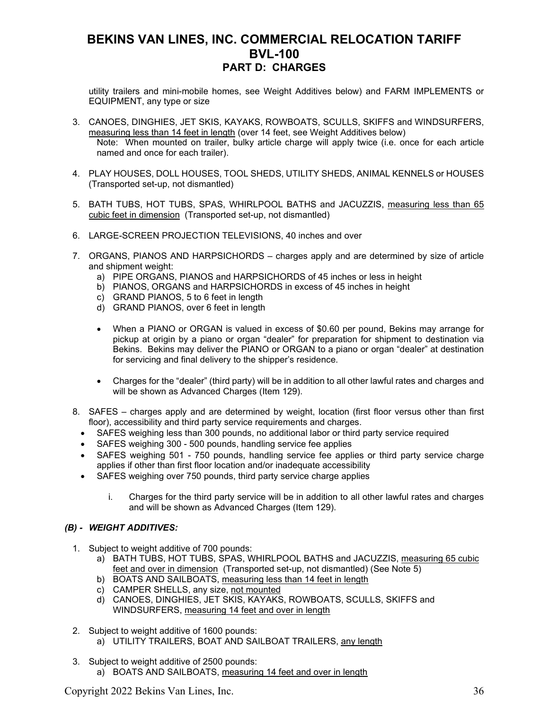utility trailers and mini-mobile homes, see Weight Additives below) and FARM IMPLEMENTS or EQUIPMENT, any type or size

- 3. CANOES, DINGHIES, JET SKIS, KAYAKS, ROWBOATS, SCULLS, SKIFFS and WINDSURFERS, measuring less than 14 feet in length (over 14 feet, see Weight Additives below) Note: When mounted on trailer, bulky article charge will apply twice (i.e. once for each article named and once for each trailer).
- 4. PLAY HOUSES, DOLL HOUSES, TOOL SHEDS, UTILITY SHEDS, ANIMAL KENNELS or HOUSES (Transported set-up, not dismantled)
- 5. BATH TUBS, HOT TUBS, SPAS, WHIRLPOOL BATHS and JACUZZIS, measuring less than 65 cubic feet in dimension (Transported set-up, not dismantled)
- 6. LARGE-SCREEN PROJECTION TELEVISIONS, 40 inches and over
- 7. ORGANS, PIANOS AND HARPSICHORDS charges apply and are determined by size of article and shipment weight:
	- a) PIPE ORGANS, PIANOS and HARPSICHORDS of 45 inches or less in height
	- b) PIANOS, ORGANS and HARPSICHORDS in excess of 45 inches in height
	- c) GRAND PIANOS, 5 to 6 feet in length
	- d) GRAND PIANOS, over 6 feet in length
	- When a PIANO or ORGAN is valued in excess of \$0.60 per pound, Bekins may arrange for pickup at origin by a piano or organ "dealer" for preparation for shipment to destination via Bekins. Bekins may deliver the PIANO or ORGAN to a piano or organ "dealer" at destination for servicing and final delivery to the shipper's residence.
	- Charges for the "dealer" (third party) will be in addition to all other lawful rates and charges and will be shown as Advanced Charges (Item 129).
- 8. SAFES charges apply and are determined by weight, location (first floor versus other than first floor), accessibility and third party service requirements and charges.
	- SAFES weighing less than 300 pounds, no additional labor or third party service required
	- SAFES weighing 300 500 pounds, handling service fee applies
	- SAFES weighing 501 750 pounds, handling service fee applies or third party service charge applies if other than first floor location and/or inadequate accessibility
	- SAFES weighing over 750 pounds, third party service charge applies
		- i. Charges for the third party service will be in addition to all other lawful rates and charges and will be shown as Advanced Charges (Item 129).

### *(B) - WEIGHT ADDITIVES:*

- 1. Subject to weight additive of 700 pounds:
	- a) BATH TUBS, HOT TUBS, SPAS, WHIRLPOOL BATHS and JACUZZIS, measuring 65 cubic feet and over in dimension (Transported set-up, not dismantled) (See Note 5)
	- b) BOATS AND SAILBOATS, measuring less than 14 feet in length
	- c) CAMPER SHELLS, any size, not mounted
	- d) CANOES, DINGHIES, JET SKIS, KAYAKS, ROWBOATS, SCULLS, SKIFFS and WINDSURFERS, measuring 14 feet and over in length
- 2. Subject to weight additive of 1600 pounds:
	- a) UTILITY TRAILERS, BOAT AND SAILBOAT TRAILERS, any length
- 3. Subject to weight additive of 2500 pounds:
	- a) BOATS AND SAILBOATS, measuring 14 feet and over in length

Copyright 2022 Bekins Van Lines, Inc. 36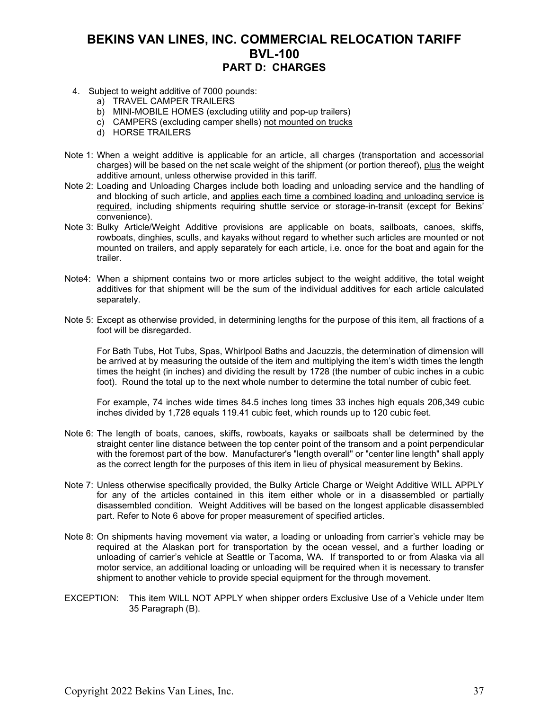- 4. Subject to weight additive of 7000 pounds:
	- a) TRAVEL CAMPER TRAILERS
	- b) MINI-MOBILE HOMES (excluding utility and pop-up trailers)
	- c) CAMPERS (excluding camper shells) not mounted on trucks
	- d) HORSE TRAILERS
- Note 1: When a weight additive is applicable for an article, all charges (transportation and accessorial charges) will be based on the net scale weight of the shipment (or portion thereof), plus the weight additive amount, unless otherwise provided in this tariff.
- Note 2: Loading and Unloading Charges include both loading and unloading service and the handling of and blocking of such article, and applies each time a combined loading and unloading service is required, including shipments requiring shuttle service or storage-in-transit (except for Bekins' convenience).
- Note 3: Bulky Article/Weight Additive provisions are applicable on boats, sailboats, canoes, skiffs, rowboats, dinghies, sculls, and kayaks without regard to whether such articles are mounted or not mounted on trailers, and apply separately for each article, i.e. once for the boat and again for the trailer.
- Note4: When a shipment contains two or more articles subject to the weight additive, the total weight additives for that shipment will be the sum of the individual additives for each article calculated separately.
- Note 5: Except as otherwise provided, in determining lengths for the purpose of this item, all fractions of a foot will be disregarded.

For Bath Tubs, Hot Tubs, Spas, Whirlpool Baths and Jacuzzis, the determination of dimension will be arrived at by measuring the outside of the item and multiplying the item's width times the length times the height (in inches) and dividing the result by 1728 (the number of cubic inches in a cubic foot). Round the total up to the next whole number to determine the total number of cubic feet.

For example, 74 inches wide times 84.5 inches long times 33 inches high equals 206,349 cubic inches divided by 1,728 equals 119.41 cubic feet, which rounds up to 120 cubic feet.

- Note 6: The length of boats, canoes, skiffs, rowboats, kayaks or sailboats shall be determined by the straight center line distance between the top center point of the transom and a point perpendicular with the foremost part of the bow. Manufacturer's "length overall" or "center line length" shall apply as the correct length for the purposes of this item in lieu of physical measurement by Bekins.
- Note 7: Unless otherwise specifically provided, the Bulky Article Charge or Weight Additive WILL APPLY for any of the articles contained in this item either whole or in a disassembled or partially disassembled condition. Weight Additives will be based on the longest applicable disassembled part. Refer to Note 6 above for proper measurement of specified articles.
- Note 8: On shipments having movement via water, a loading or unloading from carrier's vehicle may be required at the Alaskan port for transportation by the ocean vessel, and a further loading or unloading of carrier's vehicle at Seattle or Tacoma, WA. If transported to or from Alaska via all motor service, an additional loading or unloading will be required when it is necessary to transfer shipment to another vehicle to provide special equipment for the through movement.
- EXCEPTION: This item WILL NOT APPLY when shipper orders Exclusive Use of a Vehicle under Item 35 Paragraph (B).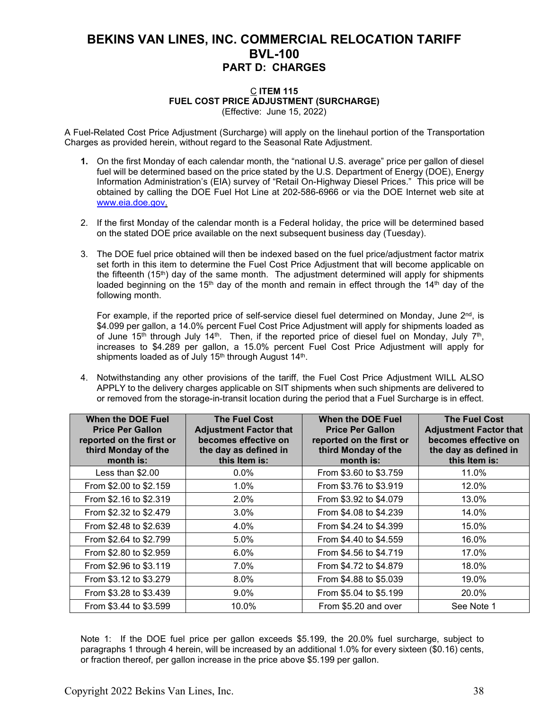#### C **ITEM 115 FUEL COST PRICE ADJUSTMENT (SURCHARGE)** (Effective: June 15, 2022)

A Fuel-Related Cost Price Adjustment (Surcharge) will apply on the linehaul portion of the Transportation Charges as provided herein, without regard to the Seasonal Rate Adjustment.

- **1.** On the first Monday of each calendar month, the "national U.S. average" price per gallon of diesel fuel will be determined based on the price stated by the U.S. Department of Energy (DOE), Energy Information Administration's (EIA) survey of "Retail On-Highway Diesel Prices." This price will be obtained by calling the DOE Fuel Hot Line at 202-586-6966 or via the DOE Internet web site at [www.eia.doe.gov.](http://www.eia.doe.gov/)
- 2. If the first Monday of the calendar month is a Federal holiday, the price will be determined based on the stated DOE price available on the next subsequent business day (Tuesday).
- 3. The DOE fuel price obtained will then be indexed based on the fuel price/adjustment factor matrix set forth in this item to determine the Fuel Cost Price Adjustment that will become applicable on the fifteenth (15<sup>th</sup>) day of the same month. The adjustment determined will apply for shipments loaded beginning on the 15<sup>th</sup> day of the month and remain in effect through the 14<sup>th</sup> day of the following month.

For example, if the reported price of self-service diesel fuel determined on Monday, June 2<sup>nd</sup>, is \$4.099 per gallon, a 14.0% percent Fuel Cost Price Adjustment will apply for shipments loaded as of June 15<sup>th</sup> through July 14<sup>th</sup>. Then, if the reported price of diesel fuel on Monday, July 7<sup>th</sup>, increases to \$4.289 per gallon, a 15.0% percent Fuel Cost Price Adjustment will apply for shipments loaded as of July  $15<sup>th</sup>$  through August  $14<sup>th</sup>$ .

4. Notwithstanding any other provisions of the tariff, the Fuel Cost Price Adjustment WILL ALSO APPLY to the delivery charges applicable on SIT shipments when such shipments are delivered to or removed from the storage-in-transit location during the period that a Fuel Surcharge is in effect.

| <b>When the DOE Fuel</b><br><b>Price Per Gallon</b><br>reported on the first or<br>third Monday of the<br>month is: | <b>The Fuel Cost</b><br><b>Adjustment Factor that</b><br>becomes effective on<br>the day as defined in<br>this Item is: | When the DOE Fuel<br><b>Price Per Gallon</b><br>reported on the first or<br>third Monday of the<br>month is: | <b>The Fuel Cost</b><br><b>Adjustment Factor that</b><br>becomes effective on<br>the day as defined in<br>this Item is: |
|---------------------------------------------------------------------------------------------------------------------|-------------------------------------------------------------------------------------------------------------------------|--------------------------------------------------------------------------------------------------------------|-------------------------------------------------------------------------------------------------------------------------|
| Less than \$2.00                                                                                                    | $0.0\%$                                                                                                                 | From \$3.60 to \$3.759                                                                                       | 11.0%                                                                                                                   |
| From \$2.00 to \$2.159                                                                                              | $1.0\%$                                                                                                                 | From \$3.76 to \$3.919                                                                                       | 12.0%                                                                                                                   |
| From \$2.16 to \$2.319                                                                                              | $2.0\%$                                                                                                                 | From \$3.92 to \$4.079                                                                                       | 13.0%                                                                                                                   |
| From \$2.32 to \$2.479                                                                                              | 3.0%                                                                                                                    | From \$4.08 to \$4.239                                                                                       | 14.0%                                                                                                                   |
| From \$2.48 to \$2.639                                                                                              | 4.0%                                                                                                                    | From \$4.24 to \$4.399                                                                                       | 15.0%                                                                                                                   |
| From \$2.64 to \$2.799                                                                                              | 5.0%                                                                                                                    | From \$4.40 to \$4.559                                                                                       | 16.0%                                                                                                                   |
| From \$2.80 to \$2.959                                                                                              | 6.0%                                                                                                                    | From \$4.56 to \$4.719                                                                                       | 17.0%                                                                                                                   |
| From \$2.96 to \$3.119                                                                                              | 7.0%                                                                                                                    | From \$4.72 to \$4.879                                                                                       | 18.0%                                                                                                                   |
| From \$3.12 to \$3.279                                                                                              | 8.0%                                                                                                                    | From \$4.88 to \$5.039                                                                                       | 19.0%                                                                                                                   |
| From \$3.28 to \$3.439                                                                                              | 9.0%                                                                                                                    | From \$5.04 to \$5.199                                                                                       | 20.0%                                                                                                                   |
| From \$3.44 to \$3.599                                                                                              | 10.0%                                                                                                                   | From \$5.20 and over                                                                                         | See Note 1                                                                                                              |

Note 1: If the DOE fuel price per gallon exceeds \$5.199, the 20.0% fuel surcharge, subject to paragraphs 1 through 4 herein, will be increased by an additional 1.0% for every sixteen (\$0.16) cents, or fraction thereof, per gallon increase in the price above \$5.199 per gallon.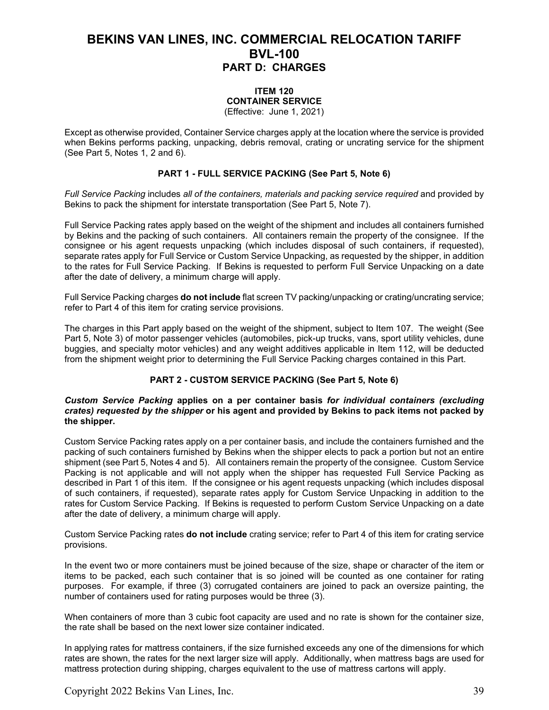### **ITEM 120 CONTAINER SERVICE**

(Effective: June 1, 2021)

Except as otherwise provided, Container Service charges apply at the location where the service is provided when Bekins performs packing, unpacking, debris removal, crating or uncrating service for the shipment (See Part 5, Notes 1, 2 and 6).

### **PART 1 - FULL SERVICE PACKING (See Part 5, Note 6)**

*Full Service Packing* includes *all of the containers, materials and packing service required* and provided by Bekins to pack the shipment for interstate transportation (See Part 5, Note 7).

Full Service Packing rates apply based on the weight of the shipment and includes all containers furnished by Bekins and the packing of such containers. All containers remain the property of the consignee. If the consignee or his agent requests unpacking (which includes disposal of such containers, if requested), separate rates apply for Full Service or Custom Service Unpacking, as requested by the shipper, in addition to the rates for Full Service Packing. If Bekins is requested to perform Full Service Unpacking on a date after the date of delivery, a minimum charge will apply.

Full Service Packing charges **do not include** flat screen TV packing/unpacking or crating/uncrating service; refer to Part 4 of this item for crating service provisions.

The charges in this Part apply based on the weight of the shipment, subject to Item 107. The weight (See Part 5, Note 3) of motor passenger vehicles (automobiles, pick-up trucks, vans, sport utility vehicles, dune buggies, and specialty motor vehicles) and any weight additives applicable in Item 112, will be deducted from the shipment weight prior to determining the Full Service Packing charges contained in this Part.

### **PART 2 - CUSTOM SERVICE PACKING (See Part 5, Note 6)**

#### *Custom Service Packing* **applies on a per container basis** *for individual containers (excluding crates) requested by the shipper* **or his agent and provided by Bekins to pack items not packed by the shipper.**

Custom Service Packing rates apply on a per container basis, and include the containers furnished and the packing of such containers furnished by Bekins when the shipper elects to pack a portion but not an entire shipment (see Part 5, Notes 4 and 5). All containers remain the property of the consignee. Custom Service Packing is not applicable and will not apply when the shipper has requested Full Service Packing as described in Part 1 of this item. If the consignee or his agent requests unpacking (which includes disposal of such containers, if requested), separate rates apply for Custom Service Unpacking in addition to the rates for Custom Service Packing. If Bekins is requested to perform Custom Service Unpacking on a date after the date of delivery, a minimum charge will apply.

Custom Service Packing rates **do not include** crating service; refer to Part 4 of this item for crating service provisions.

In the event two or more containers must be joined because of the size, shape or character of the item or items to be packed, each such container that is so joined will be counted as one container for rating purposes. For example, if three (3) corrugated containers are joined to pack an oversize painting, the number of containers used for rating purposes would be three (3).

When containers of more than 3 cubic foot capacity are used and no rate is shown for the container size, the rate shall be based on the next lower size container indicated.

In applying rates for mattress containers, if the size furnished exceeds any one of the dimensions for which rates are shown, the rates for the next larger size will apply. Additionally, when mattress bags are used for mattress protection during shipping, charges equivalent to the use of mattress cartons will apply.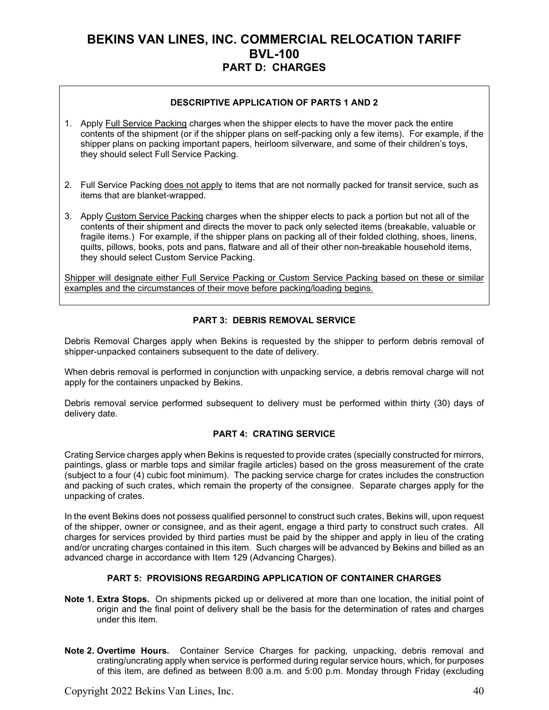### **DESCRIPTIVE APPLICATION OF PARTS 1 AND 2**

- 1. Apply Full Service Packing charges when the shipper elects to have the mover pack the entire contents of the shipment (or if the shipper plans on self-packing only a few items). For example, if the shipper plans on packing important papers, heirloom silverware, and some of their children's toys, they should select Full Service Packing.
- 2. Full Service Packing does not apply to items that are not normally packed for transit service, such as items that are blanket-wrapped.
- 3. Apply Custom Service Packing charges when the shipper elects to pack a portion but not all of the contents of their shipment and directs the mover to pack only selected items (breakable, valuable or fragile items.) For example, if the shipper plans on packing all of their folded clothing, shoes, linens, quilts, pillows, books, pots and pans, flatware and all of their other non-breakable household items, they should select Custom Service Packing.

Shipper will designate either Full Service Packing or Custom Service Packing based on these or similar examples and the circumstances of their move before packing/loading begins.

### **PART 3: DEBRIS REMOVAL SERVICE**

Debris Removal Charges apply when Bekins is requested by the shipper to perform debris removal of shipper-unpacked containers subsequent to the date of delivery.

When debris removal is performed in conjunction with unpacking service, a debris removal charge will not apply for the containers unpacked by Bekins.

Debris removal service performed subsequent to delivery must be performed within thirty (30) days of delivery date.

#### **PART 4: CRATING SERVICE**

Crating Service charges apply when Bekins is requested to provide crates (specially constructed for mirrors, paintings, glass or marble tops and similar fragile articles) based on the gross measurement of the crate (subject to a four (4) cubic foot minimum). The packing service charge for crates includes the construction and packing of such crates, which remain the property of the consignee. Separate charges apply for the unpacking of crates.

In the event Bekins does not possess qualified personnel to construct such crates, Bekins will, upon request of the shipper, owner or consignee, and as their agent, engage a third party to construct such crates. All charges for services provided by third parties must be paid by the shipper and apply in lieu of the crating and/or uncrating charges contained in this item. Such charges will be advanced by Bekins and billed as an advanced charge in accordance with Item 129 (Advancing Charges).

### **PART 5: PROVISIONS REGARDING APPLICATION OF CONTAINER CHARGES**

- **Note 1. Extra Stops.** On shipments picked up or delivered at more than one location, the initial point of origin and the final point of delivery shall be the basis for the determination of rates and charges under this item.
- **Note 2. Overtime Hours.** Container Service Charges for packing, unpacking, debris removal and crating/uncrating apply when service is performed during regular service hours, which, for purposes of this item, are defined as between 8:00 a.m. and 5:00 p.m. Monday through Friday (excluding

Copyright 2022 Bekins Van Lines, Inc. 40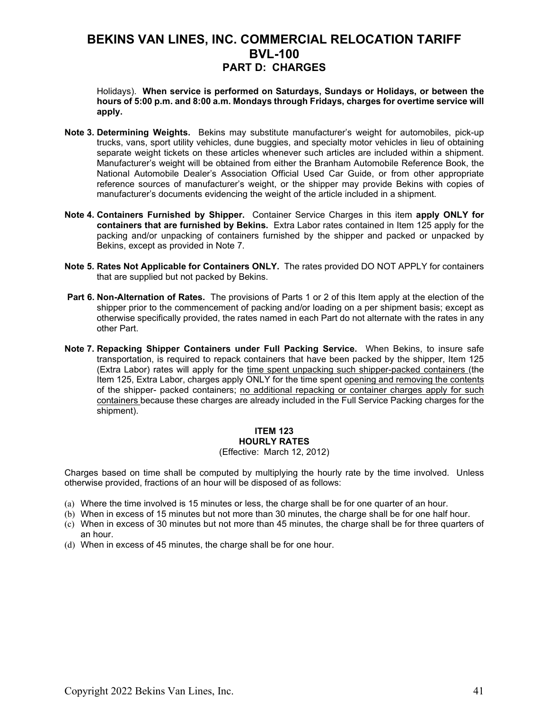Holidays). **When service is performed on Saturdays, Sundays or Holidays, or between the hours of 5:00 p.m. and 8:00 a.m. Mondays through Fridays, charges for overtime service will apply.** 

- **Note 3. Determining Weights.** Bekins may substitute manufacturer's weight for automobiles, pick-up trucks, vans, sport utility vehicles, dune buggies, and specialty motor vehicles in lieu of obtaining separate weight tickets on these articles whenever such articles are included within a shipment. Manufacturer's weight will be obtained from either the Branham Automobile Reference Book, the National Automobile Dealer's Association Official Used Car Guide, or from other appropriate reference sources of manufacturer's weight, or the shipper may provide Bekins with copies of manufacturer's documents evidencing the weight of the article included in a shipment.
- **Note 4. Containers Furnished by Shipper.** Container Service Charges in this item **apply ONLY for containers that are furnished by Bekins.** Extra Labor rates contained in Item 125 apply for the packing and/or unpacking of containers furnished by the shipper and packed or unpacked by Bekins, except as provided in Note 7.
- **Note 5. Rates Not Applicable for Containers ONLY.** The rates provided DO NOT APPLY for containers that are supplied but not packed by Bekins.
- **Part 6. Non-Alternation of Rates.** The provisions of Parts 1 or 2 of this Item apply at the election of the shipper prior to the commencement of packing and/or loading on a per shipment basis; except as otherwise specifically provided, the rates named in each Part do not alternate with the rates in any other Part.
- **Note 7. Repacking Shipper Containers under Full Packing Service.** When Bekins, to insure safe transportation, is required to repack containers that have been packed by the shipper, Item 125 (Extra Labor) rates will apply for the time spent unpacking such shipper-packed containers (the Item 125, Extra Labor, charges apply ONLY for the time spent opening and removing the contents of the shipper- packed containers; no additional repacking or container charges apply for such containers because these charges are already included in the Full Service Packing charges for the shipment).

### **ITEM 123 HOURLY RATES**

#### (Effective: March 12, 2012)

Charges based on time shall be computed by multiplying the hourly rate by the time involved. Unless otherwise provided, fractions of an hour will be disposed of as follows:

- (a) Where the time involved is 15 minutes or less, the charge shall be for one quarter of an hour.
- (b) When in excess of 15 minutes but not more than 30 minutes, the charge shall be for one half hour.
- (c) When in excess of 30 minutes but not more than 45 minutes, the charge shall be for three quarters of an hour.
- (d) When in excess of 45 minutes, the charge shall be for one hour.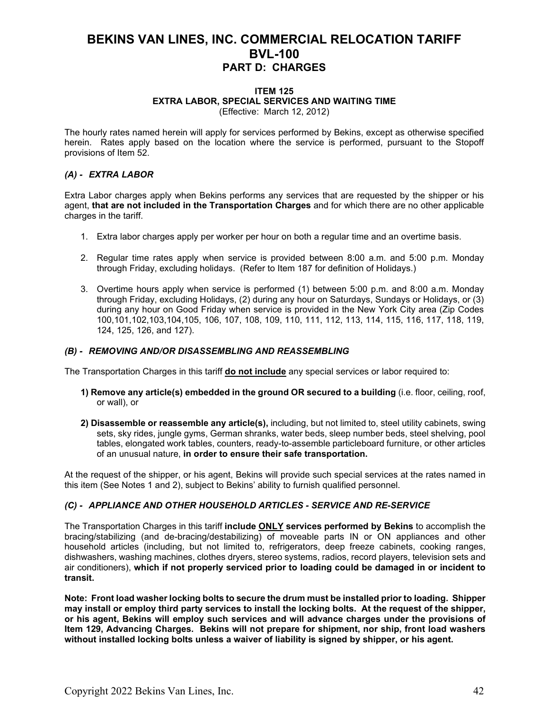#### **ITEM 125 EXTRA LABOR, SPECIAL SERVICES AND WAITING TIME** (Effective: March 12, 2012)

The hourly rates named herein will apply for services performed by Bekins, except as otherwise specified herein. Rates apply based on the location where the service is performed, pursuant to the Stopoff provisions of Item 52.

### *(A) - EXTRA LABOR*

Extra Labor charges apply when Bekins performs any services that are requested by the shipper or his agent, **that are not included in the Transportation Charges** and for which there are no other applicable charges in the tariff.

- 1. Extra labor charges apply per worker per hour on both a regular time and an overtime basis.
- 2. Regular time rates apply when service is provided between 8:00 a.m. and 5:00 p.m. Monday through Friday, excluding holidays. (Refer to Item 187 for definition of Holidays.)
- 3. Overtime hours apply when service is performed (1) between 5:00 p.m. and 8:00 a.m. Monday through Friday, excluding Holidays, (2) during any hour on Saturdays, Sundays or Holidays, or (3) during any hour on Good Friday when service is provided in the New York City area (Zip Codes 100,101,102,103,104,105, 106, 107, 108, 109, 110, 111, 112, 113, 114, 115, 116, 117, 118, 119, 124, 125, 126, and 127).

### *(B) - REMOVING AND/OR DISASSEMBLING AND REASSEMBLING*

The Transportation Charges in this tariff **do not include** any special services or labor required to:

- **1) Remove any article(s) embedded in the ground OR secured to a building** (i.e. floor, ceiling, roof, or wall), or
- **2) Disassemble or reassemble any article(s),** including, but not limited to, steel utility cabinets, swing sets, sky rides, jungle gyms, German shranks, water beds, sleep number beds, steel shelving, pool tables, elongated work tables, counters, ready-to-assemble particleboard furniture, or other articles of an unusual nature, **in order to ensure their safe transportation.**

At the request of the shipper, or his agent, Bekins will provide such special services at the rates named in this item (See Notes 1 and 2), subject to Bekins' ability to furnish qualified personnel.

### *(C) - APPLIANCE AND OTHER HOUSEHOLD ARTICLES - SERVICE AND RE-SERVICE*

The Transportation Charges in this tariff **include ONLY services performed by Bekins** to accomplish the bracing/stabilizing (and de-bracing/destabilizing) of moveable parts IN or ON appliances and other household articles (including, but not limited to, refrigerators, deep freeze cabinets, cooking ranges, dishwashers, washing machines, clothes dryers, stereo systems, radios, record players, television sets and air conditioners), **which if not properly serviced prior to loading could be damaged in or incident to transit.**

**Note: Front load washer locking bolts to secure the drum must be installed prior to loading. Shipper may install or employ third party services to install the locking bolts. At the request of the shipper, or his agent, Bekins will employ such services and will advance charges under the provisions of Item 129, Advancing Charges. Bekins will not prepare for shipment, nor ship, front load washers without installed locking bolts unless a waiver of liability is signed by shipper, or his agent.**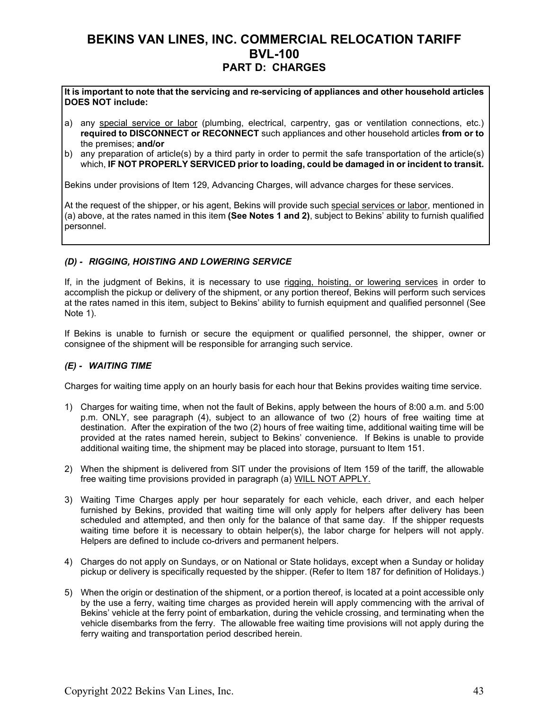**It is important to note that the servicing and re-servicing of appliances and other household articles DOES NOT include:**

- a) any special service or labor (plumbing, electrical, carpentry, gas or ventilation connections, etc.) **required to DISCONNECT or RECONNECT** such appliances and other household articles **from or to** the premises; **and/or**
- b) any preparation of article(s) by a third party in order to permit the safe transportation of the article(s) which, **IF NOT PROPERLY SERVICED prior to loading, could be damaged in or incident to transit.**

Bekins under provisions of Item 129, Advancing Charges, will advance charges for these services.

At the request of the shipper, or his agent, Bekins will provide such special services or labor, mentioned in (a) above, at the rates named in this item **(See Notes 1 and 2)**, subject to Bekins' ability to furnish qualified personnel.

### *(D) - RIGGING, HOISTING AND LOWERING SERVICE*

If, in the judgment of Bekins, it is necessary to use rigging, hoisting, or lowering services in order to accomplish the pickup or delivery of the shipment, or any portion thereof, Bekins will perform such services at the rates named in this item, subject to Bekins' ability to furnish equipment and qualified personnel (See Note 1).

If Bekins is unable to furnish or secure the equipment or qualified personnel, the shipper, owner or consignee of the shipment will be responsible for arranging such service.

### *(E) - WAITING TIME*

Charges for waiting time apply on an hourly basis for each hour that Bekins provides waiting time service.

- 1) Charges for waiting time, when not the fault of Bekins, apply between the hours of 8:00 a.m. and 5:00 p.m. ONLY, see paragraph (4), subject to an allowance of two (2) hours of free waiting time at destination. After the expiration of the two (2) hours of free waiting time, additional waiting time will be provided at the rates named herein, subject to Bekins' convenience. If Bekins is unable to provide additional waiting time, the shipment may be placed into storage, pursuant to Item 151.
- 2) When the shipment is delivered from SIT under the provisions of Item 159 of the tariff, the allowable free waiting time provisions provided in paragraph (a) WILL NOT APPLY.
- 3) Waiting Time Charges apply per hour separately for each vehicle, each driver, and each helper furnished by Bekins, provided that waiting time will only apply for helpers after delivery has been scheduled and attempted, and then only for the balance of that same day. If the shipper requests waiting time before it is necessary to obtain helper(s), the labor charge for helpers will not apply. Helpers are defined to include co-drivers and permanent helpers.
- 4) Charges do not apply on Sundays, or on National or State holidays, except when a Sunday or holiday pickup or delivery is specifically requested by the shipper. (Refer to Item 187 for definition of Holidays.)
- 5) When the origin or destination of the shipment, or a portion thereof, is located at a point accessible only by the use a ferry, waiting time charges as provided herein will apply commencing with the arrival of Bekins' vehicle at the ferry point of embarkation, during the vehicle crossing, and terminating when the vehicle disembarks from the ferry. The allowable free waiting time provisions will not apply during the ferry waiting and transportation period described herein.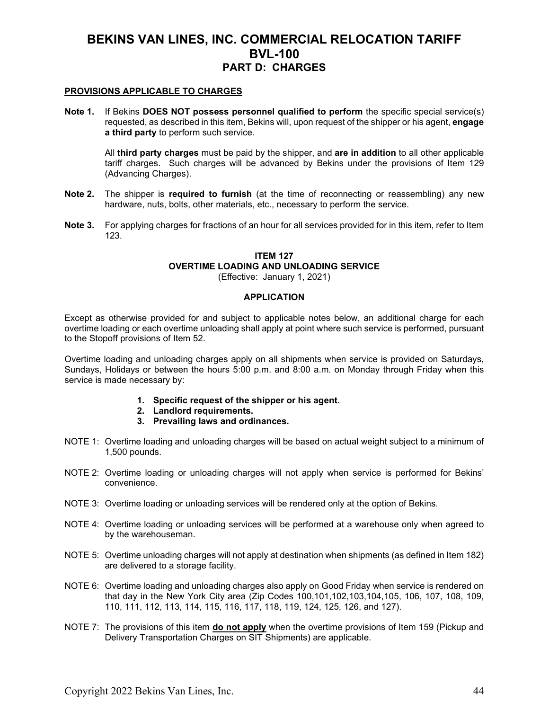#### **PROVISIONS APPLICABLE TO CHARGES**

**Note 1.** If Bekins **DOES NOT possess personnel qualified to perform** the specific special service(s) requested, as described in this item, Bekins will, upon request of the shipper or his agent, **engage a third party** to perform such service.

All **third party charges** must be paid by the shipper, and **are in addition** to all other applicable tariff charges. Such charges will be advanced by Bekins under the provisions of Item 129 (Advancing Charges).

- **Note 2.** The shipper is **required to furnish** (at the time of reconnecting or reassembling) any new hardware, nuts, bolts, other materials, etc., necessary to perform the service.
- **Note 3.** For applying charges for fractions of an hour for all services provided for in this item, refer to Item 123.

### **ITEM 127 OVERTIME LOADING AND UNLOADING SERVICE**

(Effective: January 1, 2021)

### **APPLICATION**

Except as otherwise provided for and subject to applicable notes below, an additional charge for each overtime loading or each overtime unloading shall apply at point where such service is performed, pursuant to the Stopoff provisions of Item 52.

Overtime loading and unloading charges apply on all shipments when service is provided on Saturdays, Sundays, Holidays or between the hours 5:00 p.m. and 8:00 a.m. on Monday through Friday when this service is made necessary by:

- **1. Specific request of the shipper or his agent.**
- **2. Landlord requirements.**
- **3. Prevailing laws and ordinances.**
- NOTE 1: Overtime loading and unloading charges will be based on actual weight subject to a minimum of 1,500 pounds.
- NOTE 2: Overtime loading or unloading charges will not apply when service is performed for Bekins' convenience.
- NOTE 3: Overtime loading or unloading services will be rendered only at the option of Bekins.
- NOTE 4: Overtime loading or unloading services will be performed at a warehouse only when agreed to by the warehouseman.
- NOTE 5: Overtime unloading charges will not apply at destination when shipments (as defined in Item 182) are delivered to a storage facility.
- NOTE 6: Overtime loading and unloading charges also apply on Good Friday when service is rendered on that day in the New York City area (Zip Codes 100,101,102,103,104,105, 106, 107, 108, 109, 110, 111, 112, 113, 114, 115, 116, 117, 118, 119, 124, 125, 126, and 127).
- NOTE 7: The provisions of this item **do not apply** when the overtime provisions of Item 159 (Pickup and Delivery Transportation Charges on SIT Shipments) are applicable.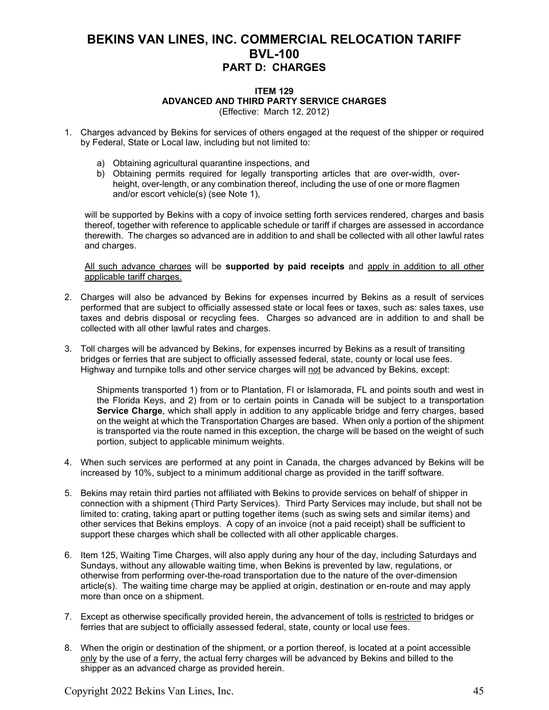#### **ITEM 129 ADVANCED AND THIRD PARTY SERVICE CHARGES** (Effective: March 12, 2012)

1. Charges advanced by Bekins for services of others engaged at the request of the shipper or required by Federal, State or Local law, including but not limited to:

- a) Obtaining agricultural quarantine inspections, and
- b) Obtaining permits required for legally transporting articles that are over-width, overheight, over-length, or any combination thereof, including the use of one or more flagmen and/or escort vehicle(s) (see Note 1),

will be supported by Bekins with a copy of invoice setting forth services rendered, charges and basis thereof, together with reference to applicable schedule or tariff if charges are assessed in accordance therewith. The charges so advanced are in addition to and shall be collected with all other lawful rates and charges.

All such advance charges will be **supported by paid receipts** and apply in addition to all other applicable tariff charges.

- 2. Charges will also be advanced by Bekins for expenses incurred by Bekins as a result of services performed that are subject to officially assessed state or local fees or taxes, such as: sales taxes, use taxes and debris disposal or recycling fees. Charges so advanced are in addition to and shall be collected with all other lawful rates and charges.
- 3. Toll charges will be advanced by Bekins, for expenses incurred by Bekins as a result of transiting bridges or ferries that are subject to officially assessed federal, state, county or local use fees. Highway and turnpike tolls and other service charges will not be advanced by Bekins, except:

Shipments transported 1) from or to Plantation, Fl or Islamorada, FL and points south and west in the Florida Keys, and 2) from or to certain points in Canada will be subject to a transportation **Service Charge**, which shall apply in addition to any applicable bridge and ferry charges, based on the weight at which the Transportation Charges are based. When only a portion of the shipment is transported via the route named in this exception, the charge will be based on the weight of such portion, subject to applicable minimum weights.

- 4. When such services are performed at any point in Canada, the charges advanced by Bekins will be increased by 10%, subject to a minimum additional charge as provided in the tariff software.
- 5. Bekins may retain third parties not affiliated with Bekins to provide services on behalf of shipper in connection with a shipment (Third Party Services). Third Party Services may include, but shall not be limited to: crating, taking apart or putting together items (such as swing sets and similar items) and other services that Bekins employs. A copy of an invoice (not a paid receipt) shall be sufficient to support these charges which shall be collected with all other applicable charges.
- 6. Item 125, Waiting Time Charges, will also apply during any hour of the day, including Saturdays and Sundays, without any allowable waiting time, when Bekins is prevented by law, regulations, or otherwise from performing over-the-road transportation due to the nature of the over-dimension article(s). The waiting time charge may be applied at origin, destination or en-route and may apply more than once on a shipment.
- 7. Except as otherwise specifically provided herein, the advancement of tolls is restricted to bridges or ferries that are subject to officially assessed federal, state, county or local use fees.
- 8. When the origin or destination of the shipment, or a portion thereof, is located at a point accessible only by the use of a ferry, the actual ferry charges will be advanced by Bekins and billed to the shipper as an advanced charge as provided herein.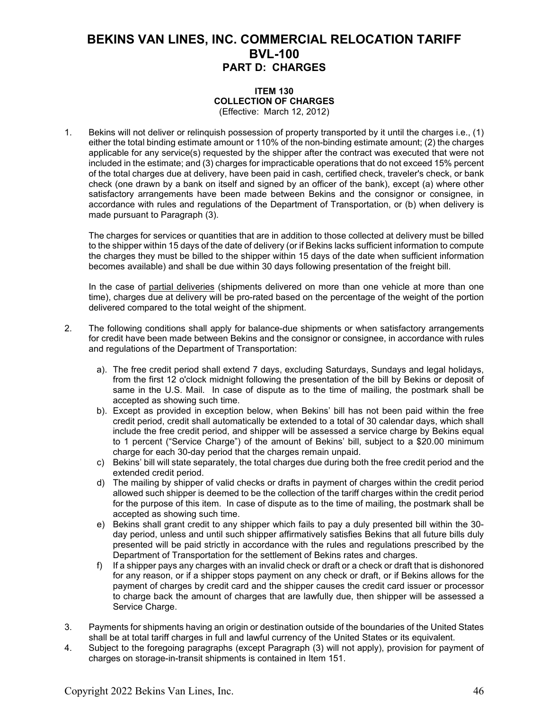#### **ITEM 130 COLLECTION OF CHARGES** (Effective: March 12, 2012)

1. Bekins will not deliver or relinquish possession of property transported by it until the charges i.e., (1) either the total binding estimate amount or 110% of the non-binding estimate amount; (2) the charges applicable for any service(s) requested by the shipper after the contract was executed that were not included in the estimate; and (3) charges for impracticable operations that do not exceed 15% percent of the total charges due at delivery, have been paid in cash, certified check, traveler's check, or bank check (one drawn by a bank on itself and signed by an officer of the bank), except (a) where other satisfactory arrangements have been made between Bekins and the consignor or consignee, in accordance with rules and regulations of the Department of Transportation, or (b) when delivery is made pursuant to Paragraph (3).

 The charges for services or quantities that are in addition to those collected at delivery must be billed to the shipper within 15 days of the date of delivery (or if Bekins lacks sufficient information to compute the charges they must be billed to the shipper within 15 days of the date when sufficient information becomes available) and shall be due within 30 days following presentation of the freight bill.

In the case of partial deliveries (shipments delivered on more than one vehicle at more than one time), charges due at delivery will be pro-rated based on the percentage of the weight of the portion delivered compared to the total weight of the shipment.

- 2. The following conditions shall apply for balance-due shipments or when satisfactory arrangements for credit have been made between Bekins and the consignor or consignee, in accordance with rules and regulations of the Department of Transportation:
	- a). The free credit period shall extend 7 days, excluding Saturdays, Sundays and legal holidays, from the first 12 o'clock midnight following the presentation of the bill by Bekins or deposit of same in the U.S. Mail. In case of dispute as to the time of mailing, the postmark shall be accepted as showing such time.
	- b). Except as provided in exception below, when Bekins' bill has not been paid within the free credit period, credit shall automatically be extended to a total of 30 calendar days, which shall include the free credit period, and shipper will be assessed a service charge by Bekins equal to 1 percent ("Service Charge") of the amount of Bekins' bill, subject to a \$20.00 minimum charge for each 30-day period that the charges remain unpaid.
	- c) Bekins' bill will state separately, the total charges due during both the free credit period and the extended credit period.
	- d) The mailing by shipper of valid checks or drafts in payment of charges within the credit period allowed such shipper is deemed to be the collection of the tariff charges within the credit period for the purpose of this item. In case of dispute as to the time of mailing, the postmark shall be accepted as showing such time.
	- e) Bekins shall grant credit to any shipper which fails to pay a duly presented bill within the 30 day period, unless and until such shipper affirmatively satisfies Bekins that all future bills duly presented will be paid strictly in accordance with the rules and regulations prescribed by the Department of Transportation for the settlement of Bekins rates and charges.
	- f) If a shipper pays any charges with an invalid check or draft or a check or draft that is dishonored for any reason, or if a shipper stops payment on any check or draft, or if Bekins allows for the payment of charges by credit card and the shipper causes the credit card issuer or processor to charge back the amount of charges that are lawfully due, then shipper will be assessed a Service Charge.
- 3. Payments for shipments having an origin or destination outside of the boundaries of the United States shall be at total tariff charges in full and lawful currency of the United States or its equivalent.
- 4. Subject to the foregoing paragraphs (except Paragraph (3) will not apply), provision for payment of charges on storage-in-transit shipments is contained in Item 151.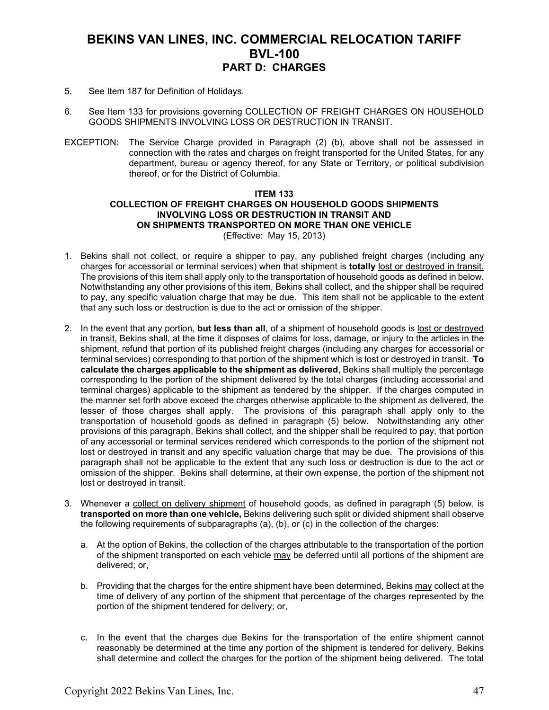- 5. See Item 187 for Definition of Holidays.
- 6. See Item 133 for provisions governing COLLECTION OF FREIGHT CHARGES ON HOUSEHOLD GOODS SHIPMENTS INVOLVING LOSS OR DESTRUCTION IN TRANSIT.
- EXCEPTION: The Service Charge provided in Paragraph (2) (b), above shall not be assessed in connection with the rates and charges on freight transported for the United States, for any department, bureau or agency thereof, for any State or Territory, or political subdivision thereof, or for the District of Columbia.

#### **ITEM 133 COLLECTION OF FREIGHT CHARGES ON HOUSEHOLD GOODS SHIPMENTS INVOLVING LOSS OR DESTRUCTION IN TRANSIT AND ON SHIPMENTS TRANSPORTED ON MORE THAN ONE VEHICLE** (Effective: May 15, 2013)

- 1. Bekins shall not collect, or require a shipper to pay, any published freight charges (including any charges for accessorial or terminal services) when that shipment is **totally** lost or destroyed in transit. The provisions of this item shall apply only to the transportation of household goods as defined in below. Notwithstanding any other provisions of this item, Bekins shall collect, and the shipper shall be required to pay, any specific valuation charge that may be due. This item shall not be applicable to the extent that any such loss or destruction is due to the act or omission of the shipper.
- 2. In the event that any portion, **but less than all**, of a shipment of household goods is lost or destroyed in transit, Bekins shall, at the time it disposes of claims for loss, damage, or injury to the articles in the shipment, refund that portion of its published freight charges (including any charges for accessorial or terminal services) corresponding to that portion of the shipment which is lost or destroyed in transit. **To calculate the charges applicable to the shipment as delivered**, Bekins shall multiply the percentage corresponding to the portion of the shipment delivered by the total charges (including accessorial and terminal charges) applicable to the shipment as tendered by the shipper. If the charges computed in the manner set forth above exceed the charges otherwise applicable to the shipment as delivered, the lesser of those charges shall apply. The provisions of this paragraph shall apply only to the transportation of household goods as defined in paragraph (5) below. Notwithstanding any other provisions of this paragraph, Bekins shall collect, and the shipper shall be required to pay, that portion of any accessorial or terminal services rendered which corresponds to the portion of the shipment not lost or destroyed in transit and any specific valuation charge that may be due. The provisions of this paragraph shall not be applicable to the extent that any such loss or destruction is due to the act or omission of the shipper. Bekins shall determine, at their own expense, the portion of the shipment not lost or destroyed in transit.
- 3. Whenever a collect on delivery shipment of household goods, as defined in paragraph (5) below, is **transported on more than one vehicle,** Bekins delivering such split or divided shipment shall observe the following requirements of subparagraphs (a), (b), or (c) in the collection of the charges:
	- a. At the option of Bekins, the collection of the charges attributable to the transportation of the portion of the shipment transported on each vehicle may be deferred until all portions of the shipment are delivered; or,
	- b. Providing that the charges for the entire shipment have been determined, Bekins may collect at the time of delivery of any portion of the shipment that percentage of the charges represented by the portion of the shipment tendered for delivery; or,
	- c. In the event that the charges due Bekins for the transportation of the entire shipment cannot reasonably be determined at the time any portion of the shipment is tendered for delivery, Bekins shall determine and collect the charges for the portion of the shipment being delivered. The total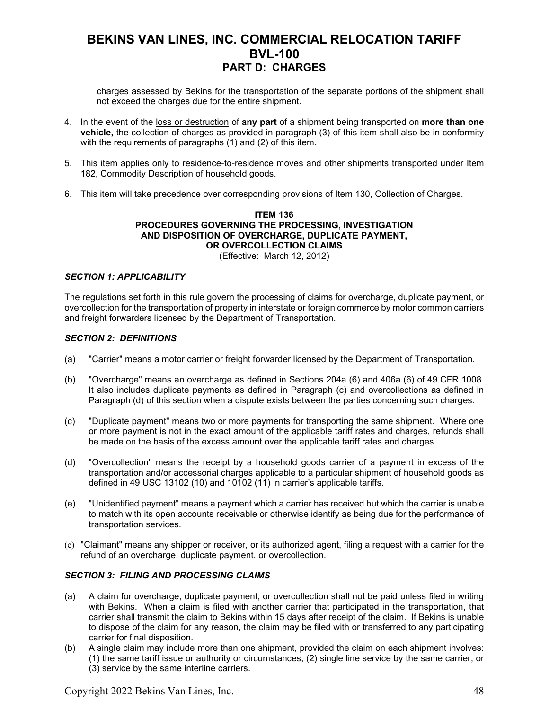charges assessed by Bekins for the transportation of the separate portions of the shipment shall not exceed the charges due for the entire shipment.

- 4. In the event of the loss or destruction of **any part** of a shipment being transported on **more than one vehicle,** the collection of charges as provided in paragraph (3) of this item shall also be in conformity with the requirements of paragraphs (1) and (2) of this item.
- 5. This item applies only to residence-to-residence moves and other shipments transported under Item 182, Commodity Description of household goods.
- 6. This item will take precedence over corresponding provisions of Item 130, Collection of Charges.

#### **ITEM 136 PROCEDURES GOVERNING THE PROCESSING, INVESTIGATION AND DISPOSITION OF OVERCHARGE, DUPLICATE PAYMENT, OR OVERCOLLECTION CLAIMS** (Effective: March 12, 2012)

#### *SECTION 1: APPLICABILITY*

The regulations set forth in this rule govern the processing of claims for overcharge, duplicate payment, or overcollection for the transportation of property in interstate or foreign commerce by motor common carriers and freight forwarders licensed by the Department of Transportation.

#### *SECTION 2: DEFINITIONS*

- (a) "Carrier" means a motor carrier or freight forwarder licensed by the Department of Transportation.
- (b) "Overcharge" means an overcharge as defined in Sections 204a (6) and 406a (6) of 49 CFR 1008. It also includes duplicate payments as defined in Paragraph (c) and overcollections as defined in Paragraph (d) of this section when a dispute exists between the parties concerning such charges.
- (c) "Duplicate payment" means two or more payments for transporting the same shipment. Where one or more payment is not in the exact amount of the applicable tariff rates and charges, refunds shall be made on the basis of the excess amount over the applicable tariff rates and charges.
- (d) "Overcollection" means the receipt by a household goods carrier of a payment in excess of the transportation and/or accessorial charges applicable to a particular shipment of household goods as defined in 49 USC 13102 (10) and 10102 (11) in carrier's applicable tariffs.
- (e) "Unidentified payment" means a payment which a carrier has received but which the carrier is unable to match with its open accounts receivable or otherwise identify as being due for the performance of transportation services.
- (e) "Claimant" means any shipper or receiver, or its authorized agent, filing a request with a carrier for the refund of an overcharge, duplicate payment, or overcollection.

#### *SECTION 3: FILING AND PROCESSING CLAIMS*

- (a) A claim for overcharge, duplicate payment, or overcollection shall not be paid unless filed in writing with Bekins. When a claim is filed with another carrier that participated in the transportation, that carrier shall transmit the claim to Bekins within 15 days after receipt of the claim. If Bekins is unable to dispose of the claim for any reason, the claim may be filed with or transferred to any participating carrier for final disposition.
- (b) A single claim may include more than one shipment, provided the claim on each shipment involves: (1) the same tariff issue or authority or circumstances, (2) single line service by the same carrier, or (3) service by the same interline carriers.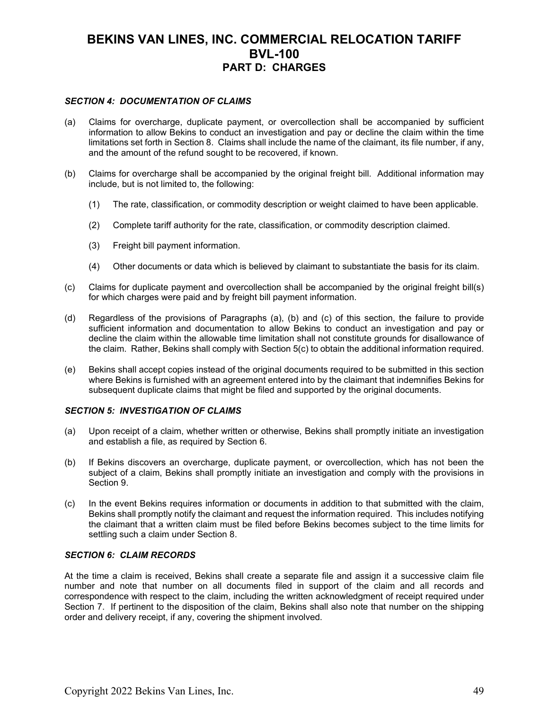### *SECTION 4: DOCUMENTATION OF CLAIMS*

- (a) Claims for overcharge, duplicate payment, or overcollection shall be accompanied by sufficient information to allow Bekins to conduct an investigation and pay or decline the claim within the time limitations set forth in Section 8. Claims shall include the name of the claimant, its file number, if any, and the amount of the refund sought to be recovered, if known.
- (b) Claims for overcharge shall be accompanied by the original freight bill. Additional information may include, but is not limited to, the following:
	- (1) The rate, classification, or commodity description or weight claimed to have been applicable.
	- (2) Complete tariff authority for the rate, classification, or commodity description claimed.
	- (3) Freight bill payment information.
	- (4) Other documents or data which is believed by claimant to substantiate the basis for its claim.
- (c) Claims for duplicate payment and overcollection shall be accompanied by the original freight bill(s) for which charges were paid and by freight bill payment information.
- (d) Regardless of the provisions of Paragraphs (a), (b) and (c) of this section, the failure to provide sufficient information and documentation to allow Bekins to conduct an investigation and pay or decline the claim within the allowable time limitation shall not constitute grounds for disallowance of the claim. Rather, Bekins shall comply with Section 5(c) to obtain the additional information required.
- (e) Bekins shall accept copies instead of the original documents required to be submitted in this section where Bekins is furnished with an agreement entered into by the claimant that indemnifies Bekins for subsequent duplicate claims that might be filed and supported by the original documents.

#### *SECTION 5: INVESTIGATION OF CLAIMS*

- (a) Upon receipt of a claim, whether written or otherwise, Bekins shall promptly initiate an investigation and establish a file, as required by Section 6.
- (b) If Bekins discovers an overcharge, duplicate payment, or overcollection, which has not been the subject of a claim, Bekins shall promptly initiate an investigation and comply with the provisions in Section 9.
- (c) In the event Bekins requires information or documents in addition to that submitted with the claim, Bekins shall promptly notify the claimant and request the information required. This includes notifying the claimant that a written claim must be filed before Bekins becomes subject to the time limits for settling such a claim under Section 8.

#### *SECTION 6: CLAIM RECORDS*

At the time a claim is received, Bekins shall create a separate file and assign it a successive claim file number and note that number on all documents filed in support of the claim and all records and correspondence with respect to the claim, including the written acknowledgment of receipt required under Section 7. If pertinent to the disposition of the claim, Bekins shall also note that number on the shipping order and delivery receipt, if any, covering the shipment involved.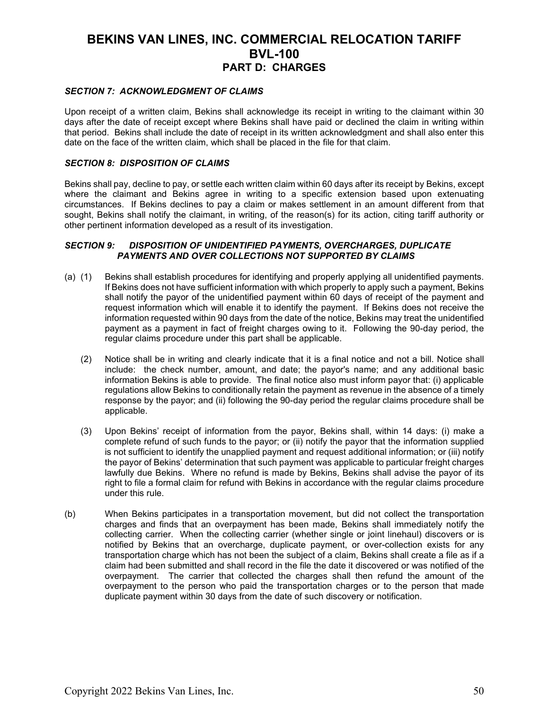### *SECTION 7: ACKNOWLEDGMENT OF CLAIMS*

Upon receipt of a written claim, Bekins shall acknowledge its receipt in writing to the claimant within 30 days after the date of receipt except where Bekins shall have paid or declined the claim in writing within that period. Bekins shall include the date of receipt in its written acknowledgment and shall also enter this date on the face of the written claim, which shall be placed in the file for that claim.

### *SECTION 8: DISPOSITION OF CLAIMS*

Bekins shall pay, decline to pay, or settle each written claim within 60 days after its receipt by Bekins, except where the claimant and Bekins agree in writing to a specific extension based upon extenuating circumstances. If Bekins declines to pay a claim or makes settlement in an amount different from that sought, Bekins shall notify the claimant, in writing, of the reason(s) for its action, citing tariff authority or other pertinent information developed as a result of its investigation.

### *SECTION 9: DISPOSITION OF UNIDENTIFIED PAYMENTS, OVERCHARGES, DUPLICATE PAYMENTS AND OVER COLLECTIONS NOT SUPPORTED BY CLAIMS*

- (a) (1) Bekins shall establish procedures for identifying and properly applying all unidentified payments. If Bekins does not have sufficient information with which properly to apply such a payment, Bekins shall notify the payor of the unidentified payment within 60 days of receipt of the payment and request information which will enable it to identify the payment. If Bekins does not receive the information requested within 90 days from the date of the notice, Bekins may treat the unidentified payment as a payment in fact of freight charges owing to it. Following the 90-day period, the regular claims procedure under this part shall be applicable.
	- (2) Notice shall be in writing and clearly indicate that it is a final notice and not a bill. Notice shall include: the check number, amount, and date; the payor's name; and any additional basic information Bekins is able to provide. The final notice also must inform payor that: (i) applicable regulations allow Bekins to conditionally retain the payment as revenue in the absence of a timely response by the payor; and (ii) following the 90-day period the regular claims procedure shall be applicable.
	- (3) Upon Bekins' receipt of information from the payor, Bekins shall, within 14 days: (i) make a complete refund of such funds to the payor; or (ii) notify the payor that the information supplied is not sufficient to identify the unapplied payment and request additional information; or (iii) notify the payor of Bekins' determination that such payment was applicable to particular freight charges lawfully due Bekins. Where no refund is made by Bekins, Bekins shall advise the payor of its right to file a formal claim for refund with Bekins in accordance with the regular claims procedure under this rule.
- (b) When Bekins participates in a transportation movement, but did not collect the transportation charges and finds that an overpayment has been made, Bekins shall immediately notify the collecting carrier. When the collecting carrier (whether single or joint linehaul) discovers or is notified by Bekins that an overcharge, duplicate payment, or over-collection exists for any transportation charge which has not been the subject of a claim, Bekins shall create a file as if a claim had been submitted and shall record in the file the date it discovered or was notified of the overpayment. The carrier that collected the charges shall then refund the amount of the overpayment to the person who paid the transportation charges or to the person that made duplicate payment within 30 days from the date of such discovery or notification.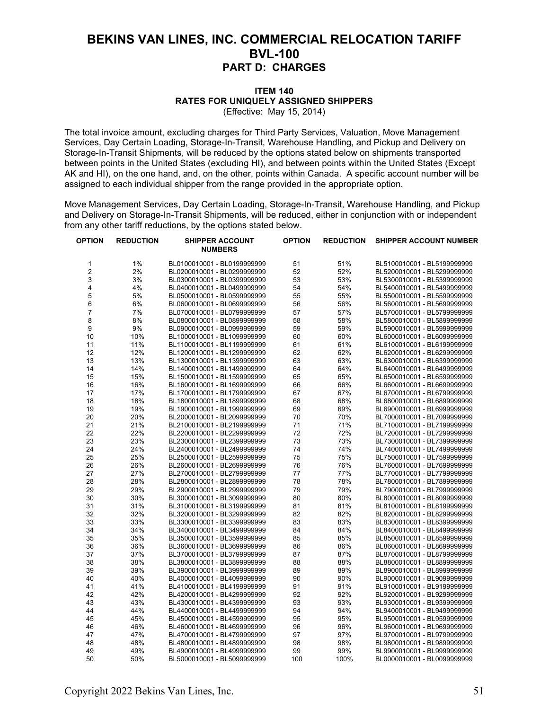#### **ITEM 140 RATES FOR UNIQUELY ASSIGNED SHIPPERS** (Effective: May 15, 2014)

The total invoice amount, excluding charges for Third Party Services, Valuation, Move Management Services, Day Certain Loading, Storage-In-Transit, Warehouse Handling, and Pickup and Delivery on Storage-In-Transit Shipments, will be reduced by the options stated below on shipments transported between points in the United States (excluding HI), and between points within the United States (Except AK and HI), on the one hand, and, on the other, points within Canada. A specific account number will be assigned to each individual shipper from the range provided in the appropriate option.

Move Management Services, Day Certain Loading, Storage-In-Transit, Warehouse Handling, and Pickup and Delivery on Storage-In-Transit Shipments, will be reduced, either in conjunction with or independent from any other tariff reductions, by the options stated below.

| OPTION         | <b>REDUCTION</b> | <b>SHIPPER ACCOUNT</b><br><b>NUMBERS</b> | <b>OPTION</b> | <b>REDUCTION</b> | <b>SHIPPER ACCOUNT NUMBER</b> |
|----------------|------------------|------------------------------------------|---------------|------------------|-------------------------------|
| 1              | 1%               | BL0100010001 - BL0199999999              | 51            | 51%              | BL5100010001 - BL5199999999   |
| $\overline{2}$ | 2%               | BL0200010001 - BL0299999999              | 52            | 52%              | BL5200010001 - BL5299999999   |
| 3              | 3%               | BL0300010001 - BL0399999999              | 53            | 53%              | BL5300010001 - BL5399999999   |
| 4              | 4%               | BL0400010001 - BL0499999999              | 54            | 54%              | BL5400010001 - BL5499999999   |
| 5              | 5%               | BL0500010001 - BL0599999999              | 55            | 55%              | BL5500010001 - BL5599999999   |
| 6              | 6%               | BL0600010001 - BL0699999999              | 56            | 56%              | BL5600010001 - BL5699999999   |
| 7              | 7%               | BL0700010001 - BL0799999999              | 57            | 57%              | BL5700010001 - BL5799999999   |
| 8              | 8%               | BL0800010001 - BL0899999999              | 58            | 58%              | BL5800010001 - BL5899999999   |
| 9              | 9%               | BL0900010001 - BL0999999999              | 59            | 59%              | BL5900010001 - BL5999999999   |
| 10             | 10%              | BL1000010001 - BL1099999999              | 60            | 60%              | BL6000010001 - BL6099999999   |
| 11             | 11%              | BL1100010001 - BL1199999999              | 61            | 61%              | BL6100010001 - BL6199999999   |
| 12             | 12%              | BL1200010001 - BL1299999999              | 62            | 62%              | BL6200010001 - BL6299999999   |
| 13             | 13%              | BL1300010001 - BL1399999999              | 63            | 63%              | BL6300010001 - BL6399999999   |
| 14             | 14%              | BL1400010001 - BL1499999999              | 64            | 64%              | BL6400010001 - BL6499999999   |
| 15             | 15%              | BL1500010001 - BL1599999999              | 65            | 65%              | BL6500010001 - BL6599999999   |
| 16             | 16%              | BL1600010001 - BL1699999999              | 66            | 66%              | BL6600010001 - BL6699999999   |
| 17             | 17%              | BL1700010001 - BL1799999999              | 67            | 67%              | BL6700010001 - BL6799999999   |
| 18             | 18%              | BL1800010001 - BL1899999999              | 68            | 68%              | BL6800010001 - BL6899999999   |
| 19             | 19%              | BL1900010001 - BL1999999999              | 69            | 69%              | BL6900010001 - BL6999999999   |
| 20             | 20%              | BL2000010001 - BL2099999999              | 70            | 70%              | BL7000010001 - BL7099999999   |
| 21             | 21%              | BL2100010001 - BL2199999999              | 71            | 71%              | BL7100010001 - BL7199999999   |
| 22             | 22%              | BL2200010001 - BL2299999999              | 72            | 72%              | BL7200010001 - BL7299999999   |
| 23             | 23%              | BL2300010001 - BL2399999999              | 73            | 73%              | BL7300010001 - BL7399999999   |
| 24             | 24%              | BL2400010001 - BL2499999999              | 74            | 74%              | BL7400010001 - BL7499999999   |
| 25             | 25%              | BL2500010001 - BL2599999999              | 75            | 75%              | BL7500010001 - BL7599999999   |
| 26             | 26%              | BL2600010001 - BL2699999999              | 76            | 76%              | BL7600010001 - BL7699999999   |
| 27             | 27%              | BL2700010001 - BL2799999999              | 77            | 77%              | BL7700010001 - BL7799999999   |
| 28             | 28%              | BL2800010001 - BL2899999999              | 78            | 78%              | BL7800010001 - BL7899999999   |
| 29             | 29%              | BL2900010001 - BL2999999999              | 79            | 79%              | BL7900010001 - BL7999999999   |
| 30             | 30%              | BL3000010001 - BL3099999999              | 80            | 80%              | BL8000010001 - BL8099999999   |
| 31             | 31%              | BL3100010001 - BL3199999999              | 81            | 81%              | BL8100010001 - BL8199999999   |
| 32             | 32%              | BL3200010001 - BL3299999999              | 82            | 82%              | BL8200010001 - BL8299999999   |
| 33             | 33%              | BL3300010001 - BL3399999999              | 83            | 83%              | BL8300010001 - BL8399999999   |
| 34             | 34%              | BL3400010001 - BL3499999999              | 84            | 84%              | BL8400010001 - BL8499999999   |
| 35             | 35%              | BL3500010001 - BL3599999999              | 85            | 85%              | BL8500010001 - BL8599999999   |
| 36             | 36%              | BL3600010001 - BL3699999999              | 86            | 86%              | BL8600010001 - BL8699999999   |
| 37             | 37%              | BL3700010001 - BL3799999999              | 87            | 87%              | BL8700010001 - BL8799999999   |
| 38             | 38%              | BL3800010001 - BL3899999999              | 88            | 88%              | BL8800010001 - BL8899999999   |
| 39             | 39%              | BL3900010001 - BL3999999999              | 89            | 89%              | BL8900010001 - BL8999999999   |
| 40             | 40%              | BL4000010001 - BL4099999999              | 90            | 90%              | BL9000010001 - BL9099999999   |
| 41             | 41%              | BL4100010001 - BL4199999999              | 91            | 91%              | BL9100010001 - BL9199999999   |
| 42             | 42%              | BL4200010001 - BL4299999999              | 92            | 92%              | BL9200010001 - BL9299999999   |
| 43             | 43%              | BL4300010001 - BL4399999999              | 93            | 93%              | BL9300010001 - BL9399999999   |
| 44             | 44%              | BL4400010001 - BL4499999999              | 94            | 94%              | BL9400010001 - BL9499999999   |
| 45             | 45%              | BL4500010001 - BL4599999999              | 95            | 95%              | BL9500010001 - BL9599999999   |
| 46             | 46%              | BL4600010001 - BL4699999999              | 96            | 96%              | BL9600010001 - BL9699999999   |
| 47             | 47%              | BL4700010001 - BL4799999999              | 97            | 97%              | BL9700010001 - BL9799999999   |
| 48             | 48%              | BL4800010001 - BL4899999999              | 98            | 98%              | BL9800010001 - BL9899999999   |
| 49             | 49%              | BL4900010001 - BL4999999999              | 99            | 99%              | BL9900010001 - BL9999999999   |
| 50             | 50%              | BL5000010001 - BL5099999999              | 100           | 100%             | BL0000010001 - BL0099999999   |
|                |                  |                                          |               |                  |                               |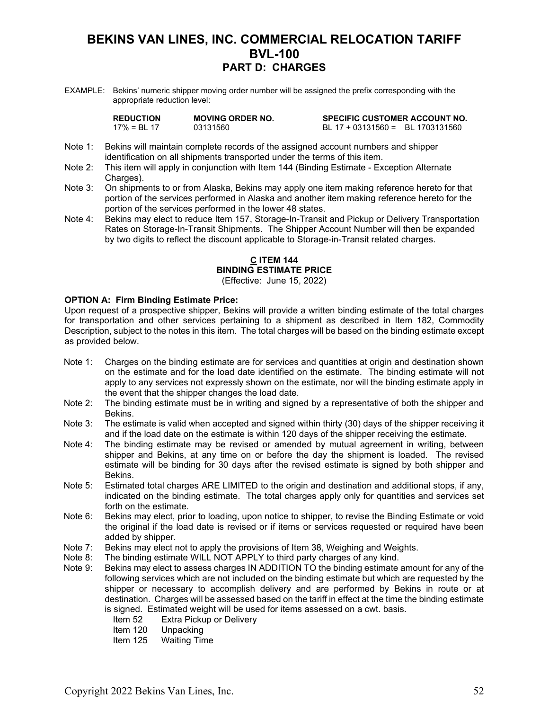EXAMPLE: Bekins' numeric shipper moving order number will be assigned the prefix corresponding with the appropriate reduction level:

| <b>REDUCTION</b> | <b>MOVING ORDER NO.</b> | <b>SPECIFIC CUSTOMER ACCOUNT NO.</b> |  |
|------------------|-------------------------|--------------------------------------|--|
| $17\% = B1$ 17   | 03131560                | BL 17 + 03131560 = BL 1703131560     |  |

- Note 1: Bekins will maintain complete records of the assigned account numbers and shipper identification on all shipments transported under the terms of this item.
- Note 2: This item will apply in conjunction with Item 144 (Binding Estimate Exception Alternate Charges).
- Note 3: On shipments to or from Alaska, Bekins may apply one item making reference hereto for that portion of the services performed in Alaska and another item making reference hereto for the portion of the services performed in the lower 48 states.
- Note 4: Bekins may elect to reduce Item 157, Storage-In-Transit and Pickup or Delivery Transportation Rates on Storage-In-Transit Shipments. The Shipper Account Number will then be expanded by two digits to reflect the discount applicable to Storage-in-Transit related charges.

### **C ITEM 144 BINDING ESTIMATE PRICE**

(Effective: June 15, 2022)

### **OPTION A: Firm Binding Estimate Price:**

Upon request of a prospective shipper, Bekins will provide a written binding estimate of the total charges for transportation and other services pertaining to a shipment as described in Item 182, Commodity Description, subject to the notes in this item. The total charges will be based on the binding estimate except as provided below.

- Note 1: Charges on the binding estimate are for services and quantities at origin and destination shown on the estimate and for the load date identified on the estimate. The binding estimate will not apply to any services not expressly shown on the estimate, nor will the binding estimate apply in the event that the shipper changes the load date.
- Note 2: The binding estimate must be in writing and signed by a representative of both the shipper and Bekins.
- Note 3: The estimate is valid when accepted and signed within thirty (30) days of the shipper receiving it and if the load date on the estimate is within 120 days of the shipper receiving the estimate.
- Note 4: The binding estimate may be revised or amended by mutual agreement in writing, between shipper and Bekins, at any time on or before the day the shipment is loaded. The revised estimate will be binding for 30 days after the revised estimate is signed by both shipper and Bekins.
- Note 5: Estimated total charges ARE LIMITED to the origin and destination and additional stops, if any, indicated on the binding estimate. The total charges apply only for quantities and services set forth on the estimate.
- Note 6: Bekins may elect, prior to loading, upon notice to shipper, to revise the Binding Estimate or void the original if the load date is revised or if items or services requested or required have been added by shipper.
- Note 7: Bekins may elect not to apply the provisions of Item 38, Weighing and Weights.<br>Note 8: The binding estimate WILL NOT APPLY to third party charges of any kind.
- The binding estimate WILL NOT APPLY to third party charges of any kind.
- Note 9: Bekins may elect to assess charges IN ADDITION TO the binding estimate amount for any of the following services which are not included on the binding estimate but which are requested by the shipper or necessary to accomplish delivery and are performed by Bekins in route or at destination. Charges will be assessed based on the tariff in effect at the time the binding estimate is signed. Estimated weight will be used for items assessed on a cwt. basis.
	- Item 52 Extra Pickup or Delivery
	-
	- Item 120 Unpacking<br>Item 125 Waiting Tin **Waiting Time**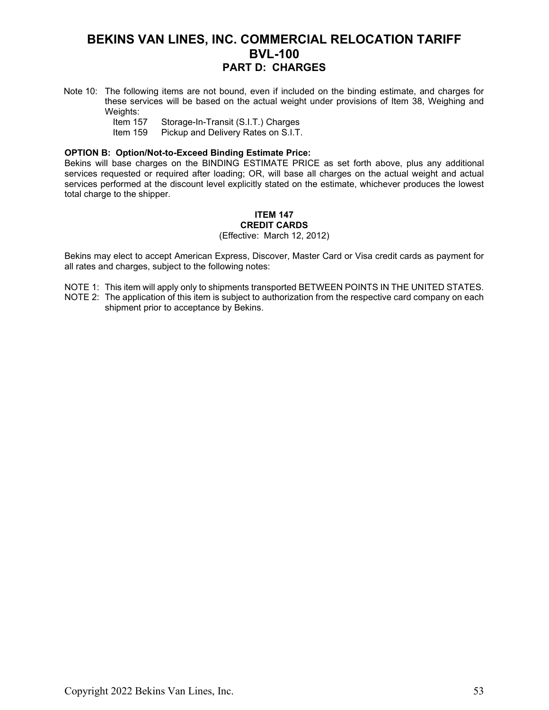- Note 10: The following items are not bound, even if included on the binding estimate, and charges for these services will be based on the actual weight under provisions of Item 38, Weighing and Weights:<br>Item 157
	- Item 157 Storage-In-Transit (S.I.T.) Charges<br>Item 159 Pickup and Delivery Rates on S.I.T.
	- Pickup and Delivery Rates on S.I.T.

### **OPTION B: Option/Not-to-Exceed Binding Estimate Price:**

Bekins will base charges on the BINDING ESTIMATE PRICE as set forth above, plus any additional services requested or required after loading; OR, will base all charges on the actual weight and actual services performed at the discount level explicitly stated on the estimate, whichever produces the lowest total charge to the shipper.

#### **ITEM 147 CREDIT CARDS** (Effective: March 12, 2012)

Bekins may elect to accept American Express, Discover, Master Card or Visa credit cards as payment for all rates and charges, subject to the following notes:

NOTE 1: This item will apply only to shipments transported BETWEEN POINTS IN THE UNITED STATES.

NOTE 2: The application of this item is subject to authorization from the respective card company on each shipment prior to acceptance by Bekins.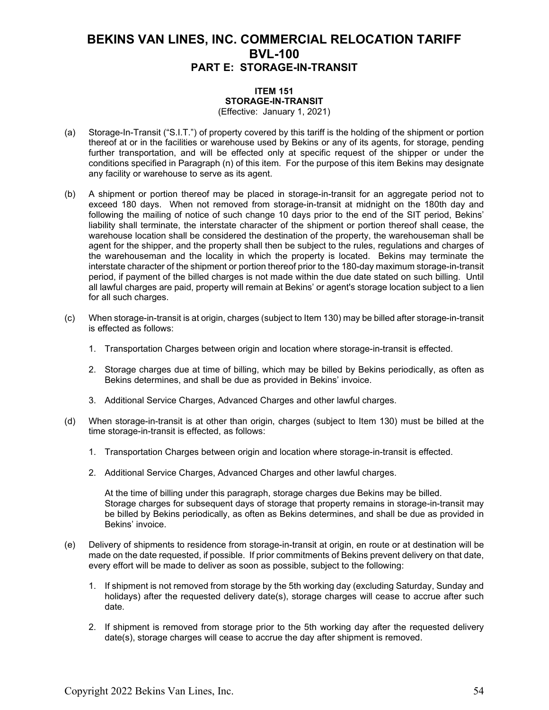#### **ITEM 151 STORAGE-IN-TRANSIT** (Effective: January 1, 2021)

- (a) Storage-In-Transit ("S.I.T.") of property covered by this tariff is the holding of the shipment or portion thereof at or in the facilities or warehouse used by Bekins or any of its agents, for storage, pending further transportation, and will be effected only at specific request of the shipper or under the conditions specified in Paragraph (n) of this item. For the purpose of this item Bekins may designate any facility or warehouse to serve as its agent.
- (b) A shipment or portion thereof may be placed in storage-in-transit for an aggregate period not to exceed 180 days. When not removed from storage-in-transit at midnight on the 180th day and following the mailing of notice of such change 10 days prior to the end of the SIT period, Bekins' liability shall terminate, the interstate character of the shipment or portion thereof shall cease, the warehouse location shall be considered the destination of the property, the warehouseman shall be agent for the shipper, and the property shall then be subject to the rules, regulations and charges of the warehouseman and the locality in which the property is located. Bekins may terminate the interstate character of the shipment or portion thereof prior to the 180-day maximum storage-in-transit period, if payment of the billed charges is not made within the due date stated on such billing. Until all lawful charges are paid, property will remain at Bekins' or agent's storage location subject to a lien for all such charges.
- (c) When storage-in-transit is at origin, charges (subject to Item 130) may be billed after storage-in-transit is effected as follows:
	- 1. Transportation Charges between origin and location where storage-in-transit is effected.
	- 2. Storage charges due at time of billing, which may be billed by Bekins periodically, as often as Bekins determines, and shall be due as provided in Bekins' invoice.
	- 3. Additional Service Charges, Advanced Charges and other lawful charges.
- (d) When storage-in-transit is at other than origin, charges (subject to Item 130) must be billed at the time storage-in-transit is effected, as follows:
	- 1. Transportation Charges between origin and location where storage-in-transit is effected.
	- 2. Additional Service Charges, Advanced Charges and other lawful charges.

At the time of billing under this paragraph, storage charges due Bekins may be billed. Storage charges for subsequent days of storage that property remains in storage-in-transit may be billed by Bekins periodically, as often as Bekins determines, and shall be due as provided in Bekins' invoice.

- (e) Delivery of shipments to residence from storage-in-transit at origin, en route or at destination will be made on the date requested, if possible. If prior commitments of Bekins prevent delivery on that date, every effort will be made to deliver as soon as possible, subject to the following:
	- 1. If shipment is not removed from storage by the 5th working day (excluding Saturday, Sunday and holidays) after the requested delivery date(s), storage charges will cease to accrue after such date.
	- 2. If shipment is removed from storage prior to the 5th working day after the requested delivery date(s), storage charges will cease to accrue the day after shipment is removed.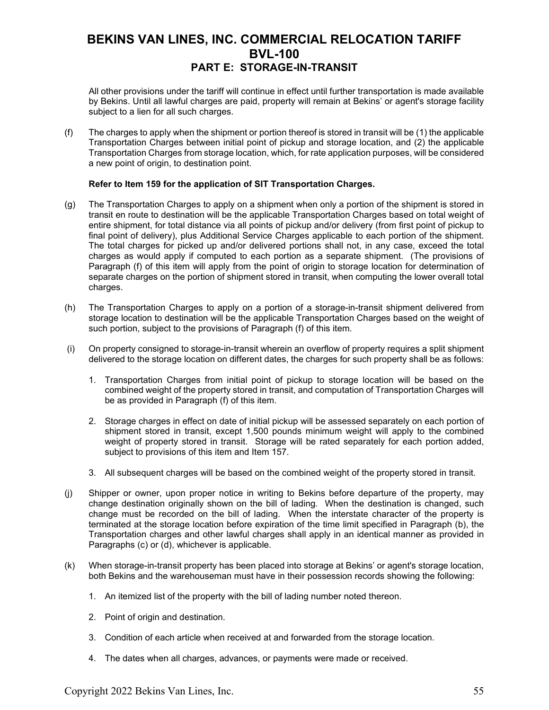All other provisions under the tariff will continue in effect until further transportation is made available by Bekins. Until all lawful charges are paid, property will remain at Bekins' or agent's storage facility subject to a lien for all such charges.

(f) The charges to apply when the shipment or portion thereof is stored in transit will be (1) the applicable Transportation Charges between initial point of pickup and storage location, and (2) the applicable Transportation Charges from storage location, which, for rate application purposes, will be considered a new point of origin, to destination point.

### **Refer to Item 159 for the application of SIT Transportation Charges.**

- (g) The Transportation Charges to apply on a shipment when only a portion of the shipment is stored in transit en route to destination will be the applicable Transportation Charges based on total weight of entire shipment, for total distance via all points of pickup and/or delivery (from first point of pickup to final point of delivery), plus Additional Service Charges applicable to each portion of the shipment. The total charges for picked up and/or delivered portions shall not, in any case, exceed the total charges as would apply if computed to each portion as a separate shipment. (The provisions of Paragraph (f) of this item will apply from the point of origin to storage location for determination of separate charges on the portion of shipment stored in transit, when computing the lower overall total charges.
- (h) The Transportation Charges to apply on a portion of a storage-in-transit shipment delivered from storage location to destination will be the applicable Transportation Charges based on the weight of such portion, subject to the provisions of Paragraph (f) of this item.
- (i) On property consigned to storage-in-transit wherein an overflow of property requires a split shipment delivered to the storage location on different dates, the charges for such property shall be as follows:
	- 1. Transportation Charges from initial point of pickup to storage location will be based on the combined weight of the property stored in transit, and computation of Transportation Charges will be as provided in Paragraph (f) of this item.
	- 2. Storage charges in effect on date of initial pickup will be assessed separately on each portion of shipment stored in transit, except 1,500 pounds minimum weight will apply to the combined weight of property stored in transit. Storage will be rated separately for each portion added, subject to provisions of this item and Item 157.
	- 3. All subsequent charges will be based on the combined weight of the property stored in transit.
- (j) Shipper or owner, upon proper notice in writing to Bekins before departure of the property, may change destination originally shown on the bill of lading. When the destination is changed, such change must be recorded on the bill of lading. When the interstate character of the property is terminated at the storage location before expiration of the time limit specified in Paragraph (b), the Transportation charges and other lawful charges shall apply in an identical manner as provided in Paragraphs (c) or (d), whichever is applicable.
- (k) When storage-in-transit property has been placed into storage at Bekins' or agent's storage location, both Bekins and the warehouseman must have in their possession records showing the following:
	- 1. An itemized list of the property with the bill of lading number noted thereon.
	- 2. Point of origin and destination.
	- 3. Condition of each article when received at and forwarded from the storage location.
	- 4. The dates when all charges, advances, or payments were made or received.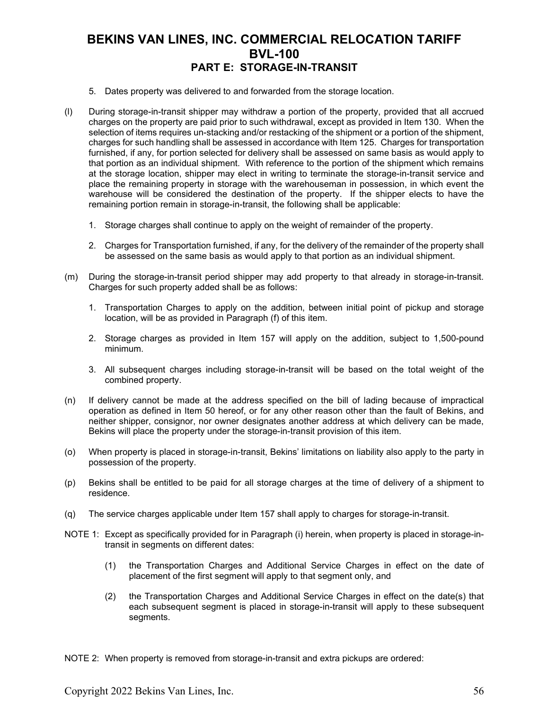- 5. Dates property was delivered to and forwarded from the storage location.
- (l) During storage-in-transit shipper may withdraw a portion of the property, provided that all accrued charges on the property are paid prior to such withdrawal, except as provided in Item 130. When the selection of items requires un-stacking and/or restacking of the shipment or a portion of the shipment, charges for such handling shall be assessed in accordance with Item 125. Charges for transportation furnished, if any, for portion selected for delivery shall be assessed on same basis as would apply to that portion as an individual shipment. With reference to the portion of the shipment which remains at the storage location, shipper may elect in writing to terminate the storage-in-transit service and place the remaining property in storage with the warehouseman in possession, in which event the warehouse will be considered the destination of the property. If the shipper elects to have the remaining portion remain in storage-in-transit, the following shall be applicable:
	- 1. Storage charges shall continue to apply on the weight of remainder of the property.
	- 2. Charges for Transportation furnished, if any, for the delivery of the remainder of the property shall be assessed on the same basis as would apply to that portion as an individual shipment.
- (m) During the storage-in-transit period shipper may add property to that already in storage-in-transit. Charges for such property added shall be as follows:
	- 1. Transportation Charges to apply on the addition, between initial point of pickup and storage location, will be as provided in Paragraph (f) of this item.
	- 2. Storage charges as provided in Item 157 will apply on the addition, subject to 1,500-pound minimum.
	- 3. All subsequent charges including storage-in-transit will be based on the total weight of the combined property.
- (n) If delivery cannot be made at the address specified on the bill of lading because of impractical operation as defined in Item 50 hereof, or for any other reason other than the fault of Bekins, and neither shipper, consignor, nor owner designates another address at which delivery can be made, Bekins will place the property under the storage-in-transit provision of this item.
- (o) When property is placed in storage-in-transit, Bekins' limitations on liability also apply to the party in possession of the property.
- (p) Bekins shall be entitled to be paid for all storage charges at the time of delivery of a shipment to residence.
- (q) The service charges applicable under Item 157 shall apply to charges for storage-in-transit.
- NOTE 1: Except as specifically provided for in Paragraph (i) herein, when property is placed in storage-intransit in segments on different dates:
	- (1) the Transportation Charges and Additional Service Charges in effect on the date of placement of the first segment will apply to that segment only, and
	- (2) the Transportation Charges and Additional Service Charges in effect on the date(s) that each subsequent segment is placed in storage-in-transit will apply to these subsequent segments.

NOTE 2: When property is removed from storage-in-transit and extra pickups are ordered: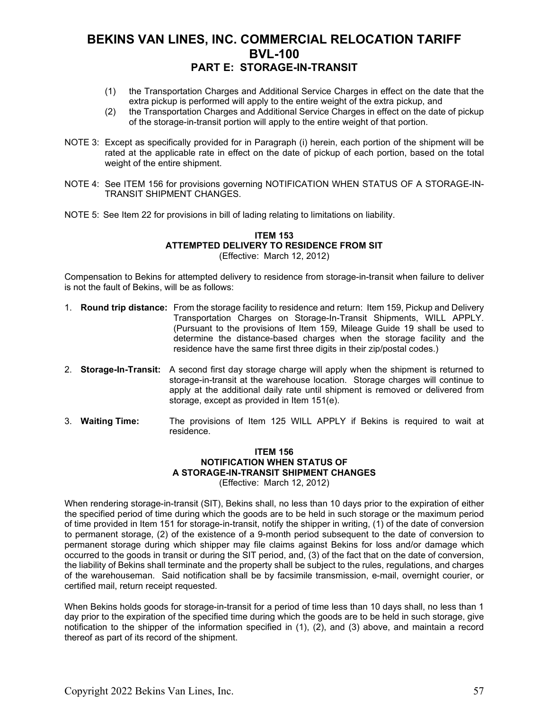- (1) the Transportation Charges and Additional Service Charges in effect on the date that the extra pickup is performed will apply to the entire weight of the extra pickup, and
- (2) the Transportation Charges and Additional Service Charges in effect on the date of pickup of the storage-in-transit portion will apply to the entire weight of that portion.
- NOTE 3: Except as specifically provided for in Paragraph (i) herein, each portion of the shipment will be rated at the applicable rate in effect on the date of pickup of each portion, based on the total weight of the entire shipment.
- NOTE 4: See ITEM 156 for provisions governing NOTIFICATION WHEN STATUS OF A STORAGE-IN-TRANSIT SHIPMENT CHANGES.
- NOTE 5: See Item 22 for provisions in bill of lading relating to limitations on liability.

#### **ITEM 153 ATTEMPTED DELIVERY TO RESIDENCE FROM SIT** (Effective: March 12, 2012)

Compensation to Bekins for attempted delivery to residence from storage-in-transit when failure to deliver is not the fault of Bekins, will be as follows:

- 1. **Round trip distance:** From the storage facility to residence and return: Item 159, Pickup and Delivery Transportation Charges on Storage-In-Transit Shipments, WILL APPLY. (Pursuant to the provisions of Item 159, Mileage Guide 19 shall be used to determine the distance-based charges when the storage facility and the residence have the same first three digits in their zip/postal codes.)
- 2. **Storage-In-Transit:** A second first day storage charge will apply when the shipment is returned to storage-in-transit at the warehouse location. Storage charges will continue to apply at the additional daily rate until shipment is removed or delivered from storage, except as provided in Item 151(e).
- 3. **Waiting Time:** The provisions of Item 125 WILL APPLY if Bekins is required to wait at residence.

#### **ITEM 156 NOTIFICATION WHEN STATUS OF A STORAGE-IN-TRANSIT SHIPMENT CHANGES** (Effective: March 12, 2012)

When rendering storage-in-transit (SIT), Bekins shall, no less than 10 days prior to the expiration of either the specified period of time during which the goods are to be held in such storage or the maximum period of time provided in Item 151 for storage-in-transit, notify the shipper in writing, (1) of the date of conversion to permanent storage, (2) of the existence of a 9-month period subsequent to the date of conversion to permanent storage during which shipper may file claims against Bekins for loss and/or damage which occurred to the goods in transit or during the SIT period, and, (3) of the fact that on the date of conversion, the liability of Bekins shall terminate and the property shall be subject to the rules, regulations, and charges of the warehouseman. Said notification shall be by facsimile transmission, e-mail, overnight courier, or certified mail, return receipt requested.

When Bekins holds goods for storage-in-transit for a period of time less than 10 days shall, no less than 1 day prior to the expiration of the specified time during which the goods are to be held in such storage, give notification to the shipper of the information specified in (1), (2), and (3) above, and maintain a record thereof as part of its record of the shipment.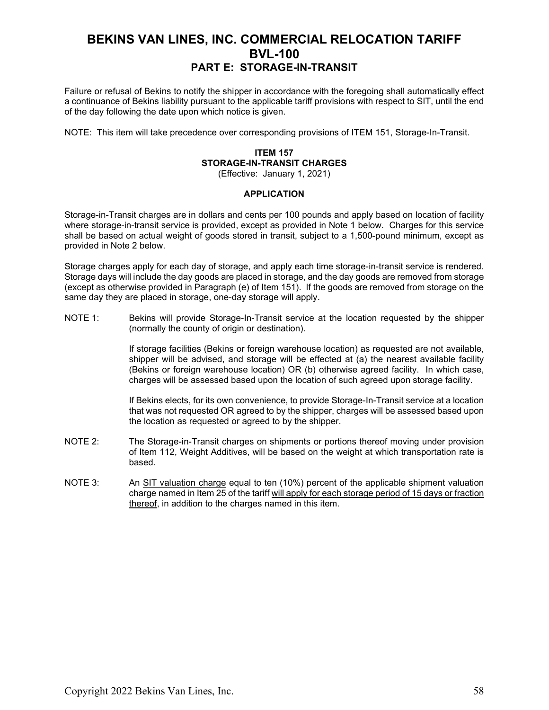Failure or refusal of Bekins to notify the shipper in accordance with the foregoing shall automatically effect a continuance of Bekins liability pursuant to the applicable tariff provisions with respect to SIT, until the end of the day following the date upon which notice is given.

NOTE: This item will take precedence over corresponding provisions of ITEM 151, Storage-In-Transit.

### **ITEM 157 STORAGE-IN-TRANSIT CHARGES**

(Effective: January 1, 2021)

#### **APPLICATION**

Storage-in-Transit charges are in dollars and cents per 100 pounds and apply based on location of facility where storage-in-transit service is provided, except as provided in Note 1 below. Charges for this service shall be based on actual weight of goods stored in transit, subject to a 1,500-pound minimum, except as provided in Note 2 below.

Storage charges apply for each day of storage, and apply each time storage-in-transit service is rendered. Storage days will include the day goods are placed in storage, and the day goods are removed from storage (except as otherwise provided in Paragraph (e) of Item 151). If the goods are removed from storage on the same day they are placed in storage, one-day storage will apply.

NOTE 1: Bekins will provide Storage-In-Transit service at the location requested by the shipper (normally the county of origin or destination).

> If storage facilities (Bekins or foreign warehouse location) as requested are not available, shipper will be advised, and storage will be effected at (a) the nearest available facility (Bekins or foreign warehouse location) OR (b) otherwise agreed facility. In which case, charges will be assessed based upon the location of such agreed upon storage facility.

> If Bekins elects, for its own convenience, to provide Storage-In-Transit service at a location that was not requested OR agreed to by the shipper, charges will be assessed based upon the location as requested or agreed to by the shipper.

- NOTE 2: The Storage-in-Transit charges on shipments or portions thereof moving under provision of Item 112, Weight Additives, will be based on the weight at which transportation rate is based.
- NOTE 3: An SIT valuation charge equal to ten (10%) percent of the applicable shipment valuation charge named in Item 25 of the tariff will apply for each storage period of 15 days or fraction thereof, in addition to the charges named in this item.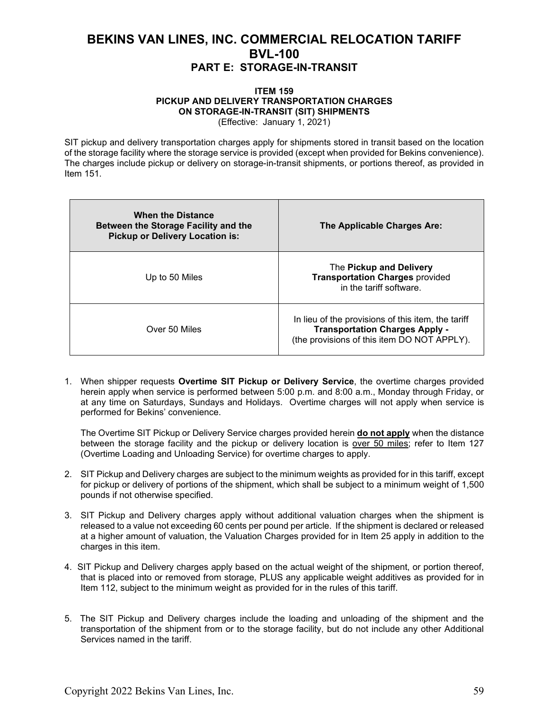#### **ITEM 159 PICKUP AND DELIVERY TRANSPORTATION CHARGES ON STORAGE-IN-TRANSIT (SIT) SHIPMENTS** (Effective: January 1, 2021)

SIT pickup and delivery transportation charges apply for shipments stored in transit based on the location of the storage facility where the storage service is provided (except when provided for Bekins convenience). The charges include pickup or delivery on storage-in-transit shipments, or portions thereof, as provided in Item 151.

| <b>When the Distance</b><br>Between the Storage Facility and the<br><b>Pickup or Delivery Location is:</b> | The Applicable Charges Are:                                                                                                                |
|------------------------------------------------------------------------------------------------------------|--------------------------------------------------------------------------------------------------------------------------------------------|
| Up to 50 Miles                                                                                             | The Pickup and Delivery<br><b>Transportation Charges provided</b><br>in the tariff software.                                               |
| Over 50 Miles                                                                                              | In lieu of the provisions of this item, the tariff<br><b>Transportation Charges Apply -</b><br>(the provisions of this item DO NOT APPLY). |

1. When shipper requests **Overtime SIT Pickup or Delivery Service**, the overtime charges provided herein apply when service is performed between 5:00 p.m. and 8:00 a.m., Monday through Friday, or at any time on Saturdays, Sundays and Holidays. Overtime charges will not apply when service is performed for Bekins' convenience.

The Overtime SIT Pickup or Delivery Service charges provided herein **do not apply** when the distance between the storage facility and the pickup or delivery location is over 50 miles; refer to Item 127 (Overtime Loading and Unloading Service) for overtime charges to apply.

- 2. SIT Pickup and Delivery charges are subject to the minimum weights as provided for in this tariff, except for pickup or delivery of portions of the shipment, which shall be subject to a minimum weight of 1,500 pounds if not otherwise specified.
- 3. SIT Pickup and Delivery charges apply without additional valuation charges when the shipment is released to a value not exceeding 60 cents per pound per article. If the shipment is declared or released at a higher amount of valuation, the Valuation Charges provided for in Item 25 apply in addition to the charges in this item.
- 4. SIT Pickup and Delivery charges apply based on the actual weight of the shipment, or portion thereof, that is placed into or removed from storage, PLUS any applicable weight additives as provided for in Item 112, subject to the minimum weight as provided for in the rules of this tariff.
- 5. The SIT Pickup and Delivery charges include the loading and unloading of the shipment and the transportation of the shipment from or to the storage facility, but do not include any other Additional Services named in the tariff.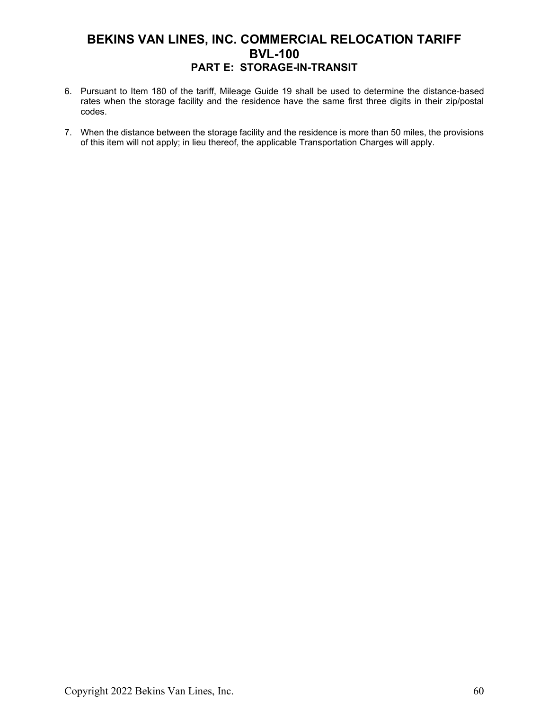- 6. Pursuant to Item 180 of the tariff, Mileage Guide 19 shall be used to determine the distance-based rates when the storage facility and the residence have the same first three digits in their zip/postal codes.
- 7. When the distance between the storage facility and the residence is more than 50 miles, the provisions of this item will not apply; in lieu thereof, the applicable Transportation Charges will apply.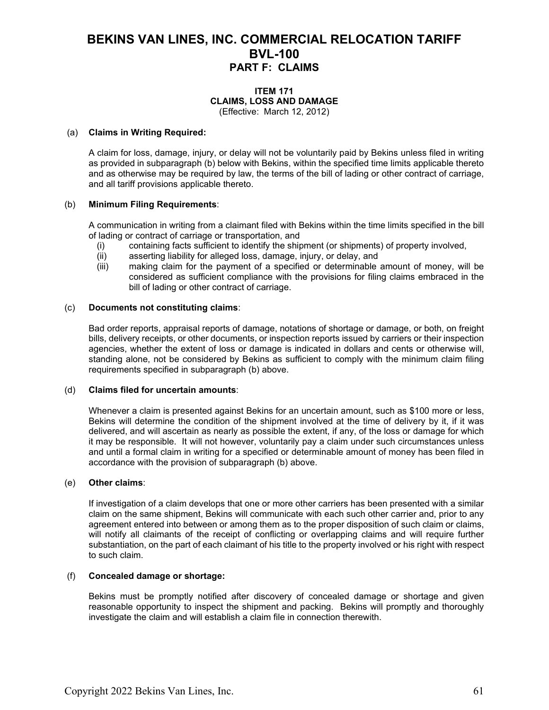#### **ITEM 171 CLAIMS, LOSS AND DAMAGE** (Effective: March 12, 2012)

#### (a) **Claims in Writing Required:**

A claim for loss, damage, injury, or delay will not be voluntarily paid by Bekins unless filed in writing as provided in subparagraph (b) below with Bekins, within the specified time limits applicable thereto and as otherwise may be required by law, the terms of the bill of lading or other contract of carriage, and all tariff provisions applicable thereto.

#### (b) **Minimum Filing Requirements**:

A communication in writing from a claimant filed with Bekins within the time limits specified in the bill of lading or contract of carriage or transportation, and

- (i) containing facts sufficient to identify the shipment (or shipments) of property involved,<br>(ii) asserting liability for alleged loss, damage, injury, or delay, and
- asserting liability for alleged loss, damage, injury, or delay, and
- (iii) making claim for the payment of a specified or determinable amount of money, will be considered as sufficient compliance with the provisions for filing claims embraced in the bill of lading or other contract of carriage.

#### (c) **Documents not constituting claims**:

Bad order reports, appraisal reports of damage, notations of shortage or damage, or both, on freight bills, delivery receipts, or other documents, or inspection reports issued by carriers or their inspection agencies, whether the extent of loss or damage is indicated in dollars and cents or otherwise will, standing alone, not be considered by Bekins as sufficient to comply with the minimum claim filing requirements specified in subparagraph (b) above.

#### (d) **Claims filed for uncertain amounts**:

Whenever a claim is presented against Bekins for an uncertain amount, such as \$100 more or less, Bekins will determine the condition of the shipment involved at the time of delivery by it, if it was delivered, and will ascertain as nearly as possible the extent, if any, of the loss or damage for which it may be responsible. It will not however, voluntarily pay a claim under such circumstances unless and until a formal claim in writing for a specified or determinable amount of money has been filed in accordance with the provision of subparagraph (b) above.

#### (e) **Other claims**:

If investigation of a claim develops that one or more other carriers has been presented with a similar claim on the same shipment, Bekins will communicate with each such other carrier and, prior to any agreement entered into between or among them as to the proper disposition of such claim or claims, will notify all claimants of the receipt of conflicting or overlapping claims and will require further substantiation, on the part of each claimant of his title to the property involved or his right with respect to such claim.

#### (f) **Concealed damage or shortage:**

Bekins must be promptly notified after discovery of concealed damage or shortage and given reasonable opportunity to inspect the shipment and packing. Bekins will promptly and thoroughly investigate the claim and will establish a claim file in connection therewith.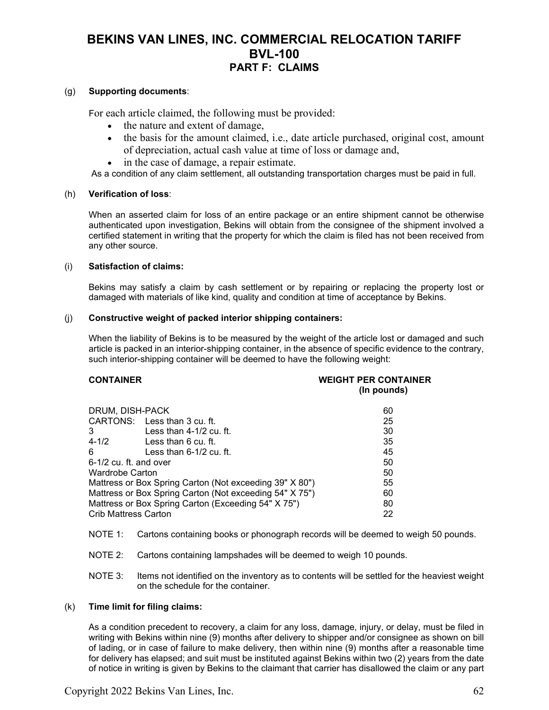### (g) **Supporting documents**:

For each article claimed, the following must be provided:

- the nature and extent of damage,
- the basis for the amount claimed, i.e., date article purchased, original cost, amount of depreciation, actual cash value at time of loss or damage and,
- in the case of damage, a repair estimate.

As a condition of any claim settlement, all outstanding transportation charges must be paid in full.

#### (h) **Verification of loss**:

When an asserted claim for loss of an entire package or an entire shipment cannot be otherwise authenticated upon investigation, Bekins will obtain from the consignee of the shipment involved a certified statement in writing that the property for which the claim is filed has not been received from any other source.

#### (i) **Satisfaction of claims:**

Bekins may satisfy a claim by cash settlement or by repairing or replacing the property lost or damaged with materials of like kind, quality and condition at time of acceptance by Bekins.

#### (j) **Constructive weight of packed interior shipping containers:**

When the liability of Bekins is to be measured by the weight of the article lost or damaged and such article is packed in an interior-shipping container, in the absence of specific evidence to the contrary, such interior-shipping container will be deemed to have the following weight:

#### **CONTAINER WEIGHT PER CONTAINER (In pounds)**

| DRUM, DISH-PACK                                         |                              | 60 |
|---------------------------------------------------------|------------------------------|----|
|                                                         | CARTONS: Less than 3 cu. ft. | 25 |
| 3                                                       | Less than $4-1/2$ cu. ft.    | 30 |
| $4 - 1/2$                                               | Less than 6 cu. ft.          | 35 |
| 6                                                       | Less than $6-1/2$ cu. ft.    | 45 |
| 6-1/2 cu. ft. and over                                  |                              | 50 |
| Wardrobe Carton                                         |                              | 50 |
| Mattress or Box Spring Carton (Not exceeding 39" X 80") |                              | 55 |
| Mattress or Box Spring Carton (Not exceeding 54" X 75") |                              | 60 |
| Mattress or Box Spring Carton (Exceeding 54" X 75")     |                              | 80 |
| <b>Crib Mattress Carton</b>                             |                              | 22 |

- NOTE 1: Cartons containing books or phonograph records will be deemed to weigh 50 pounds.
- NOTE 2: Cartons containing lampshades will be deemed to weigh 10 pounds.
- NOTE 3: Items not identified on the inventory as to contents will be settled for the heaviest weight on the schedule for the container.

#### (k) **Time limit for filing claims:**

As a condition precedent to recovery, a claim for any loss, damage, injury, or delay, must be filed in writing with Bekins within nine (9) months after delivery to shipper and/or consignee as shown on bill of lading, or in case of failure to make delivery, then within nine (9) months after a reasonable time for delivery has elapsed; and suit must be instituted against Bekins within two (2) years from the date of notice in writing is given by Bekins to the claimant that carrier has disallowed the claim or any part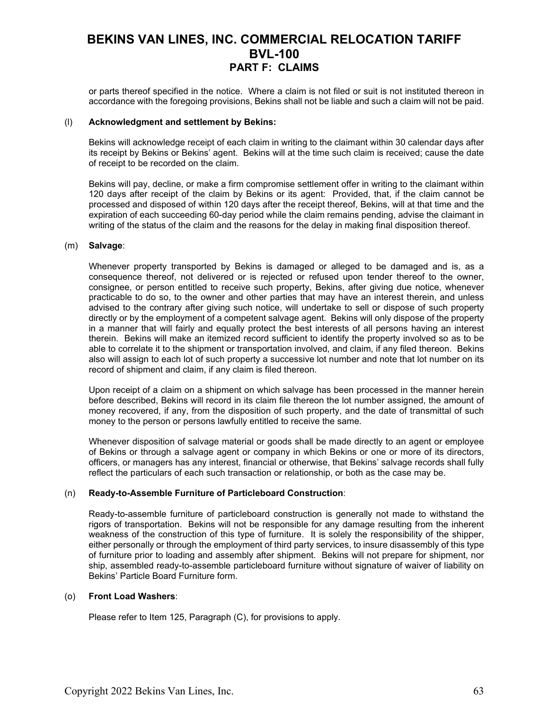or parts thereof specified in the notice. Where a claim is not filed or suit is not instituted thereon in accordance with the foregoing provisions, Bekins shall not be liable and such a claim will not be paid.

#### (l) **Acknowledgment and settlement by Bekins:**

Bekins will acknowledge receipt of each claim in writing to the claimant within 30 calendar days after its receipt by Bekins or Bekins' agent. Bekins will at the time such claim is received; cause the date of receipt to be recorded on the claim.

Bekins will pay, decline, or make a firm compromise settlement offer in writing to the claimant within 120 days after receipt of the claim by Bekins or its agent: Provided, that, if the claim cannot be processed and disposed of within 120 days after the receipt thereof, Bekins, will at that time and the expiration of each succeeding 60-day period while the claim remains pending, advise the claimant in writing of the status of the claim and the reasons for the delay in making final disposition thereof.

#### (m) **Salvage**:

Whenever property transported by Bekins is damaged or alleged to be damaged and is, as a consequence thereof, not delivered or is rejected or refused upon tender thereof to the owner, consignee, or person entitled to receive such property, Bekins, after giving due notice, whenever practicable to do so, to the owner and other parties that may have an interest therein, and unless advised to the contrary after giving such notice, will undertake to sell or dispose of such property directly or by the employment of a competent salvage agent. Bekins will only dispose of the property in a manner that will fairly and equally protect the best interests of all persons having an interest therein. Bekins will make an itemized record sufficient to identify the property involved so as to be able to correlate it to the shipment or transportation involved, and claim, if any filed thereon. Bekins also will assign to each lot of such property a successive lot number and note that lot number on its record of shipment and claim, if any claim is filed thereon.

Upon receipt of a claim on a shipment on which salvage has been processed in the manner herein before described, Bekins will record in its claim file thereon the lot number assigned, the amount of money recovered, if any, from the disposition of such property, and the date of transmittal of such money to the person or persons lawfully entitled to receive the same.

Whenever disposition of salvage material or goods shall be made directly to an agent or employee of Bekins or through a salvage agent or company in which Bekins or one or more of its directors, officers, or managers has any interest, financial or otherwise, that Bekins' salvage records shall fully reflect the particulars of each such transaction or relationship, or both as the case may be.

### (n) **Ready-to-Assemble Furniture of Particleboard Construction**:

Ready-to-assemble furniture of particleboard construction is generally not made to withstand the rigors of transportation. Bekins will not be responsible for any damage resulting from the inherent weakness of the construction of this type of furniture. It is solely the responsibility of the shipper, either personally or through the employment of third party services, to insure disassembly of this type of furniture prior to loading and assembly after shipment. Bekins will not prepare for shipment, nor ship, assembled ready-to-assemble particleboard furniture without signature of waiver of liability on Bekins' Particle Board Furniture form.

#### (o) **Front Load Washers**:

Please refer to Item 125, Paragraph (C), for provisions to apply.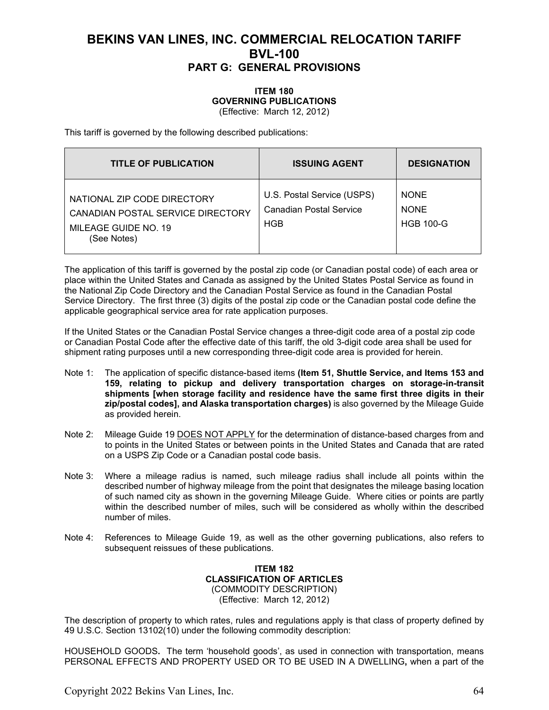#### **ITEM 180 GOVERNING PUBLICATIONS** (Effective: March 12, 2012)

This tariff is governed by the following described publications:

| <b>TITLE OF PUBLICATION</b>                                                                             | <b>ISSUING AGENT</b>                                         | <b>DESIGNATION</b>                             |
|---------------------------------------------------------------------------------------------------------|--------------------------------------------------------------|------------------------------------------------|
| NATIONAL ZIP CODE DIRECTORY<br>CANADIAN POSTAL SERVICE DIRECTORY<br>MILEAGE GUIDE NO. 19<br>(See Notes) | U.S. Postal Service (USPS)<br>Canadian Postal Service<br>HGB | <b>NONE</b><br><b>NONE</b><br><b>HGB 100-G</b> |

The application of this tariff is governed by the postal zip code (or Canadian postal code) of each area or place within the United States and Canada as assigned by the United States Postal Service as found in the National Zip Code Directory and the Canadian Postal Service as found in the Canadian Postal Service Directory. The first three (3) digits of the postal zip code or the Canadian postal code define the applicable geographical service area for rate application purposes.

If the United States or the Canadian Postal Service changes a three-digit code area of a postal zip code or Canadian Postal Code after the effective date of this tariff, the old 3-digit code area shall be used for shipment rating purposes until a new corresponding three-digit code area is provided for herein.

- Note 1: The application of specific distance-based items **(Item 51, Shuttle Service, and Items 153 and 159, relating to pickup and delivery transportation charges on storage-in-transit shipments [when storage facility and residence have the same first three digits in their zip/postal codes], and Alaska transportation charges)** is also governed by the Mileage Guide as provided herein.
- Note 2: Mileage Guide 19 DOES NOT APPLY for the determination of distance-based charges from and to points in the United States or between points in the United States and Canada that are rated on a USPS Zip Code or a Canadian postal code basis.
- Note 3: Where a mileage radius is named, such mileage radius shall include all points within the described number of highway mileage from the point that designates the mileage basing location of such named city as shown in the governing Mileage Guide. Where cities or points are partly within the described number of miles, such will be considered as wholly within the described number of miles.
- Note 4: References to Mileage Guide 19, as well as the other governing publications, also refers to subsequent reissues of these publications.

### **ITEM 182 CLASSIFICATION OF ARTICLES** (COMMODITY DESCRIPTION) (Effective: March 12, 2012)

The description of property to which rates, rules and regulations apply is that class of property defined by 49 U.S.C. Section 13102(10) under the following commodity description:

HOUSEHOLD GOODS**.** The term 'household goods', as used in connection with transportation, means PERSONAL EFFECTS AND PROPERTY USED OR TO BE USED IN A DWELLING**,** when a part of the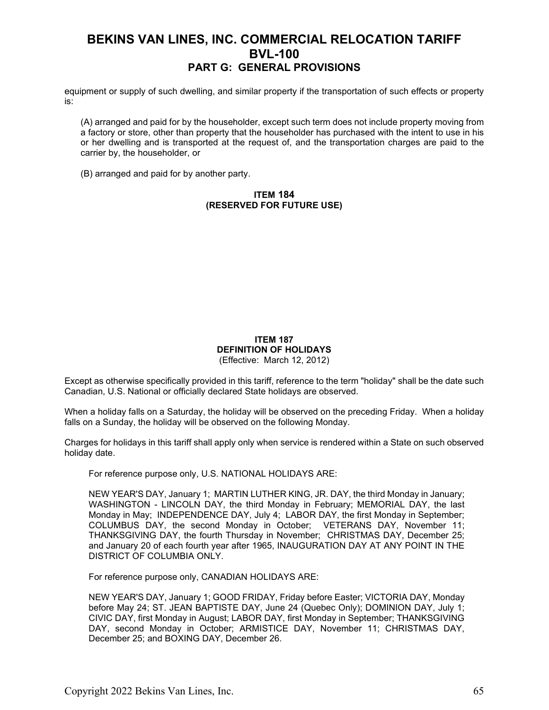equipment or supply of such dwelling, and similar property if the transportation of such effects or property is:

(A) arranged and paid for by the householder, except such term does not include property moving from a factory or store, other than property that the householder has purchased with the intent to use in his or her dwelling and is transported at the request of, and the transportation charges are paid to the carrier by, the householder, or

(B) arranged and paid for by another party.

### **ITEM 184 (RESERVED FOR FUTURE USE)**

#### **ITEM 187 DEFINITION OF HOLIDAYS** (Effective: March 12, 2012)

Except as otherwise specifically provided in this tariff, reference to the term "holiday" shall be the date such Canadian, U.S. National or officially declared State holidays are observed.

When a holiday falls on a Saturday, the holiday will be observed on the preceding Friday. When a holiday falls on a Sunday, the holiday will be observed on the following Monday.

Charges for holidays in this tariff shall apply only when service is rendered within a State on such observed holiday date.

For reference purpose only, U.S. NATIONAL HOLIDAYS ARE:

NEW YEAR'S DAY, January 1; MARTIN LUTHER KING, JR. DAY, the third Monday in January; WASHINGTON - LINCOLN DAY, the third Monday in February; MEMORIAL DAY, the last Monday in May; INDEPENDENCE DAY, July 4; LABOR DAY, the first Monday in September; COLUMBUS DAY, the second Monday in October; VETERANS DAY, November 11; THANKSGIVING DAY, the fourth Thursday in November; CHRISTMAS DAY, December 25; and January 20 of each fourth year after 1965, INAUGURATION DAY AT ANY POINT IN THE DISTRICT OF COLUMBIA ONLY.

For reference purpose only, CANADIAN HOLIDAYS ARE:

NEW YEAR'S DAY, January 1; GOOD FRIDAY, Friday before Easter; VICTORIA DAY, Monday before May 24; ST. JEAN BAPTISTE DAY, June 24 (Quebec Only); DOMINION DAY, July 1; CIVIC DAY, first Monday in August; LABOR DAY, first Monday in September; THANKSGIVING DAY, second Monday in October; ARMISTICE DAY, November 11; CHRISTMAS DAY, December 25; and BOXING DAY, December 26.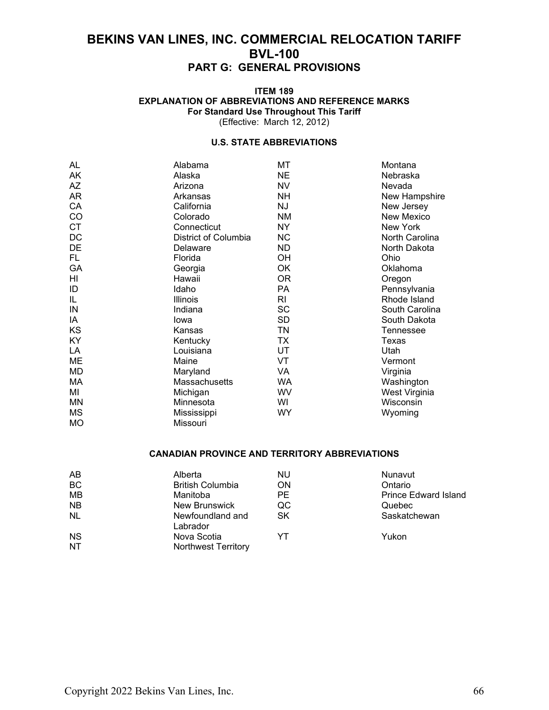#### **ITEM 189 EXPLANATION OF ABBREVIATIONS AND REFERENCE MARKS For Standard Use Throughout This Tariff** (Effective: March 12, 2012)

### **U.S. STATE ABBREVIATIONS**

| AL        | Alabama              | МT        | Montana        |
|-----------|----------------------|-----------|----------------|
| AK        | Alaska               | <b>NE</b> | Nebraska       |
| AZ        | Arizona              | <b>NV</b> | Nevada         |
| AR        | Arkansas             | <b>NH</b> | New Hampshire  |
| CA        | California           | ΝJ        | New Jersey     |
| CO        | Colorado             | <b>NM</b> | New Mexico     |
| <b>CT</b> | Connecticut          | NY.       | New York       |
| DC        | District of Columbia | <b>NC</b> | North Carolina |
| DE        | Delaware             | <b>ND</b> | North Dakota   |
| FL.       | Florida              | OH        | Ohio           |
| GA        | Georgia              | OK        | Oklahoma       |
| HI        | Hawaii               | 0R        | Oregon         |
| ID        | Idaho                | PA        | Pennsylvania   |
| IL        | Illinois             | RI        | Rhode Island   |
| IN        | Indiana              | <b>SC</b> | South Carolina |
| IA        | lowa                 | <b>SD</b> | South Dakota   |
| KS        | Kansas               | TN        | Tennessee      |
| <b>KY</b> | Kentucky             | <b>TX</b> | Texas          |
| LA        | Louisiana            | UT        | Utah           |
| ME        | Maine                | VT        | Vermont        |
| <b>MD</b> | Maryland             | VA        | Virginia       |
| МA        | Massachusetts        | <b>WA</b> | Washington     |
| MI        | Michigan             | WV        | West Virginia  |
| MN        | Minnesota            | WI        | Wisconsin      |
| <b>MS</b> | Mississippi          | <b>WY</b> | Wyoming        |
| <b>MO</b> | Missouri             |           |                |

### **CANADIAN PROVINCE AND TERRITORY ABBREVIATIONS**

| AB        | Alberta                      | <b>NU</b> | Nunavut                     |
|-----------|------------------------------|-----------|-----------------------------|
| BC        | <b>British Columbia</b>      | <b>ON</b> | Ontario                     |
| <b>MB</b> | Manitoba                     | <b>PE</b> | <b>Prince Edward Island</b> |
| <b>NB</b> | New Brunswick                | QC        | Quebec                      |
| <b>NL</b> | Newfoundland and<br>Labrador | <b>SK</b> | Saskatchewan                |
| <b>NS</b> | Nova Scotia                  | YT        | Yukon                       |
| <b>NT</b> | <b>Northwest Territory</b>   |           |                             |